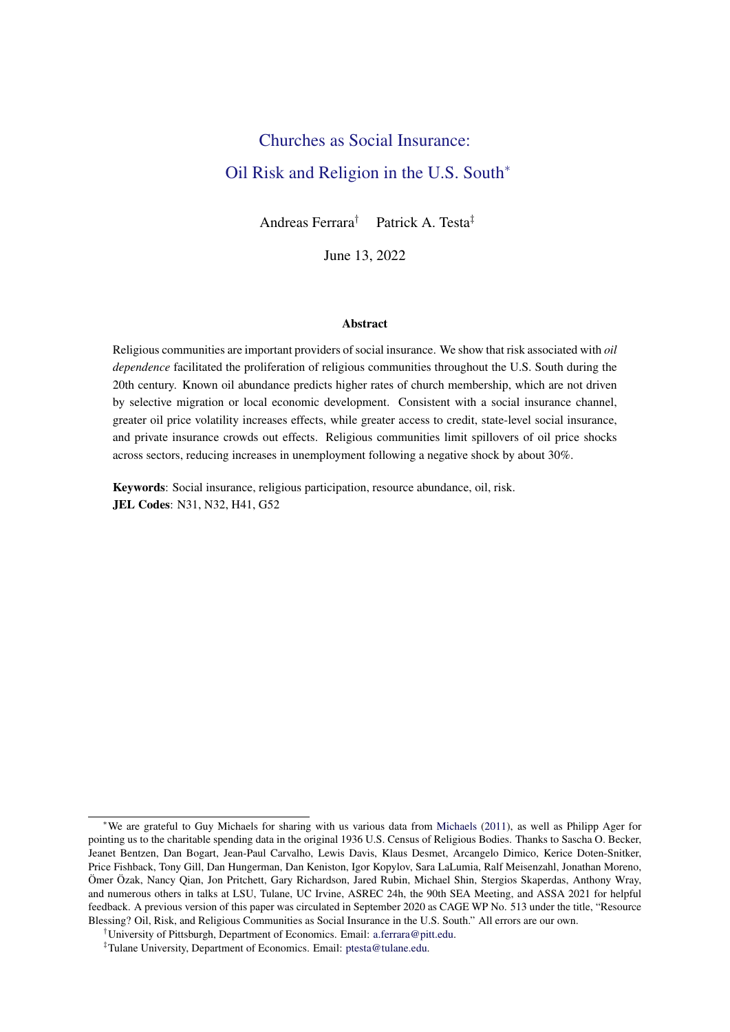# <span id="page-0-0"></span>Churches as Social Insurance: Oil Risk and Religion in the U.S. South<sup>∗</sup>

Andreas Ferrara† Patrick A. Testa‡

June 13, 2022

#### Abstract

Religious communities are important providers of social insurance. We show that risk associated with *oil dependence* facilitated the proliferation of religious communities throughout the U.S. South during the 20th century. Known oil abundance predicts higher rates of church membership, which are not driven by selective migration or local economic development. Consistent with a social insurance channel, greater oil price volatility increases effects, while greater access to credit, state-level social insurance, and private insurance crowds out effects. Religious communities limit spillovers of oil price shocks across sectors, reducing increases in unemployment following a negative shock by about 30%.

Keywords: Social insurance, religious participation, resource abundance, oil, risk. JEL Codes: N31, N32, H41, G52

<sup>∗</sup>We are grateful to Guy Michaels for sharing with us various data from [Michaels](#page-28-0) [\(2011\)](#page-28-0), as well as Philipp Ager for pointing us to the charitable spending data in the original 1936 U.S. Census of Religious Bodies. Thanks to Sascha O. Becker, Jeanet Bentzen, Dan Bogart, Jean-Paul Carvalho, Lewis Davis, Klaus Desmet, Arcangelo Dimico, Kerice Doten-Snitker, Price Fishback, Tony Gill, Dan Hungerman, Dan Keniston, Igor Kopylov, Sara LaLumia, Ralf Meisenzahl, Jonathan Moreno, Ömer Özak, Nancy Qian, Jon Pritchett, Gary Richardson, Jared Rubin, Michael Shin, Stergios Skaperdas, Anthony Wray, and numerous others in talks at LSU, Tulane, UC Irvine, ASREC 24h, the 90th SEA Meeting, and ASSA 2021 for helpful feedback. A previous version of this paper was circulated in September 2020 as CAGE WP No. 513 under the title, "Resource Blessing? Oil, Risk, and Religious Communities as Social Insurance in the U.S. South." All errors are our own.

<sup>†</sup>University of Pittsburgh, Department of Economics. Email: [a.ferrara@pitt.edu.](mailto:a.ferrara@pitt.edu)

<sup>‡</sup>Tulane University, Department of Economics. Email: [ptesta@tulane.edu.](mailto:ptesta@tulane.edu)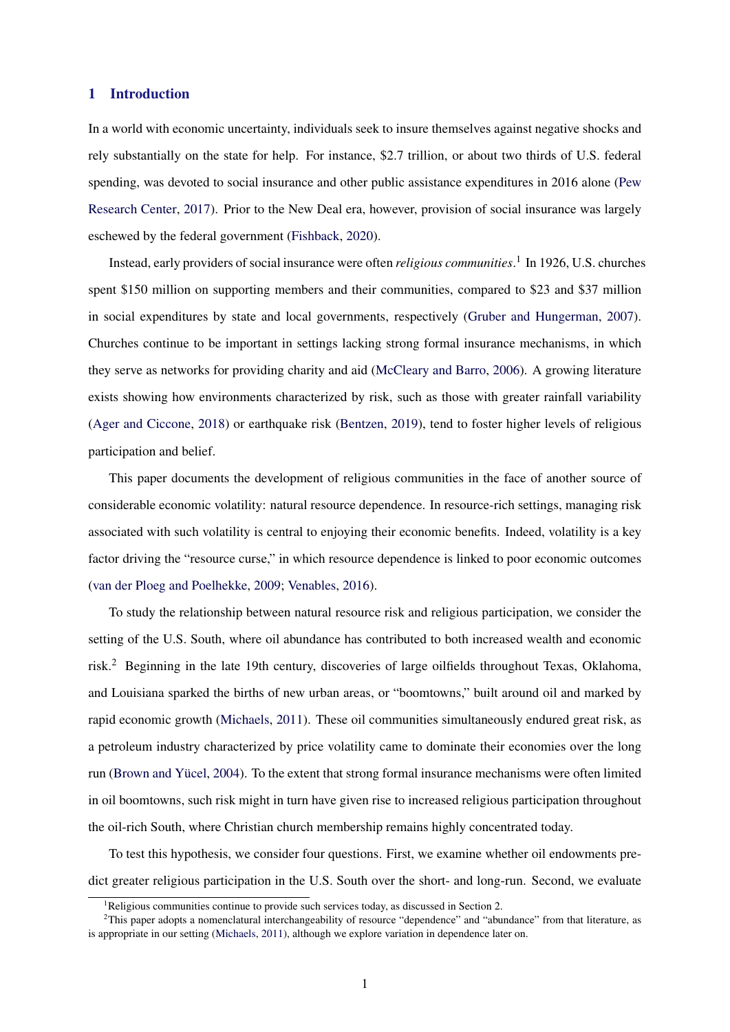## 1 Introduction

In a world with economic uncertainty, individuals seek to insure themselves against negative shocks and rely substantially on the state for help. For instance, \$2.7 trillion, or about two thirds of U.S. federal spending, was devoted to social insurance and other public assistance expenditures in 2016 alone [\(Pew](#page-29-0) [Research Center,](#page-29-0) [2017\)](#page-29-0). Prior to the New Deal era, however, provision of social insurance was largely eschewed by the federal government [\(Fishback,](#page-28-0) [2020\)](#page-28-0).

Instead, early providers of social insurance were often *religious communities*. 1 In 1926, U.S. churches spent \$150 million on supporting members and their communities, compared to \$23 and \$37 million in social expenditures by state and local governments, respectively [\(Gruber and Hungerman,](#page-28-0) [2007\)](#page-28-0). Churches continue to be important in settings lacking strong formal insurance mechanisms, in which they serve as networks for providing charity and aid [\(McCleary and Barro,](#page-28-0) [2006\)](#page-28-0). A growing literature exists showing how environments characterized by risk, such as those with greater rainfall variability [\(Ager and Ciccone,](#page-27-0) [2018\)](#page-27-0) or earthquake risk [\(Bentzen,](#page-27-0) [2019\)](#page-27-0), tend to foster higher levels of religious participation and belief.

This paper documents the development of religious communities in the face of another source of considerable economic volatility: natural resource dependence. In resource-rich settings, managing risk associated with such volatility is central to enjoying their economic benefits. Indeed, volatility is a key factor driving the "resource curse," in which resource dependence is linked to poor economic outcomes [\(van der Ploeg and Poelhekke,](#page-29-0) [2009;](#page-29-0) [Venables,](#page-29-0) [2016\)](#page-29-0).

To study the relationship between natural resource risk and religious participation, we consider the setting of the U.S. South, where oil abundance has contributed to both increased wealth and economic risk.<sup>2</sup> Beginning in the late 19th century, discoveries of large oilfields throughout Texas, Oklahoma, and Louisiana sparked the births of new urban areas, or "boomtowns," built around oil and marked by rapid economic growth [\(Michaels,](#page-28-0) [2011\)](#page-28-0). These oil communities simultaneously endured great risk, as a petroleum industry characterized by price volatility came to dominate their economies over the long run [\(Brown and Yücel,](#page-27-0) [2004\)](#page-27-0). To the extent that strong formal insurance mechanisms were often limited in oil boomtowns, such risk might in turn have given rise to increased religious participation throughout the oil-rich South, where Christian church membership remains highly concentrated today.

To test this hypothesis, we consider four questions. First, we examine whether oil endowments predict greater religious participation in the U.S. South over the short- and long-run. Second, we evaluate

<sup>&</sup>lt;sup>1</sup>Religious communities continue to provide such services today, as discussed in Section 2.

 $2$ This paper adopts a nomenclatural interchangeability of resource "dependence" and "abundance" from that literature, as is appropriate in our setting [\(Michaels,](#page-28-0) [2011\)](#page-28-0), although we explore variation in dependence later on.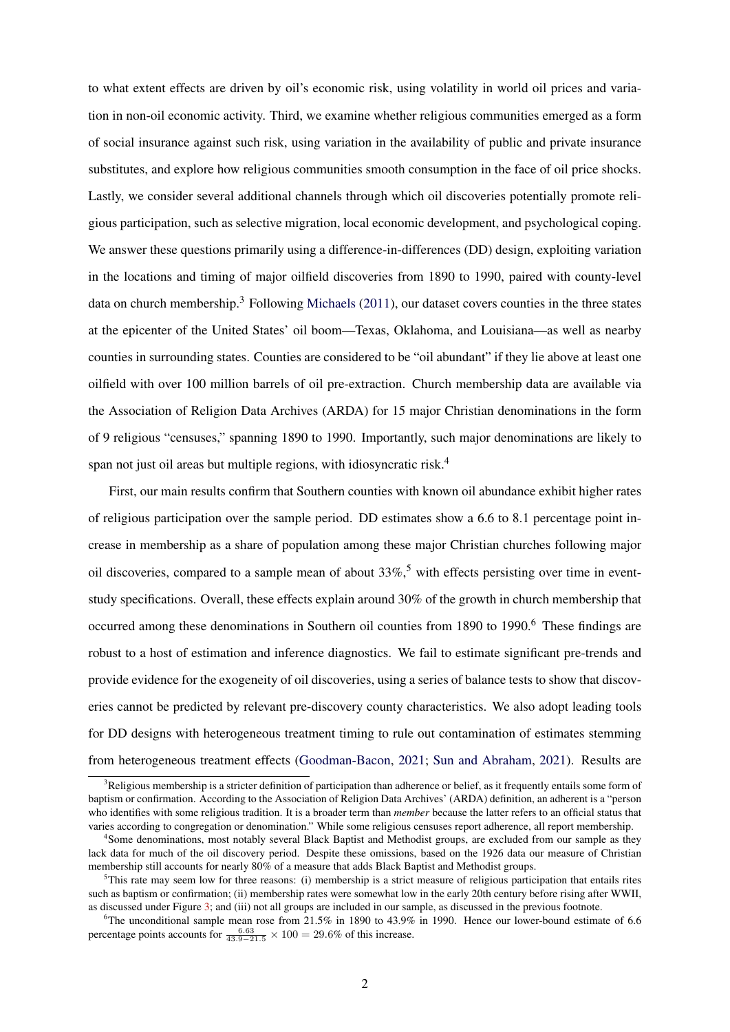to what extent effects are driven by oil's economic risk, using volatility in world oil prices and variation in non-oil economic activity. Third, we examine whether religious communities emerged as a form of social insurance against such risk, using variation in the availability of public and private insurance substitutes, and explore how religious communities smooth consumption in the face of oil price shocks. Lastly, we consider several additional channels through which oil discoveries potentially promote religious participation, such as selective migration, local economic development, and psychological coping. We answer these questions primarily using a difference-in-differences (DD) design, exploiting variation in the locations and timing of major oilfield discoveries from 1890 to 1990, paired with county-level data on church membership.<sup>3</sup> Following [Michaels](#page-28-0) [\(2011\)](#page-28-0), our dataset covers counties in the three states at the epicenter of the United States' oil boom—Texas, Oklahoma, and Louisiana—as well as nearby counties in surrounding states. Counties are considered to be "oil abundant" if they lie above at least one oilfield with over 100 million barrels of oil pre-extraction. Church membership data are available via the Association of Religion Data Archives (ARDA) for 15 major Christian denominations in the form of 9 religious "censuses," spanning 1890 to 1990. Importantly, such major denominations are likely to span not just oil areas but multiple regions, with idiosyncratic risk.<sup>4</sup>

First, our main results confirm that Southern counties with known oil abundance exhibit higher rates of religious participation over the sample period. DD estimates show a 6.6 to 8.1 percentage point increase in membership as a share of population among these major Christian churches following major oil discoveries, compared to a sample mean of about  $33\%$ ,<sup>5</sup> with effects persisting over time in eventstudy specifications. Overall, these effects explain around 30% of the growth in church membership that occurred among these denominations in Southern oil counties from 1890 to 1990.<sup>6</sup> These findings are robust to a host of estimation and inference diagnostics. We fail to estimate significant pre-trends and provide evidence for the exogeneity of oil discoveries, using a series of balance tests to show that discoveries cannot be predicted by relevant pre-discovery county characteristics. We also adopt leading tools for DD designs with heterogeneous treatment timing to rule out contamination of estimates stemming from heterogeneous treatment effects [\(Goodman-Bacon,](#page-28-0) [2021;](#page-28-0) [Sun and Abraham,](#page-29-0) [2021\)](#page-29-0). Results are

 $3$ Religious membership is a stricter definition of participation than adherence or belief, as it frequently entails some form of baptism or confirmation. According to the Association of Religion Data Archives' (ARDA) definition, an adherent is a "person who identifies with some religious tradition. It is a broader term than *member* because the latter refers to an official status that varies according to congregation or denomination." While some religious censuses report adherence, all report membership.

<sup>4</sup> Some denominations, most notably several Black Baptist and Methodist groups, are excluded from our sample as they lack data for much of the oil discovery period. Despite these omissions, based on the 1926 data our measure of Christian membership still accounts for nearly 80% of a measure that adds Black Baptist and Methodist groups.

 $5$ This rate may seem low for three reasons: (i) membership is a strict measure of religious participation that entails rites such as baptism or confirmation; (ii) membership rates were somewhat low in the early 20th century before rising after WWII, as discussed under Figure [3;](#page-38-0) and (iii) not all groups are included in our sample, as discussed in the previous footnote.

<sup>&</sup>lt;sup>6</sup>The unconditional sample mean rose from 21.5% in 1890 to 43.9% in 1990. Hence our lower-bound estimate of 6.6 percentage points accounts for  $\frac{6.63}{43.9-21.5} \times 100 = 29.6\%$  of this increase.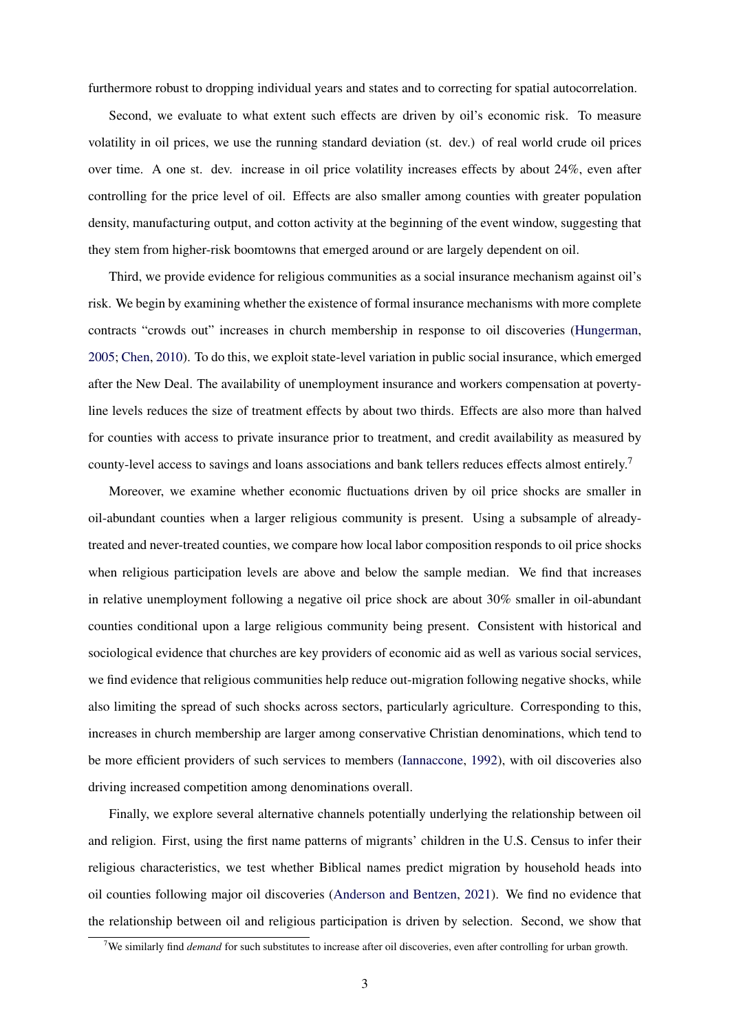furthermore robust to dropping individual years and states and to correcting for spatial autocorrelation.

Second, we evaluate to what extent such effects are driven by oil's economic risk. To measure volatility in oil prices, we use the running standard deviation (st. dev.) of real world crude oil prices over time. A one st. dev. increase in oil price volatility increases effects by about 24%, even after controlling for the price level of oil. Effects are also smaller among counties with greater population density, manufacturing output, and cotton activity at the beginning of the event window, suggesting that they stem from higher-risk boomtowns that emerged around or are largely dependent on oil.

Third, we provide evidence for religious communities as a social insurance mechanism against oil's risk. We begin by examining whether the existence of formal insurance mechanisms with more complete contracts "crowds out" increases in church membership in response to oil discoveries [\(Hungerman,](#page-28-0) [2005;](#page-28-0) [Chen,](#page-27-0) [2010\)](#page-27-0). To do this, we exploit state-level variation in public social insurance, which emerged after the New Deal. The availability of unemployment insurance and workers compensation at povertyline levels reduces the size of treatment effects by about two thirds. Effects are also more than halved for counties with access to private insurance prior to treatment, and credit availability as measured by county-level access to savings and loans associations and bank tellers reduces effects almost entirely.<sup>7</sup>

Moreover, we examine whether economic fluctuations driven by oil price shocks are smaller in oil-abundant counties when a larger religious community is present. Using a subsample of alreadytreated and never-treated counties, we compare how local labor composition responds to oil price shocks when religious participation levels are above and below the sample median. We find that increases in relative unemployment following a negative oil price shock are about 30% smaller in oil-abundant counties conditional upon a large religious community being present. Consistent with historical and sociological evidence that churches are key providers of economic aid as well as various social services, we find evidence that religious communities help reduce out-migration following negative shocks, while also limiting the spread of such shocks across sectors, particularly agriculture. Corresponding to this, increases in church membership are larger among conservative Christian denominations, which tend to be more efficient providers of such services to members [\(Iannaccone,](#page-28-0) [1992\)](#page-28-0), with oil discoveries also driving increased competition among denominations overall.

Finally, we explore several alternative channels potentially underlying the relationship between oil and religion. First, using the first name patterns of migrants' children in the U.S. Census to infer their religious characteristics, we test whether Biblical names predict migration by household heads into oil counties following major oil discoveries [\(Anderson and Bentzen,](#page-27-0) [2021\)](#page-27-0). We find no evidence that the relationship between oil and religious participation is driven by selection. Second, we show that

<sup>7</sup>We similarly find *demand* for such substitutes to increase after oil discoveries, even after controlling for urban growth.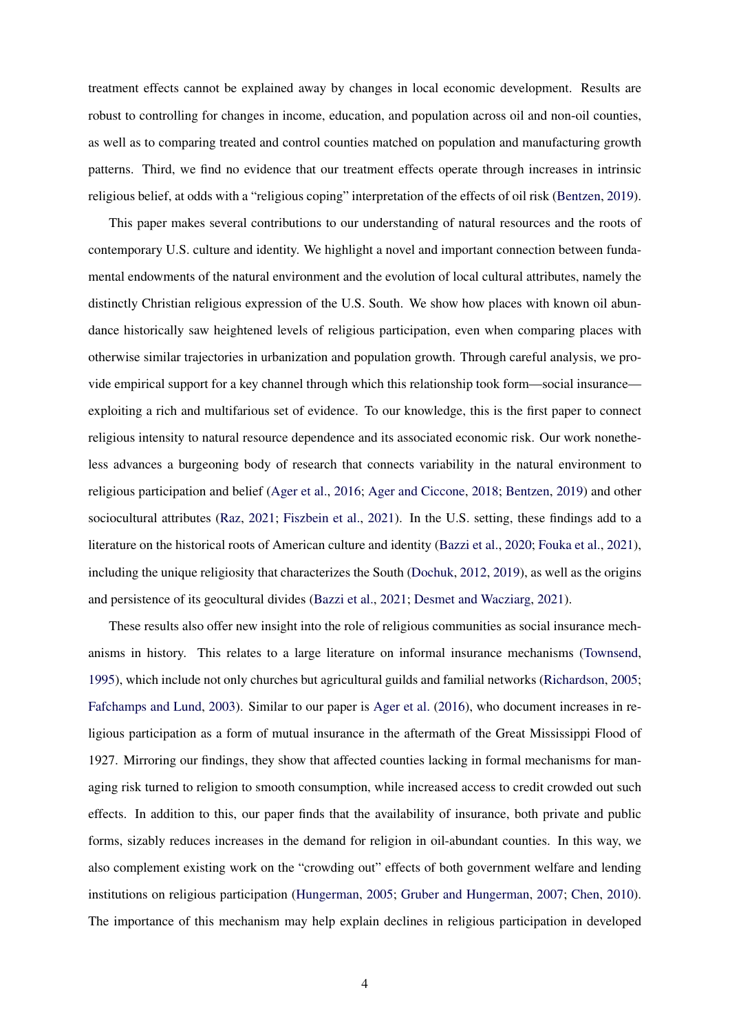treatment effects cannot be explained away by changes in local economic development. Results are robust to controlling for changes in income, education, and population across oil and non-oil counties, as well as to comparing treated and control counties matched on population and manufacturing growth patterns. Third, we find no evidence that our treatment effects operate through increases in intrinsic religious belief, at odds with a "religious coping" interpretation of the effects of oil risk [\(Bentzen,](#page-27-0) [2019\)](#page-27-0).

This paper makes several contributions to our understanding of natural resources and the roots of contemporary U.S. culture and identity. We highlight a novel and important connection between fundamental endowments of the natural environment and the evolution of local cultural attributes, namely the distinctly Christian religious expression of the U.S. South. We show how places with known oil abundance historically saw heightened levels of religious participation, even when comparing places with otherwise similar trajectories in urbanization and population growth. Through careful analysis, we provide empirical support for a key channel through which this relationship took form—social insurance exploiting a rich and multifarious set of evidence. To our knowledge, this is the first paper to connect religious intensity to natural resource dependence and its associated economic risk. Our work nonetheless advances a burgeoning body of research that connects variability in the natural environment to religious participation and belief [\(Ager et al.,](#page-27-0) [2016;](#page-27-0) [Ager and Ciccone,](#page-27-0) [2018;](#page-27-0) [Bentzen,](#page-27-0) [2019\)](#page-27-0) and other sociocultural attributes [\(Raz,](#page-29-0) [2021;](#page-29-0) [Fiszbein et al.,](#page-28-0) [2021\)](#page-28-0). In the U.S. setting, these findings add to a literature on the historical roots of American culture and identity [\(Bazzi et al.,](#page-27-0) [2020;](#page-27-0) [Fouka et al.,](#page-28-0) [2021\)](#page-28-0), including the unique religiosity that characterizes the South [\(Dochuk,](#page-27-0) [2012,](#page-27-0) [2019\)](#page-27-0), as well as the origins and persistence of its geocultural divides [\(Bazzi et al.,](#page-27-0) [2021;](#page-27-0) [Desmet and Wacziarg,](#page-27-0) [2021\)](#page-27-0).

These results also offer new insight into the role of religious communities as social insurance mechanisms in history. This relates to a large literature on informal insurance mechanisms [\(Townsend,](#page-29-0) [1995\)](#page-29-0), which include not only churches but agricultural guilds and familial networks [\(Richardson,](#page-29-0) [2005;](#page-29-0) [Fafchamps and Lund,](#page-27-0) [2003\)](#page-27-0). Similar to our paper is [Ager et al.](#page-27-0) [\(2016\)](#page-27-0), who document increases in religious participation as a form of mutual insurance in the aftermath of the Great Mississippi Flood of 1927. Mirroring our findings, they show that affected counties lacking in formal mechanisms for managing risk turned to religion to smooth consumption, while increased access to credit crowded out such effects. In addition to this, our paper finds that the availability of insurance, both private and public forms, sizably reduces increases in the demand for religion in oil-abundant counties. In this way, we also complement existing work on the "crowding out" effects of both government welfare and lending institutions on religious participation [\(Hungerman,](#page-28-0) [2005;](#page-28-0) [Gruber and Hungerman,](#page-28-0) [2007;](#page-28-0) [Chen,](#page-27-0) [2010\)](#page-27-0). The importance of this mechanism may help explain declines in religious participation in developed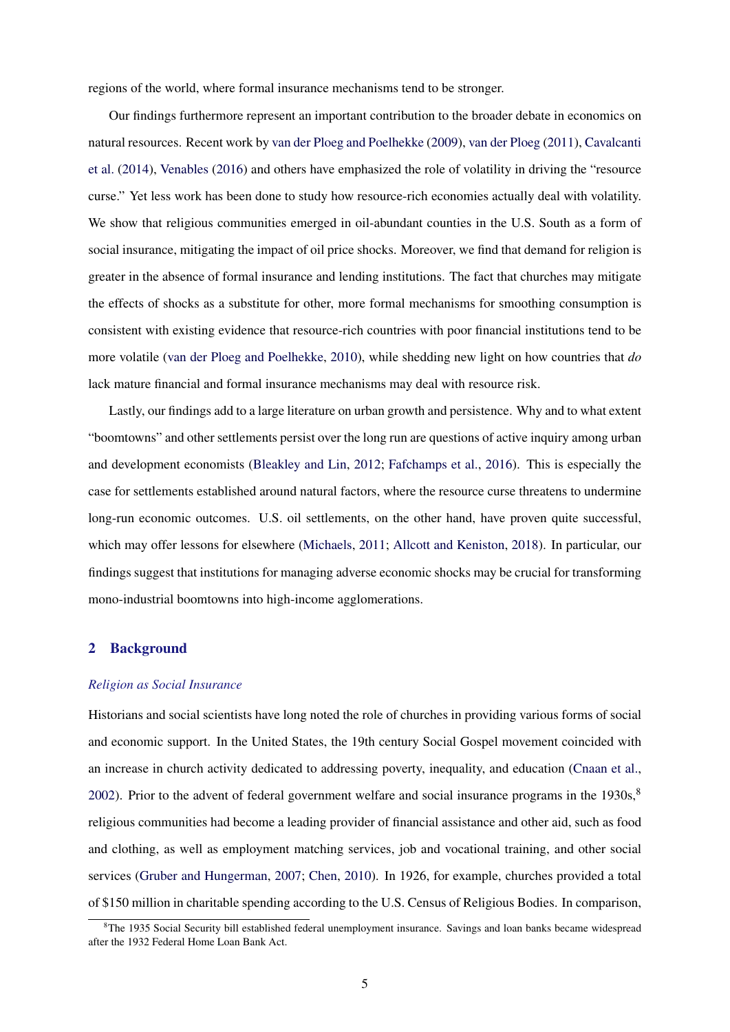regions of the world, where formal insurance mechanisms tend to be stronger.

Our findings furthermore represent an important contribution to the broader debate in economics on natural resources. Recent work by [van der Ploeg and Poelhekke](#page-29-0) [\(2009\)](#page-29-0), [van der Ploeg](#page-29-0) [\(2011\)](#page-29-0), [Cavalcanti](#page-27-0) [et al.](#page-27-0) [\(2014\)](#page-27-0), [Venables](#page-29-0) [\(2016\)](#page-29-0) and others have emphasized the role of volatility in driving the "resource curse." Yet less work has been done to study how resource-rich economies actually deal with volatility. We show that religious communities emerged in oil-abundant counties in the U.S. South as a form of social insurance, mitigating the impact of oil price shocks. Moreover, we find that demand for religion is greater in the absence of formal insurance and lending institutions. The fact that churches may mitigate the effects of shocks as a substitute for other, more formal mechanisms for smoothing consumption is consistent with existing evidence that resource-rich countries with poor financial institutions tend to be more volatile [\(van der Ploeg and Poelhekke,](#page-29-0) [2010\)](#page-29-0), while shedding new light on how countries that *do* lack mature financial and formal insurance mechanisms may deal with resource risk.

Lastly, our findings add to a large literature on urban growth and persistence. Why and to what extent "boomtowns" and other settlements persist over the long run are questions of active inquiry among urban and development economists [\(Bleakley and Lin,](#page-27-0) [2012;](#page-27-0) [Fafchamps et al.,](#page-28-0) [2016\)](#page-28-0). This is especially the case for settlements established around natural factors, where the resource curse threatens to undermine long-run economic outcomes. U.S. oil settlements, on the other hand, have proven quite successful, which may offer lessons for elsewhere [\(Michaels,](#page-28-0) [2011;](#page-28-0) [Allcott and Keniston,](#page-27-0) [2018\)](#page-27-0). In particular, our findings suggest that institutions for managing adverse economic shocks may be crucial for transforming mono-industrial boomtowns into high-income agglomerations.

## 2 Background

#### *Religion as Social Insurance*

Historians and social scientists have long noted the role of churches in providing various forms of social and economic support. In the United States, the 19th century Social Gospel movement coincided with an increase in church activity dedicated to addressing poverty, inequality, and education [\(Cnaan et al.,](#page-27-0) [2002\)](#page-27-0). Prior to the advent of federal government welfare and social insurance programs in the  $1930s$ ,  $8$ religious communities had become a leading provider of financial assistance and other aid, such as food and clothing, as well as employment matching services, job and vocational training, and other social services [\(Gruber and Hungerman,](#page-28-0) [2007;](#page-28-0) [Chen,](#page-27-0) [2010\)](#page-27-0). In 1926, for example, churches provided a total of \$150 million in charitable spending according to the U.S. Census of Religious Bodies. In comparison,

<sup>&</sup>lt;sup>8</sup>The 1935 Social Security bill established federal unemployment insurance. Savings and loan banks became widespread after the 1932 Federal Home Loan Bank Act.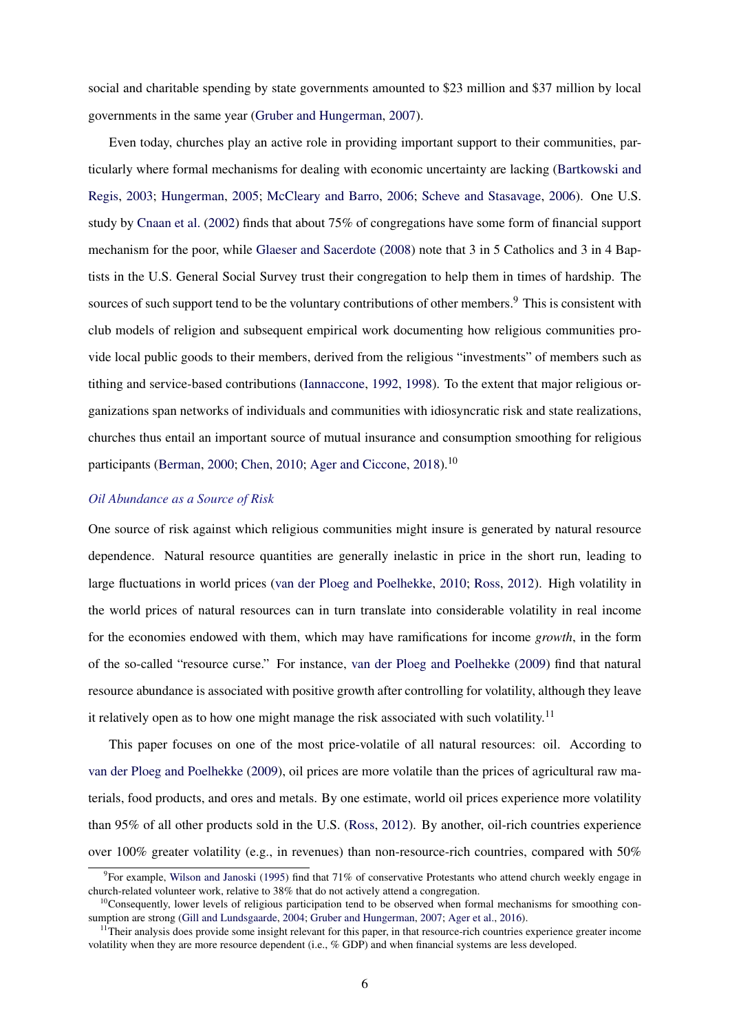social and charitable spending by state governments amounted to \$23 million and \$37 million by local governments in the same year [\(Gruber and Hungerman,](#page-28-0) [2007\)](#page-28-0).

Even today, churches play an active role in providing important support to their communities, particularly where formal mechanisms for dealing with economic uncertainty are lacking [\(Bartkowski and](#page-27-0) [Regis,](#page-27-0) [2003;](#page-27-0) [Hungerman,](#page-28-0) [2005;](#page-28-0) [McCleary and Barro,](#page-28-0) [2006;](#page-28-0) [Scheve and Stasavage,](#page-29-0) [2006\)](#page-29-0). One U.S. study by [Cnaan et al.](#page-27-0) [\(2002\)](#page-27-0) finds that about 75% of congregations have some form of financial support mechanism for the poor, while [Glaeser and Sacerdote](#page-28-0) [\(2008\)](#page-28-0) note that 3 in 5 Catholics and 3 in 4 Baptists in the U.S. General Social Survey trust their congregation to help them in times of hardship. The sources of such support tend to be the voluntary contributions of other members.<sup>9</sup> This is consistent with club models of religion and subsequent empirical work documenting how religious communities provide local public goods to their members, derived from the religious "investments" of members such as tithing and service-based contributions [\(Iannaccone,](#page-28-0) [1992,](#page-28-0) [1998\)](#page-28-0). To the extent that major religious organizations span networks of individuals and communities with idiosyncratic risk and state realizations, churches thus entail an important source of mutual insurance and consumption smoothing for religious participants [\(Berman,](#page-27-0) [2000;](#page-27-0) [Chen,](#page-27-0) [2010;](#page-27-0) [Ager and Ciccone,](#page-27-0) [2018\)](#page-27-0).<sup>10</sup>

## *Oil Abundance as a Source of Risk*

One source of risk against which religious communities might insure is generated by natural resource dependence. Natural resource quantities are generally inelastic in price in the short run, leading to large fluctuations in world prices [\(van der Ploeg and Poelhekke,](#page-29-0) [2010;](#page-29-0) [Ross,](#page-29-0) [2012\)](#page-29-0). High volatility in the world prices of natural resources can in turn translate into considerable volatility in real income for the economies endowed with them, which may have ramifications for income *growth*, in the form of the so-called "resource curse." For instance, [van der Ploeg and Poelhekke](#page-29-0) [\(2009\)](#page-29-0) find that natural resource abundance is associated with positive growth after controlling for volatility, although they leave it relatively open as to how one might manage the risk associated with such volatility.<sup>11</sup>

This paper focuses on one of the most price-volatile of all natural resources: oil. According to [van der Ploeg and Poelhekke](#page-29-0) [\(2009\)](#page-29-0), oil prices are more volatile than the prices of agricultural raw materials, food products, and ores and metals. By one estimate, world oil prices experience more volatility than 95% of all other products sold in the U.S. [\(Ross,](#page-29-0) [2012\)](#page-29-0). By another, oil-rich countries experience over 100% greater volatility (e.g., in revenues) than non-resource-rich countries, compared with  $50\%$ 

<sup>&</sup>lt;sup>9</sup> For example, [Wilson and Janoski](#page-29-0) [\(1995\)](#page-29-0) find that 71% of conservative Protestants who attend church weekly engage in church-related volunteer work, relative to 38% that do not actively attend a congregation.

 $10$ Consequently, lower levels of religious participation tend to be observed when formal mechanisms for smoothing consumption are strong [\(Gill and Lundsgaarde,](#page-28-0) [2004;](#page-28-0) [Gruber and Hungerman,](#page-28-0) [2007;](#page-28-0) [Ager et al.,](#page-27-0) [2016\)](#page-27-0).

 $<sup>11</sup>$ Their analysis does provide some insight relevant for this paper, in that resource-rich countries experience greater income</sup> volatility when they are more resource dependent (i.e., % GDP) and when financial systems are less developed.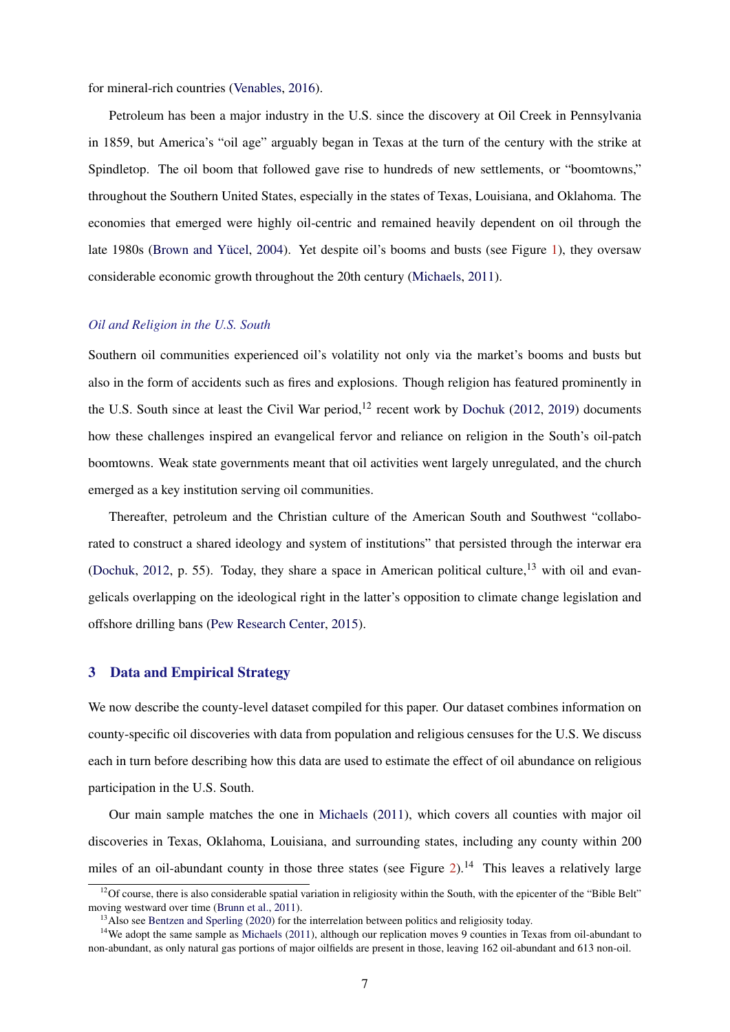for mineral-rich countries [\(Venables,](#page-29-0) [2016\)](#page-29-0).

Petroleum has been a major industry in the U.S. since the discovery at Oil Creek in Pennsylvania in 1859, but America's "oil age" arguably began in Texas at the turn of the century with the strike at Spindletop. The oil boom that followed gave rise to hundreds of new settlements, or "boomtowns," throughout the Southern United States, especially in the states of Texas, Louisiana, and Oklahoma. The economies that emerged were highly oil-centric and remained heavily dependent on oil through the late 1980s [\(Brown and Yücel,](#page-27-0) [2004\)](#page-27-0). Yet despite oil's booms and busts (see Figure [1\)](#page-37-0), they oversaw considerable economic growth throughout the 20th century [\(Michaels,](#page-28-0) [2011\)](#page-28-0).

## *Oil and Religion in the U.S. South*

Southern oil communities experienced oil's volatility not only via the market's booms and busts but also in the form of accidents such as fires and explosions. Though religion has featured prominently in the U.S. South since at least the Civil War period,  $12$  recent work by [Dochuk](#page-27-0) [\(2012,](#page-27-0) [2019\)](#page-27-0) documents how these challenges inspired an evangelical fervor and reliance on religion in the South's oil-patch boomtowns. Weak state governments meant that oil activities went largely unregulated, and the church emerged as a key institution serving oil communities.

Thereafter, petroleum and the Christian culture of the American South and Southwest "collaborated to construct a shared ideology and system of institutions" that persisted through the interwar era [\(Dochuk,](#page-27-0) [2012,](#page-27-0) p. 55). Today, they share a space in American political culture,  $^{13}$  with oil and evangelicals overlapping on the ideological right in the latter's opposition to climate change legislation and offshore drilling bans [\(Pew Research Center,](#page-29-0) [2015\)](#page-29-0).

## 3 Data and Empirical Strategy

We now describe the county-level dataset compiled for this paper. Our dataset combines information on county-specific oil discoveries with data from population and religious censuses for the U.S. We discuss each in turn before describing how this data are used to estimate the effect of oil abundance on religious participation in the U.S. South.

Our main sample matches the one in [Michaels](#page-28-0) [\(2011\)](#page-28-0), which covers all counties with major oil discoveries in Texas, Oklahoma, Louisiana, and surrounding states, including any county within 200 miles of an oil-abundant county in those three states (see Figure [2\)](#page-38-0).<sup>14</sup> This leaves a relatively large

 $\frac{12}{12}$ Of course, there is also considerable spatial variation in religiosity within the South, with the epicenter of the "Bible Belt" moving westward over time [\(Brunn et al.,](#page-27-0) [2011\)](#page-27-0).

<sup>&</sup>lt;sup>13</sup>Also see [Bentzen and Sperling](#page-27-0) [\(2020\)](#page-27-0) for the interrelation between politics and religiosity today.

<sup>&</sup>lt;sup>14</sup>We adopt the same sample as [Michaels](#page-28-0) [\(2011\)](#page-28-0), although our replication moves 9 counties in Texas from oil-abundant to non-abundant, as only natural gas portions of major oilfields are present in those, leaving 162 oil-abundant and 613 non-oil.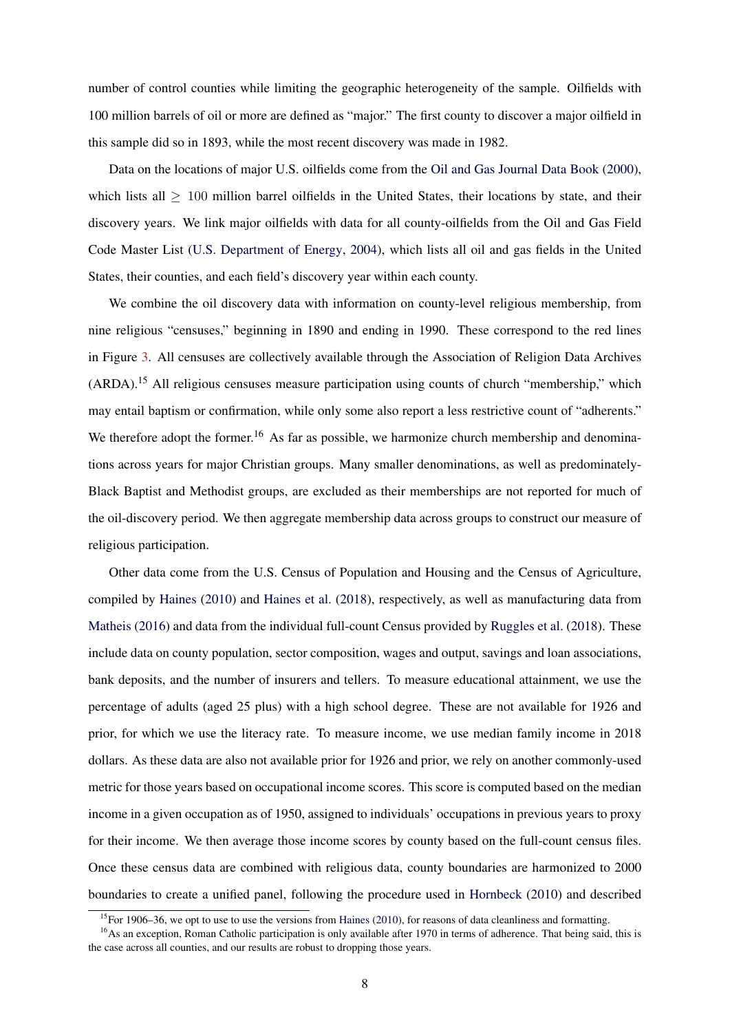number of control counties while limiting the geographic heterogeneity of the sample. Oilfields with 100 million barrels of oil or more are defined as "major." The first county to discover a major oilfield in this sample did so in 1893, while the most recent discovery was made in 1982.

Data on the locations of major U.S. oilfields come from the [Oil and Gas Journal Data Book](#page-28-0) [\(2000\)](#page-28-0), which lists all  $> 100$  million barrel oilfields in the United States, their locations by state, and their discovery years. We link major oilfields with data for all county-oilfields from the Oil and Gas Field Code Master List [\(U.S. Department of Energy,](#page-29-0) [2004\)](#page-29-0), which lists all oil and gas fields in the United States, their counties, and each field's discovery year within each county.

We combine the oil discovery data with information on county-level religious membership, from nine religious "censuses," beginning in 1890 and ending in 1990. These correspond to the red lines in Figure [3.](#page-38-0) All censuses are collectively available through the Association of Religion Data Archives (ARDA).<sup>15</sup> All religious censuses measure participation using counts of church "membership," which may entail baptism or confirmation, while only some also report a less restrictive count of "adherents." We therefore adopt the former.<sup>16</sup> As far as possible, we harmonize church membership and denominations across years for major Christian groups. Many smaller denominations, as well as predominately-Black Baptist and Methodist groups, are excluded as their memberships are not reported for much of the oil-discovery period. We then aggregate membership data across groups to construct our measure of religious participation.

Other data come from the U.S. Census of Population and Housing and the Census of Agriculture, compiled by [Haines](#page-28-0) [\(2010\)](#page-28-0) and [Haines et al.](#page-28-0) [\(2018\)](#page-28-0), respectively, as well as manufacturing data from [Matheis](#page-28-0) [\(2016\)](#page-28-0) and data from the individual full-count Census provided by [Ruggles et al.](#page-29-0) [\(2018\)](#page-29-0). These include data on county population, sector composition, wages and output, savings and loan associations, bank deposits, and the number of insurers and tellers. To measure educational attainment, we use the percentage of adults (aged 25 plus) with a high school degree. These are not available for 1926 and prior, for which we use the literacy rate. To measure income, we use median family income in 2018 dollars. As these data are also not available prior for 1926 and prior, we rely on another commonly-used metric for those years based on occupational income scores. This score is computed based on the median income in a given occupation as of 1950, assigned to individuals' occupations in previous years to proxy for their income. We then average those income scores by county based on the full-count census files. Once these census data are combined with religious data, county boundaries are harmonized to 2000 boundaries to create a unified panel, following the procedure used in [Hornbeck](#page-28-0) [\(2010\)](#page-28-0) and described

<sup>&</sup>lt;sup>15</sup>For 1906–36, we opt to use to use the versions from [Haines](#page-28-0) [\(2010\)](#page-28-0), for reasons of data cleanliness and formatting.

<sup>&</sup>lt;sup>16</sup>As an exception, Roman Catholic participation is only available after 1970 in terms of adherence. That being said, this is the case across all counties, and our results are robust to dropping those years.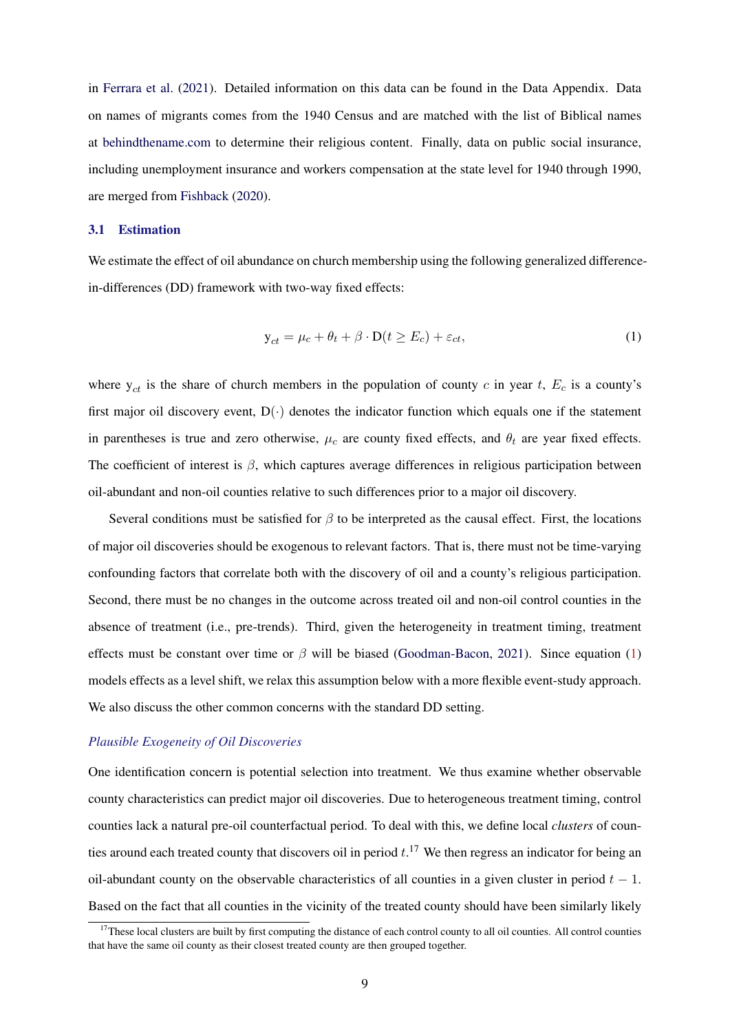<span id="page-9-0"></span>in [Ferrara et al.](#page-28-0) [\(2021\)](#page-28-0). Detailed information on this data can be found in the Data Appendix. Data on names of migrants comes from the 1940 Census and are matched with the list of Biblical names at [behindthename.com](https://www.behindthename.com/namesakes/list/biblical/alpha) to determine their religious content. Finally, data on public social insurance, including unemployment insurance and workers compensation at the state level for 1940 through 1990, are merged from [Fishback](#page-28-0) [\(2020\)](#page-28-0).

#### 3.1 Estimation

We estimate the effect of oil abundance on church membership using the following generalized differencein-differences (DD) framework with two-way fixed effects:

$$
y_{ct} = \mu_c + \theta_t + \beta \cdot D(t \ge E_c) + \varepsilon_{ct},\tag{1}
$$

where  $y_{ct}$  is the share of church members in the population of county c in year t,  $E_c$  is a county's first major oil discovery event,  $D(\cdot)$  denotes the indicator function which equals one if the statement in parentheses is true and zero otherwise,  $\mu_c$  are county fixed effects, and  $\theta_t$  are year fixed effects. The coefficient of interest is  $\beta$ , which captures average differences in religious participation between oil-abundant and non-oil counties relative to such differences prior to a major oil discovery.

Several conditions must be satisfied for  $\beta$  to be interpreted as the causal effect. First, the locations of major oil discoveries should be exogenous to relevant factors. That is, there must not be time-varying confounding factors that correlate both with the discovery of oil and a county's religious participation. Second, there must be no changes in the outcome across treated oil and non-oil control counties in the absence of treatment (i.e., pre-trends). Third, given the heterogeneity in treatment timing, treatment effects must be constant over time or  $\beta$  will be biased [\(Goodman-Bacon,](#page-28-0) [2021\)](#page-28-0). Since equation (1) models effects as a level shift, we relax this assumption below with a more flexible event-study approach. We also discuss the other common concerns with the standard DD setting.

#### *Plausible Exogeneity of Oil Discoveries*

One identification concern is potential selection into treatment. We thus examine whether observable county characteristics can predict major oil discoveries. Due to heterogeneous treatment timing, control counties lack a natural pre-oil counterfactual period. To deal with this, we define local *clusters* of counties around each treated county that discovers oil in period  $t$ .<sup>17</sup> We then regress an indicator for being an oil-abundant county on the observable characteristics of all counties in a given cluster in period  $t - 1$ . Based on the fact that all counties in the vicinity of the treated county should have been similarly likely

 $17$ These local clusters are built by first computing the distance of each control county to all oil counties. All control counties that have the same oil county as their closest treated county are then grouped together.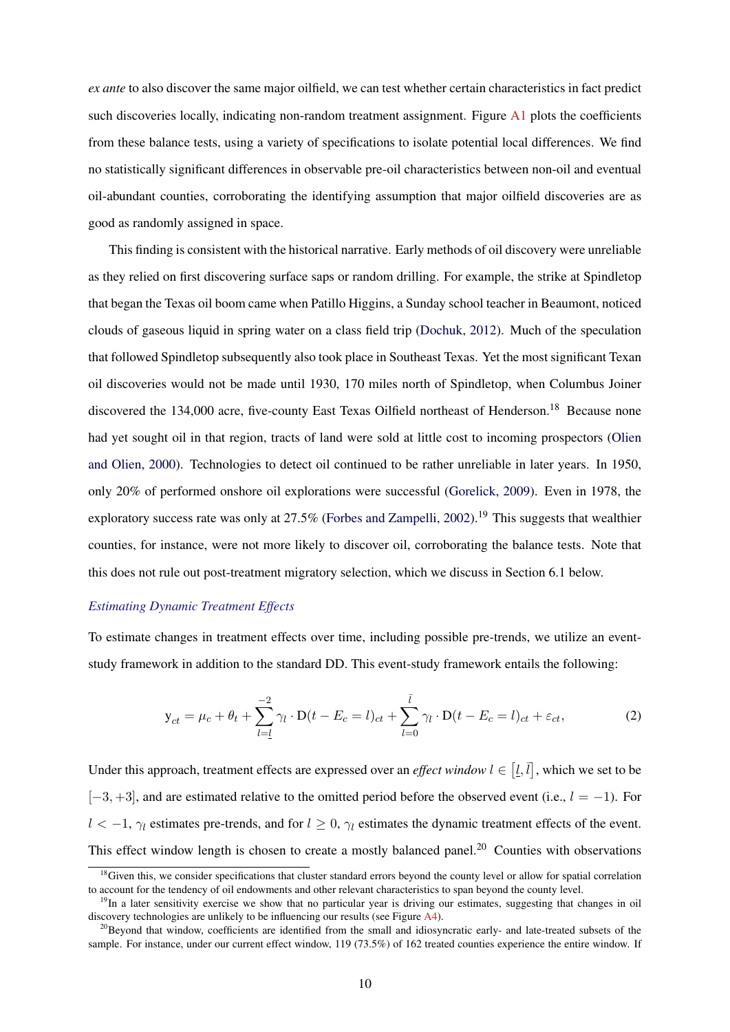<span id="page-10-0"></span>*ex ante* to also discover the same major oilfield, we can test whether certain characteristics in fact predict such discoveries locally, indicating non-random treatment assignment. Figure [A1](#page-0-0) plots the coefficients from these balance tests, using a variety of specifications to isolate potential local differences. We find no statistically significant differences in observable pre-oil characteristics between non-oil and eventual oil-abundant counties, corroborating the identifying assumption that major oilfield discoveries are as good as randomly assigned in space.

This finding is consistent with the historical narrative. Early methods of oil discovery were unreliable as they relied on first discovering surface saps or random drilling. For example, the strike at Spindletop that began the Texas oil boom came when Patillo Higgins, a Sunday school teacher in Beaumont, noticed clouds of gaseous liquid in spring water on a class field trip [\(Dochuk,](#page-27-0) [2012\)](#page-27-0). Much of the speculation that followed Spindletop subsequently also took place in Southeast Texas. Yet the most significant Texan oil discoveries would not be made until 1930, 170 miles north of Spindletop, when Columbus Joiner discovered the 134,000 acre, five-county East Texas Oilfield northeast of Henderson.<sup>18</sup> Because none had yet sought oil in that region, tracts of land were sold at little cost to incoming prospectors [\(Olien](#page-29-0) [and Olien,](#page-29-0) [2000\)](#page-29-0). Technologies to detect oil continued to be rather unreliable in later years. In 1950, only 20% of performed onshore oil explorations were successful [\(Gorelick,](#page-28-0) [2009\)](#page-28-0). Even in 1978, the exploratory success rate was only at  $27.5\%$  [\(Forbes and Zampelli,](#page-28-0) [2002\)](#page-28-0).<sup>19</sup> This suggests that wealthier counties, for instance, were not more likely to discover oil, corroborating the balance tests. Note that this does not rule out post-treatment migratory selection, which we discuss in Section 6.1 below.

## *Estimating Dynamic Treatment Effects*

To estimate changes in treatment effects over time, including possible pre-trends, we utilize an eventstudy framework in addition to the standard DD. This event-study framework entails the following:

$$
y_{ct} = \mu_c + \theta_t + \sum_{l=1}^{-2} \gamma_l \cdot D(t - E_c = l)_{ct} + \sum_{l=0}^{\bar{l}} \gamma_l \cdot D(t - E_c = l)_{ct} + \varepsilon_{ct},
$$
 (2)

Under this approach, treatment effects are expressed over an *effect window*  $l \in [\underline{l}, \overline{l}]$ , which we set to be  $[-3, +3]$ , and are estimated relative to the omitted period before the observed event (i.e.,  $l = -1$ ). For  $l < -1$ ,  $\gamma_l$  estimates pre-trends, and for  $l \geq 0$ ,  $\gamma_l$  estimates the dynamic treatment effects of the event. This effect window length is chosen to create a mostly balanced panel.<sup>20</sup> Counties with observations

<sup>&</sup>lt;sup>18</sup>Given this, we consider specifications that cluster standard errors beyond the county level or allow for spatial correlation to account for the tendency of oil endowments and other relevant characteristics to span beyond the county level.

 $19$ In a later sensitivity exercise we show that no particular year is driving our estimates, suggesting that changes in oil discovery technologies are unlikely to be influencing our results (see Figure [A4\)](#page-39-0).

 $^{20}$ Beyond that window, coefficients are identified from the small and idiosyncratic early- and late-treated subsets of the sample. For instance, under our current effect window, 119 (73.5%) of 162 treated counties experience the entire window. If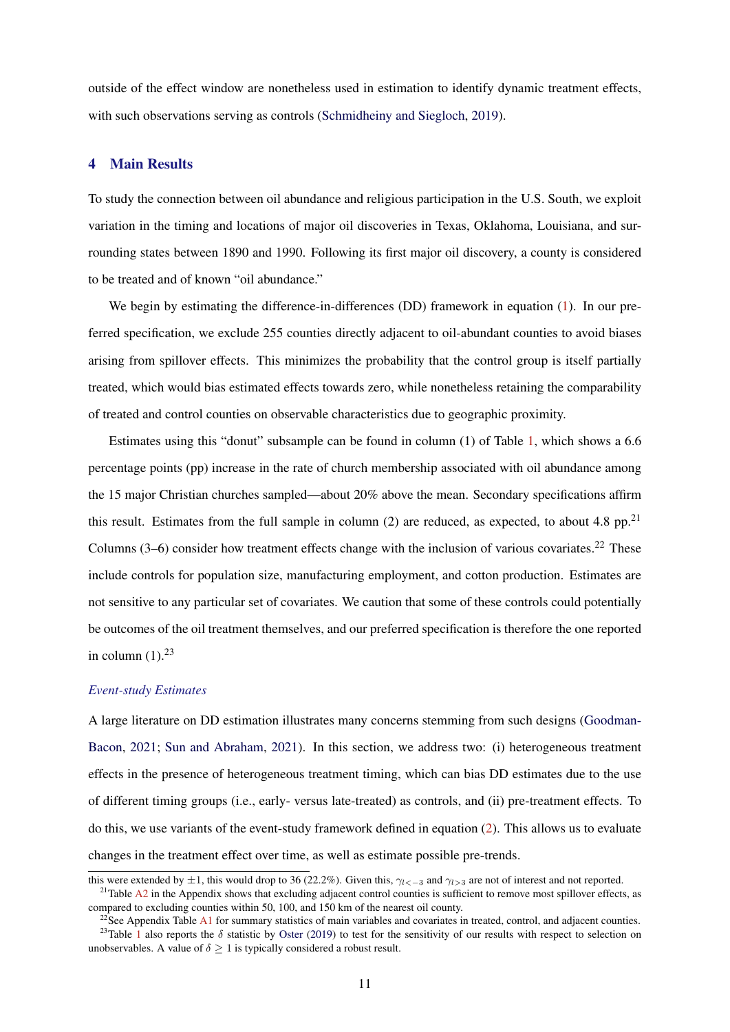outside of the effect window are nonetheless used in estimation to identify dynamic treatment effects, with such observations serving as controls [\(Schmidheiny and Siegloch,](#page-29-0) [2019\)](#page-29-0).

#### 4 Main Results

To study the connection between oil abundance and religious participation in the U.S. South, we exploit variation in the timing and locations of major oil discoveries in Texas, Oklahoma, Louisiana, and surrounding states between 1890 and 1990. Following its first major oil discovery, a county is considered to be treated and of known "oil abundance."

We begin by estimating the difference-in-differences (DD) framework in equation [\(1\)](#page-9-0). In our preferred specification, we exclude 255 counties directly adjacent to oil-abundant counties to avoid biases arising from spillover effects. This minimizes the probability that the control group is itself partially treated, which would bias estimated effects towards zero, while nonetheless retaining the comparability of treated and control counties on observable characteristics due to geographic proximity.

Estimates using this "donut" subsample can be found in column (1) of Table [1,](#page-30-0) which shows a 6.6 percentage points (pp) increase in the rate of church membership associated with oil abundance among the 15 major Christian churches sampled—about 20% above the mean. Secondary specifications affirm this result. Estimates from the full sample in column (2) are reduced, as expected, to about 4.8 pp.<sup>21</sup> Columns  $(3-6)$  consider how treatment effects change with the inclusion of various covariates.<sup>22</sup> These include controls for population size, manufacturing employment, and cotton production. Estimates are not sensitive to any particular set of covariates. We caution that some of these controls could potentially be outcomes of the oil treatment themselves, and our preferred specification is therefore the one reported in column  $(1).^{23}$ 

## *Event-study Estimates*

A large literature on DD estimation illustrates many concerns stemming from such designs [\(Goodman-](#page-28-0)[Bacon,](#page-28-0) [2021;](#page-28-0) [Sun and Abraham,](#page-29-0) [2021\)](#page-29-0). In this section, we address two: (i) heterogeneous treatment effects in the presence of heterogeneous treatment timing, which can bias DD estimates due to the use of different timing groups (i.e., early- versus late-treated) as controls, and (ii) pre-treatment effects. To do this, we use variants of the event-study framework defined in equation [\(2\)](#page-10-0). This allows us to evaluate changes in the treatment effect over time, as well as estimate possible pre-trends.

this were extended by  $\pm 1$ , this would drop to 36 (22.2%). Given this,  $\gamma_{k-3}$  and  $\gamma_{k-3}$  are not of interest and not reported.

 $21$ Table [A2](#page-31-0) in the Appendix shows that excluding adjacent control counties is sufficient to remove most spillover effects, as compared to excluding counties within 50, 100, and 150 km of the nearest oil county.

 $22$ See Appendix Table [A1](#page-30-0) for summary statistics of main variables and covariates in treated, control, and adjacent counties. <sup>23</sup>Table [1](#page-30-0) also reports the  $\delta$  statistic by [Oster](#page-29-0) [\(2019\)](#page-29-0) to test for the sensitivity of our results with respect to selection on unobservables. A value of  $\delta \geq 1$  is typically considered a robust result.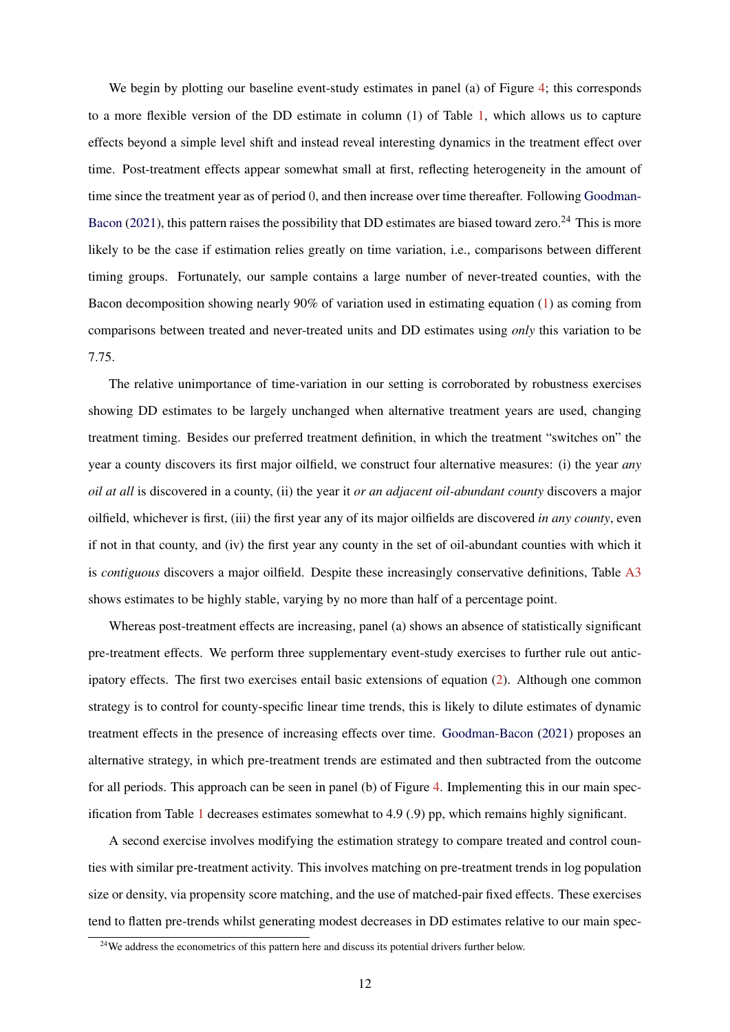We begin by plotting our baseline event-study estimates in panel (a) of Figure [4;](#page-39-0) this corresponds to a more flexible version of the DD estimate in column (1) of Table [1,](#page-30-0) which allows us to capture effects beyond a simple level shift and instead reveal interesting dynamics in the treatment effect over time. Post-treatment effects appear somewhat small at first, reflecting heterogeneity in the amount of time since the treatment year as of period 0, and then increase over time thereafter. Following [Goodman-](#page-28-0)[Bacon](#page-28-0) [\(2021\)](#page-28-0), this pattern raises the possibility that DD estimates are biased toward zero.<sup>24</sup> This is more likely to be the case if estimation relies greatly on time variation, i.e., comparisons between different timing groups. Fortunately, our sample contains a large number of never-treated counties, with the Bacon decomposition showing nearly 90% of variation used in estimating equation [\(1\)](#page-9-0) as coming from comparisons between treated and never-treated units and DD estimates using *only* this variation to be 7.75.

The relative unimportance of time-variation in our setting is corroborated by robustness exercises showing DD estimates to be largely unchanged when alternative treatment years are used, changing treatment timing. Besides our preferred treatment definition, in which the treatment "switches on" the year a county discovers its first major oilfield, we construct four alternative measures: (i) the year *any oil at all* is discovered in a county, (ii) the year it *or an adjacent oil-abundant county* discovers a major oilfield, whichever is first, (iii) the first year any of its major oilfields are discovered *in any county*, even if not in that county, and (iv) the first year any county in the set of oil-abundant counties with which it is *contiguous* discovers a major oilfield. Despite these increasingly conservative definitions, Table [A3](#page-32-0) shows estimates to be highly stable, varying by no more than half of a percentage point.

Whereas post-treatment effects are increasing, panel (a) shows an absence of statistically significant pre-treatment effects. We perform three supplementary event-study exercises to further rule out anticipatory effects. The first two exercises entail basic extensions of equation [\(2\)](#page-10-0). Although one common strategy is to control for county-specific linear time trends, this is likely to dilute estimates of dynamic treatment effects in the presence of increasing effects over time. [Goodman-Bacon](#page-28-0) [\(2021\)](#page-28-0) proposes an alternative strategy, in which pre-treatment trends are estimated and then subtracted from the outcome for all periods. This approach can be seen in panel (b) of Figure [4.](#page-39-0) Implementing this in our main specification from Table [1](#page-30-0) decreases estimates somewhat to 4.9 (.9) pp, which remains highly significant.

A second exercise involves modifying the estimation strategy to compare treated and control counties with similar pre-treatment activity. This involves matching on pre-treatment trends in log population size or density, via propensity score matching, and the use of matched-pair fixed effects. These exercises tend to flatten pre-trends whilst generating modest decreases in DD estimates relative to our main spec-

 $24$ We address the econometrics of this pattern here and discuss its potential drivers further below.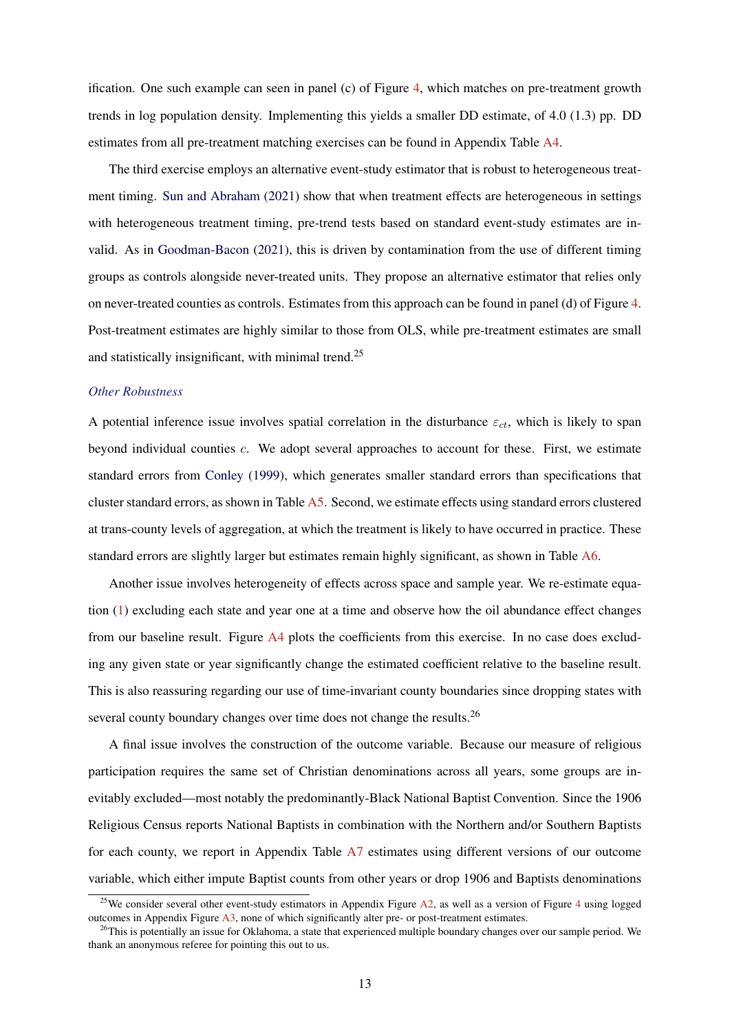ification. One such example can seen in panel (c) of Figure [4,](#page-39-0) which matches on pre-treatment growth trends in log population density. Implementing this yields a smaller DD estimate, of 4.0 (1.3) pp. DD estimates from all pre-treatment matching exercises can be found in Appendix Table [A4.](#page-33-0)

The third exercise employs an alternative event-study estimator that is robust to heterogeneous treatment timing. [Sun and Abraham](#page-29-0) [\(2021\)](#page-29-0) show that when treatment effects are heterogeneous in settings with heterogeneous treatment timing, pre-trend tests based on standard event-study estimates are invalid. As in [Goodman-Bacon](#page-28-0) [\(2021\)](#page-28-0), this is driven by contamination from the use of different timing groups as controls alongside never-treated units. They propose an alternative estimator that relies only on never-treated counties as controls. Estimates from this approach can be found in panel (d) of Figure [4.](#page-39-0) Post-treatment estimates are highly similar to those from OLS, while pre-treatment estimates are small and statistically insignificant, with minimal trend.<sup>25</sup>

## *Other Robustness*

A potential inference issue involves spatial correlation in the disturbance  $\varepsilon_{ct}$ , which is likely to span beyond individual counties c. We adopt several approaches to account for these. First, we estimate standard errors from [Conley](#page-27-0) [\(1999\)](#page-27-0), which generates smaller standard errors than specifications that cluster standard errors, as shown in Table [A5.](#page-34-0) Second, we estimate effects using standard errors clustered at trans-county levels of aggregation, at which the treatment is likely to have occurred in practice. These standard errors are slightly larger but estimates remain highly significant, as shown in Table [A6.](#page-35-0)

Another issue involves heterogeneity of effects across space and sample year. We re-estimate equation [\(1\)](#page-9-0) excluding each state and year one at a time and observe how the oil abundance effect changes from our baseline result. Figure [A4](#page-39-0) plots the coefficients from this exercise. In no case does excluding any given state or year significantly change the estimated coefficient relative to the baseline result. This is also reassuring regarding our use of time-invariant county boundaries since dropping states with several county boundary changes over time does not change the results.<sup>26</sup>

A final issue involves the construction of the outcome variable. Because our measure of religious participation requires the same set of Christian denominations across all years, some groups are inevitably excluded—most notably the predominantly-Black National Baptist Convention. Since the 1906 Religious Census reports National Baptists in combination with the Northern and/or Southern Baptists for each county, we report in Appendix Table [A7](#page-35-0) estimates using different versions of our outcome variable, which either impute Baptist counts from other years or drop 1906 and Baptists denominations

<sup>&</sup>lt;sup>25</sup>We consider several other event-study estimators in Appendix Figure  $A2$ , as well as a version of Figure [4](#page-39-0) using logged outcomes in Appendix Figure [A3,](#page-0-0) none of which significantly alter pre- or post-treatment estimates.

 $^{26}$ This is potentially an issue for Oklahoma, a state that experienced multiple boundary changes over our sample period. We thank an anonymous referee for pointing this out to us.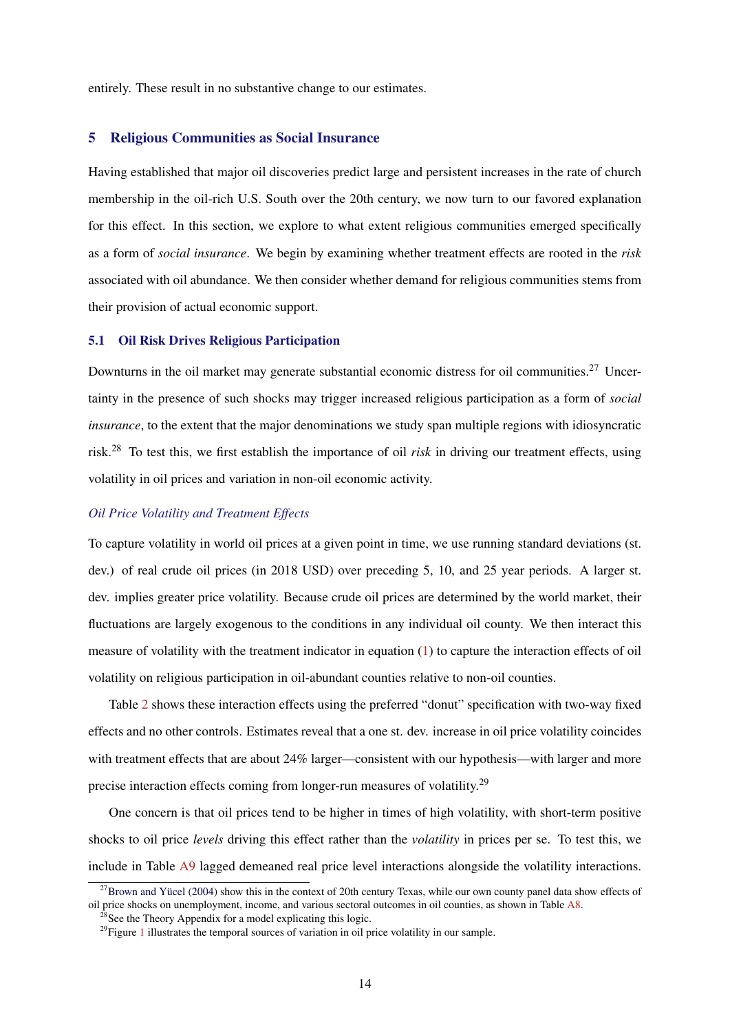entirely. These result in no substantive change to our estimates.

#### 5 Religious Communities as Social Insurance

Having established that major oil discoveries predict large and persistent increases in the rate of church membership in the oil-rich U.S. South over the 20th century, we now turn to our favored explanation for this effect. In this section, we explore to what extent religious communities emerged specifically as a form of *social insurance*. We begin by examining whether treatment effects are rooted in the *risk* associated with oil abundance. We then consider whether demand for religious communities stems from their provision of actual economic support.

## 5.1 Oil Risk Drives Religious Participation

Downturns in the oil market may generate substantial economic distress for oil communities.<sup>27</sup> Uncertainty in the presence of such shocks may trigger increased religious participation as a form of *social insurance*, to the extent that the major denominations we study span multiple regions with idiosyncratic risk.<sup>28</sup> To test this, we first establish the importance of oil *risk* in driving our treatment effects, using volatility in oil prices and variation in non-oil economic activity.

## *Oil Price Volatility and Treatment Effects*

To capture volatility in world oil prices at a given point in time, we use running standard deviations (st. dev.) of real crude oil prices (in 2018 USD) over preceding 5, 10, and 25 year periods. A larger st. dev. implies greater price volatility. Because crude oil prices are determined by the world market, their fluctuations are largely exogenous to the conditions in any individual oil county. We then interact this measure of volatility with the treatment indicator in equation  $(1)$  to capture the interaction effects of oil volatility on religious participation in oil-abundant counties relative to non-oil counties.

Table [2](#page-31-0) shows these interaction effects using the preferred "donut" specification with two-way fixed effects and no other controls. Estimates reveal that a one st. dev. increase in oil price volatility coincides with treatment effects that are about 24% larger—consistent with our hypothesis—with larger and more precise interaction effects coming from longer-run measures of volatility.<sup>29</sup>

One concern is that oil prices tend to be higher in times of high volatility, with short-term positive shocks to oil price *levels* driving this effect rather than the *volatility* in prices per se. To test this, we include in Table [A9](#page-0-0) lagged demeaned real price level interactions alongside the volatility interactions.

 $27$ [Brown and Yücel](#page-27-0) [\(2004\)](#page-27-0) show this in the context of 20th century Texas, while our own county panel data show effects of oil price shocks on unemployment, income, and various sectoral outcomes in oil counties, as shown in Table [A8.](#page-36-0)

 $^{28}$ See the Theory Appendix for a model explicating this logic.

 $29$ Figure [1](#page-37-0) illustrates the temporal sources of variation in oil price volatility in our sample.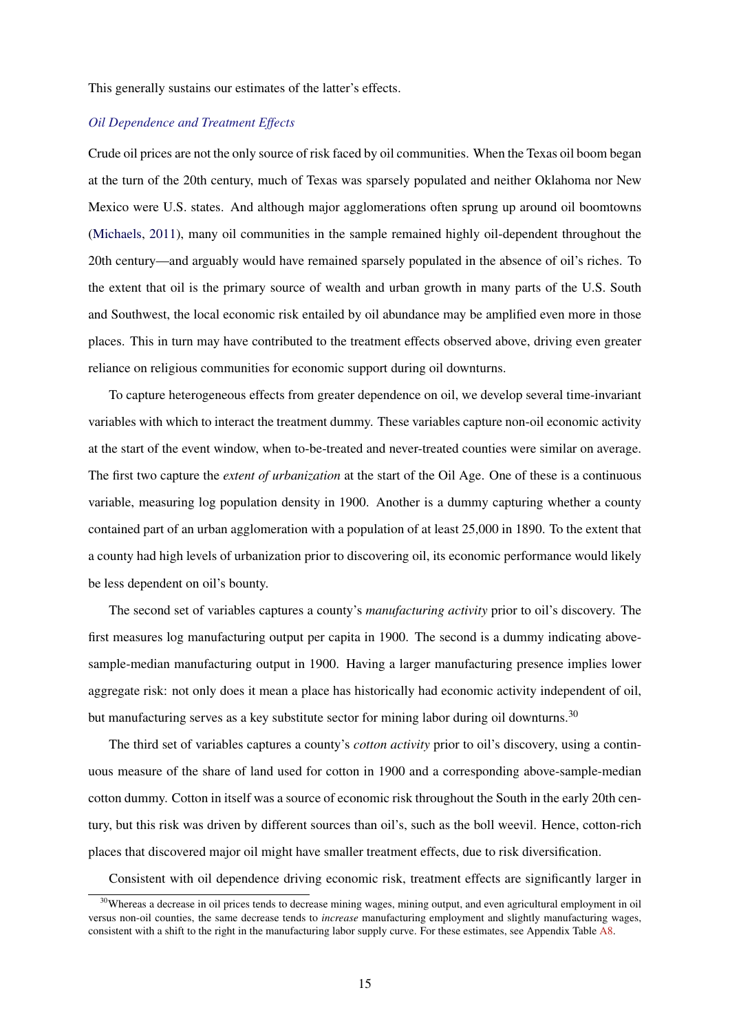This generally sustains our estimates of the latter's effects.

#### *Oil Dependence and Treatment Effects*

Crude oil prices are not the only source of risk faced by oil communities. When the Texas oil boom began at the turn of the 20th century, much of Texas was sparsely populated and neither Oklahoma nor New Mexico were U.S. states. And although major agglomerations often sprung up around oil boomtowns [\(Michaels,](#page-28-0) [2011\)](#page-28-0), many oil communities in the sample remained highly oil-dependent throughout the 20th century—and arguably would have remained sparsely populated in the absence of oil's riches. To the extent that oil is the primary source of wealth and urban growth in many parts of the U.S. South and Southwest, the local economic risk entailed by oil abundance may be amplified even more in those places. This in turn may have contributed to the treatment effects observed above, driving even greater reliance on religious communities for economic support during oil downturns.

To capture heterogeneous effects from greater dependence on oil, we develop several time-invariant variables with which to interact the treatment dummy. These variables capture non-oil economic activity at the start of the event window, when to-be-treated and never-treated counties were similar on average. The first two capture the *extent of urbanization* at the start of the Oil Age. One of these is a continuous variable, measuring log population density in 1900. Another is a dummy capturing whether a county contained part of an urban agglomeration with a population of at least 25,000 in 1890. To the extent that a county had high levels of urbanization prior to discovering oil, its economic performance would likely be less dependent on oil's bounty.

The second set of variables captures a county's *manufacturing activity* prior to oil's discovery. The first measures log manufacturing output per capita in 1900. The second is a dummy indicating abovesample-median manufacturing output in 1900. Having a larger manufacturing presence implies lower aggregate risk: not only does it mean a place has historically had economic activity independent of oil, but manufacturing serves as a key substitute sector for mining labor during oil downturns.<sup>30</sup>

The third set of variables captures a county's *cotton activity* prior to oil's discovery, using a continuous measure of the share of land used for cotton in 1900 and a corresponding above-sample-median cotton dummy. Cotton in itself was a source of economic risk throughout the South in the early 20th century, but this risk was driven by different sources than oil's, such as the boll weevil. Hence, cotton-rich places that discovered major oil might have smaller treatment effects, due to risk diversification.

Consistent with oil dependence driving economic risk, treatment effects are significantly larger in

<sup>&</sup>lt;sup>30</sup>Whereas a decrease in oil prices tends to decrease mining wages, mining output, and even agricultural employment in oil versus non-oil counties, the same decrease tends to *increase* manufacturing employment and slightly manufacturing wages, consistent with a shift to the right in the manufacturing labor supply curve. For these estimates, see Appendix Table [A8.](#page-36-0)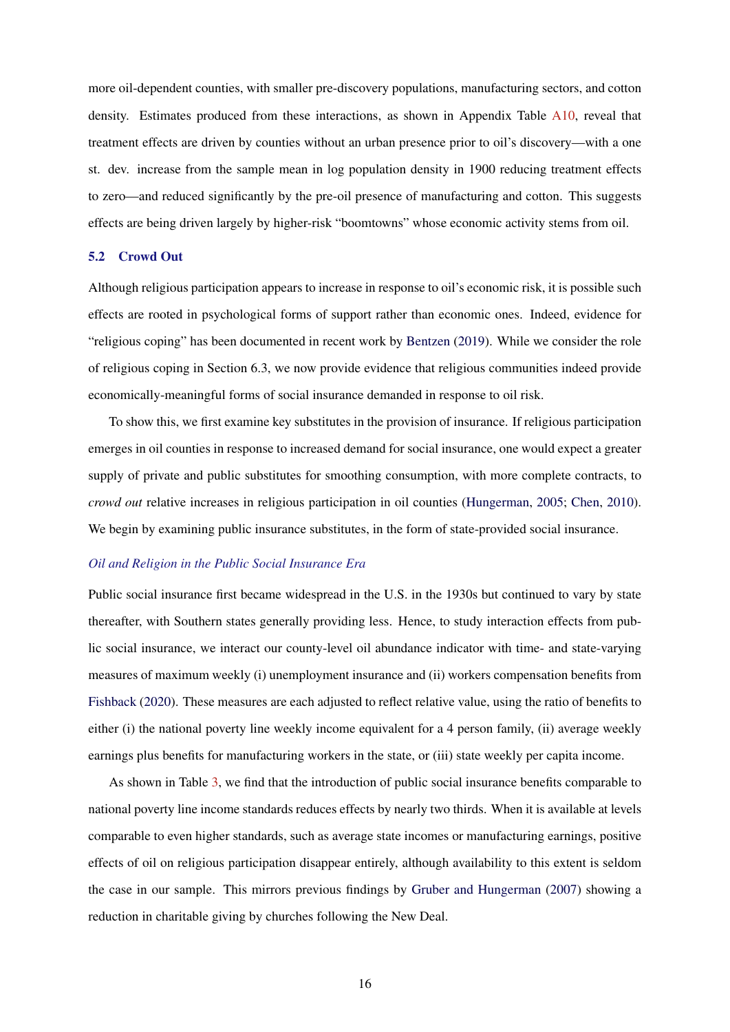more oil-dependent counties, with smaller pre-discovery populations, manufacturing sectors, and cotton density. Estimates produced from these interactions, as shown in Appendix Table [A10,](#page-0-0) reveal that treatment effects are driven by counties without an urban presence prior to oil's discovery—with a one st. dev. increase from the sample mean in log population density in 1900 reducing treatment effects to zero—and reduced significantly by the pre-oil presence of manufacturing and cotton. This suggests effects are being driven largely by higher-risk "boomtowns" whose economic activity stems from oil.

#### 5.2 Crowd Out

Although religious participation appears to increase in response to oil's economic risk, it is possible such effects are rooted in psychological forms of support rather than economic ones. Indeed, evidence for "religious coping" has been documented in recent work by [Bentzen](#page-27-0) [\(2019\)](#page-27-0). While we consider the role of religious coping in Section 6.3, we now provide evidence that religious communities indeed provide economically-meaningful forms of social insurance demanded in response to oil risk.

To show this, we first examine key substitutes in the provision of insurance. If religious participation emerges in oil counties in response to increased demand for social insurance, one would expect a greater supply of private and public substitutes for smoothing consumption, with more complete contracts, to *crowd out* relative increases in religious participation in oil counties [\(Hungerman,](#page-28-0) [2005;](#page-28-0) [Chen,](#page-27-0) [2010\)](#page-27-0). We begin by examining public insurance substitutes, in the form of state-provided social insurance.

## *Oil and Religion in the Public Social Insurance Era*

Public social insurance first became widespread in the U.S. in the 1930s but continued to vary by state thereafter, with Southern states generally providing less. Hence, to study interaction effects from public social insurance, we interact our county-level oil abundance indicator with time- and state-varying measures of maximum weekly (i) unemployment insurance and (ii) workers compensation benefits from [Fishback](#page-28-0) [\(2020\)](#page-28-0). These measures are each adjusted to reflect relative value, using the ratio of benefits to either (i) the national poverty line weekly income equivalent for a 4 person family, (ii) average weekly earnings plus benefits for manufacturing workers in the state, or (iii) state weekly per capita income.

As shown in Table [3,](#page-32-0) we find that the introduction of public social insurance benefits comparable to national poverty line income standards reduces effects by nearly two thirds. When it is available at levels comparable to even higher standards, such as average state incomes or manufacturing earnings, positive effects of oil on religious participation disappear entirely, although availability to this extent is seldom the case in our sample. This mirrors previous findings by [Gruber and Hungerman](#page-28-0) [\(2007\)](#page-28-0) showing a reduction in charitable giving by churches following the New Deal.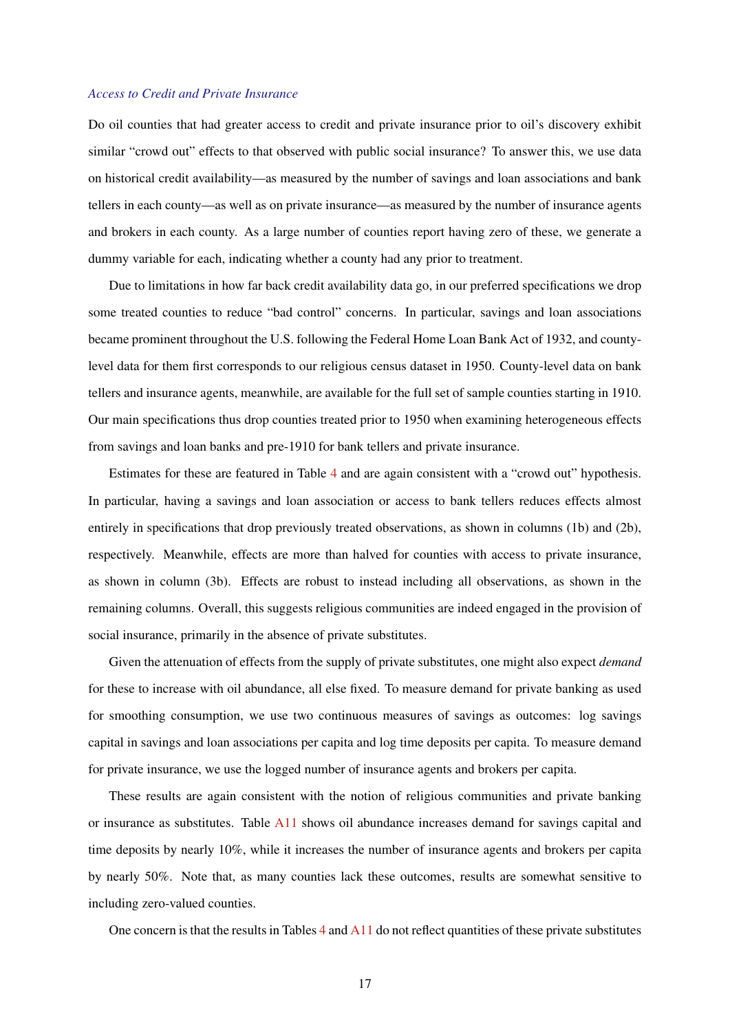#### *Access to Credit and Private Insurance*

Do oil counties that had greater access to credit and private insurance prior to oil's discovery exhibit similar "crowd out" effects to that observed with public social insurance? To answer this, we use data on historical credit availability—as measured by the number of savings and loan associations and bank tellers in each county—as well as on private insurance—as measured by the number of insurance agents and brokers in each county. As a large number of counties report having zero of these, we generate a dummy variable for each, indicating whether a county had any prior to treatment.

Due to limitations in how far back credit availability data go, in our preferred specifications we drop some treated counties to reduce "bad control" concerns. In particular, savings and loan associations became prominent throughout the U.S. following the Federal Home Loan Bank Act of 1932, and countylevel data for them first corresponds to our religious census dataset in 1950. County-level data on bank tellers and insurance agents, meanwhile, are available for the full set of sample counties starting in 1910. Our main specifications thus drop counties treated prior to 1950 when examining heterogeneous effects from savings and loan banks and pre-1910 for bank tellers and private insurance.

Estimates for these are featured in Table [4](#page-33-0) and are again consistent with a "crowd out" hypothesis. In particular, having a savings and loan association or access to bank tellers reduces effects almost entirely in specifications that drop previously treated observations, as shown in columns (1b) and (2b), respectively. Meanwhile, effects are more than halved for counties with access to private insurance, as shown in column (3b). Effects are robust to instead including all observations, as shown in the remaining columns. Overall, this suggests religious communities are indeed engaged in the provision of social insurance, primarily in the absence of private substitutes.

Given the attenuation of effects from the supply of private substitutes, one might also expect *demand* for these to increase with oil abundance, all else fixed. To measure demand for private banking as used for smoothing consumption, we use two continuous measures of savings as outcomes: log savings capital in savings and loan associations per capita and log time deposits per capita. To measure demand for private insurance, we use the logged number of insurance agents and brokers per capita.

These results are again consistent with the notion of religious communities and private banking or insurance as substitutes. Table [A11](#page-0-0) shows oil abundance increases demand for savings capital and time deposits by nearly 10%, while it increases the number of insurance agents and brokers per capita by nearly 50%. Note that, as many counties lack these outcomes, results are somewhat sensitive to including zero-valued counties.

One concern is that the results in Tables [4](#page-33-0) and [A11](#page-0-0) do not reflect quantities of these private substitutes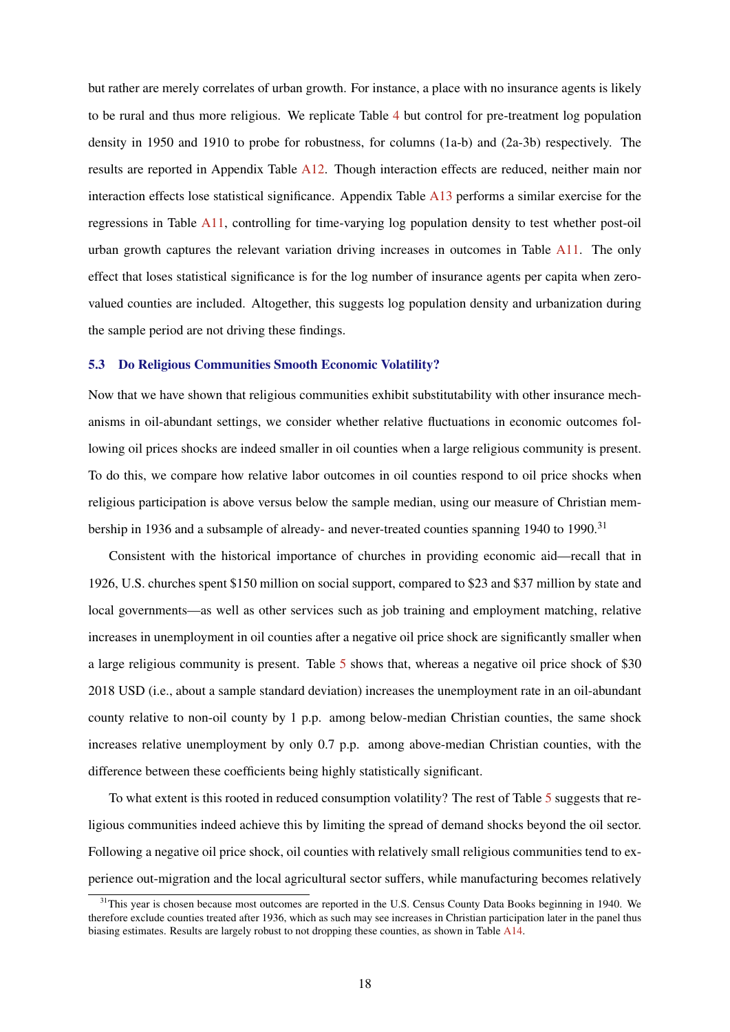but rather are merely correlates of urban growth. For instance, a place with no insurance agents is likely to be rural and thus more religious. We replicate Table [4](#page-33-0) but control for pre-treatment log population density in 1950 and 1910 to probe for robustness, for columns (1a-b) and (2a-3b) respectively. The results are reported in Appendix Table [A12.](#page-0-0) Though interaction effects are reduced, neither main nor interaction effects lose statistical significance. Appendix Table [A13](#page-0-0) performs a similar exercise for the regressions in Table [A11,](#page-0-0) controlling for time-varying log population density to test whether post-oil urban growth captures the relevant variation driving increases in outcomes in Table [A11.](#page-0-0) The only effect that loses statistical significance is for the log number of insurance agents per capita when zerovalued counties are included. Altogether, this suggests log population density and urbanization during the sample period are not driving these findings.

#### 5.3 Do Religious Communities Smooth Economic Volatility?

Now that we have shown that religious communities exhibit substitutability with other insurance mechanisms in oil-abundant settings, we consider whether relative fluctuations in economic outcomes following oil prices shocks are indeed smaller in oil counties when a large religious community is present. To do this, we compare how relative labor outcomes in oil counties respond to oil price shocks when religious participation is above versus below the sample median, using our measure of Christian membership in 1936 and a subsample of already- and never-treated counties spanning 1940 to 1990.<sup>31</sup>

Consistent with the historical importance of churches in providing economic aid—recall that in 1926, U.S. churches spent \$150 million on social support, compared to \$23 and \$37 million by state and local governments—as well as other services such as job training and employment matching, relative increases in unemployment in oil counties after a negative oil price shock are significantly smaller when a large religious community is present. Table [5](#page-34-0) shows that, whereas a negative oil price shock of \$30 2018 USD (i.e., about a sample standard deviation) increases the unemployment rate in an oil-abundant county relative to non-oil county by 1 p.p. among below-median Christian counties, the same shock increases relative unemployment by only 0.7 p.p. among above-median Christian counties, with the difference between these coefficients being highly statistically significant.

To what extent is this rooted in reduced consumption volatility? The rest of Table [5](#page-34-0) suggests that religious communities indeed achieve this by limiting the spread of demand shocks beyond the oil sector. Following a negative oil price shock, oil counties with relatively small religious communities tend to experience out-migration and the local agricultural sector suffers, while manufacturing becomes relatively

<sup>&</sup>lt;sup>31</sup>This year is chosen because most outcomes are reported in the U.S. Census County Data Books beginning in 1940. We therefore exclude counties treated after 1936, which as such may see increases in Christian participation later in the panel thus biasing estimates. Results are largely robust to not dropping these counties, as shown in Table [A14.](#page-0-0)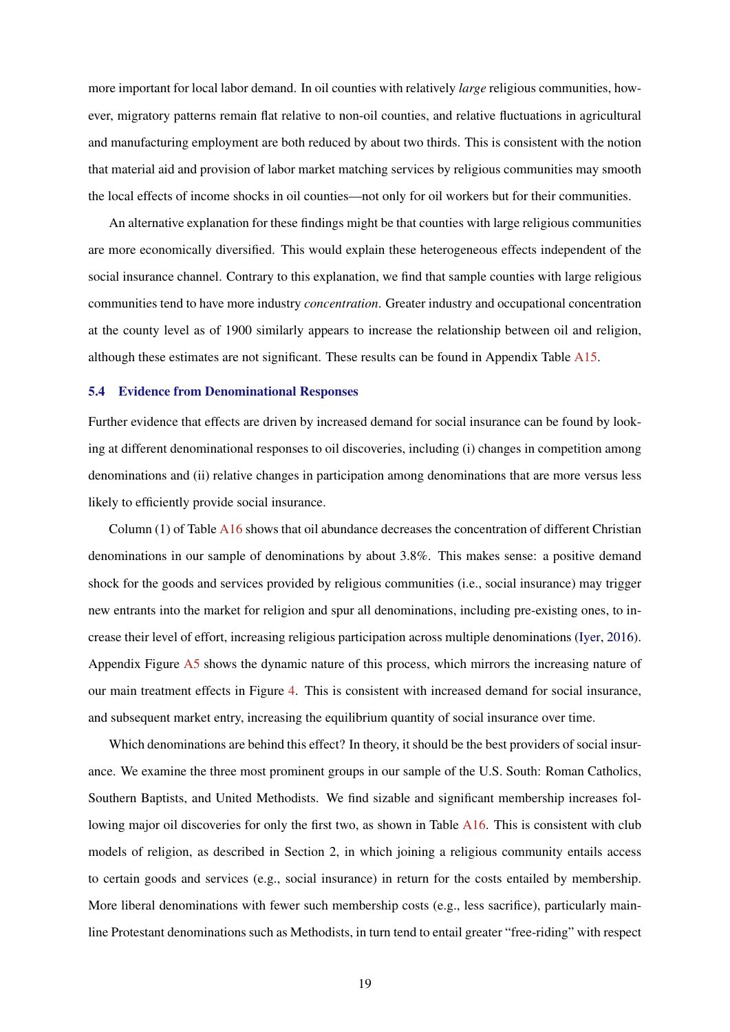more important for local labor demand. In oil counties with relatively *large* religious communities, however, migratory patterns remain flat relative to non-oil counties, and relative fluctuations in agricultural and manufacturing employment are both reduced by about two thirds. This is consistent with the notion that material aid and provision of labor market matching services by religious communities may smooth the local effects of income shocks in oil counties—not only for oil workers but for their communities.

An alternative explanation for these findings might be that counties with large religious communities are more economically diversified. This would explain these heterogeneous effects independent of the social insurance channel. Contrary to this explanation, we find that sample counties with large religious communities tend to have more industry *concentration*. Greater industry and occupational concentration at the county level as of 1900 similarly appears to increase the relationship between oil and religion, although these estimates are not significant. These results can be found in Appendix Table [A15.](#page-0-0)

#### 5.4 Evidence from Denominational Responses

Further evidence that effects are driven by increased demand for social insurance can be found by looking at different denominational responses to oil discoveries, including (i) changes in competition among denominations and (ii) relative changes in participation among denominations that are more versus less likely to efficiently provide social insurance.

Column (1) of Table [A16](#page-0-0) shows that oil abundance decreases the concentration of different Christian denominations in our sample of denominations by about 3.8%. This makes sense: a positive demand shock for the goods and services provided by religious communities (i.e., social insurance) may trigger new entrants into the market for religion and spur all denominations, including pre-existing ones, to increase their level of effort, increasing religious participation across multiple denominations [\(Iyer,](#page-28-0) [2016\)](#page-28-0). Appendix Figure [A5](#page-40-0) shows the dynamic nature of this process, which mirrors the increasing nature of our main treatment effects in Figure [4.](#page-39-0) This is consistent with increased demand for social insurance, and subsequent market entry, increasing the equilibrium quantity of social insurance over time.

Which denominations are behind this effect? In theory, it should be the best providers of social insurance. We examine the three most prominent groups in our sample of the U.S. South: Roman Catholics, Southern Baptists, and United Methodists. We find sizable and significant membership increases fol-lowing major oil discoveries for only the first two, as shown in Table [A16.](#page-0-0) This is consistent with club models of religion, as described in Section 2, in which joining a religious community entails access to certain goods and services (e.g., social insurance) in return for the costs entailed by membership. More liberal denominations with fewer such membership costs (e.g., less sacrifice), particularly mainline Protestant denominations such as Methodists, in turn tend to entail greater "free-riding" with respect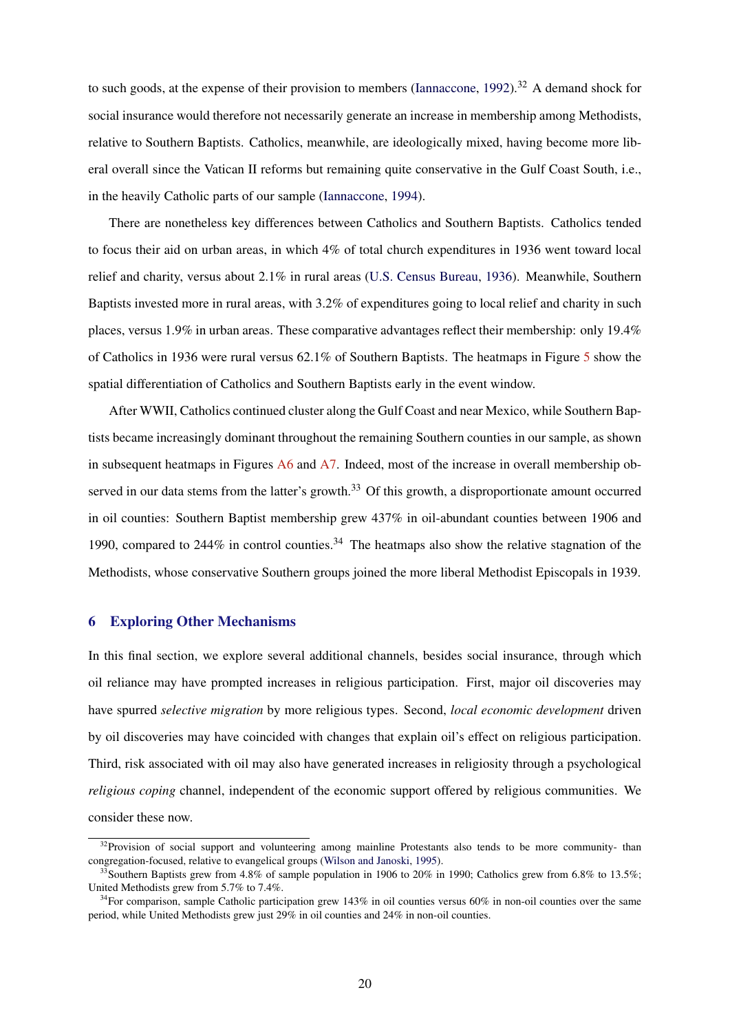to such goods, at the expense of their provision to members [\(Iannaccone,](#page-28-0)  $1992$ ).<sup>32</sup> A demand shock for social insurance would therefore not necessarily generate an increase in membership among Methodists, relative to Southern Baptists. Catholics, meanwhile, are ideologically mixed, having become more liberal overall since the Vatican II reforms but remaining quite conservative in the Gulf Coast South, i.e., in the heavily Catholic parts of our sample [\(Iannaccone,](#page-28-0) [1994\)](#page-28-0).

There are nonetheless key differences between Catholics and Southern Baptists. Catholics tended to focus their aid on urban areas, in which 4% of total church expenditures in 1936 went toward local relief and charity, versus about 2.1% in rural areas [\(U.S. Census Bureau,](#page-29-0) [1936\)](#page-29-0). Meanwhile, Southern Baptists invested more in rural areas, with 3.2% of expenditures going to local relief and charity in such places, versus 1.9% in urban areas. These comparative advantages reflect their membership: only 19.4% of Catholics in 1936 were rural versus 62.1% of Southern Baptists. The heatmaps in Figure [5](#page-40-0) show the spatial differentiation of Catholics and Southern Baptists early in the event window.

After WWII, Catholics continued cluster along the Gulf Coast and near Mexico, while Southern Baptists became increasingly dominant throughout the remaining Southern counties in our sample, as shown in subsequent heatmaps in Figures [A6](#page-0-0) and [A7.](#page-0-0) Indeed, most of the increase in overall membership observed in our data stems from the latter's growth.<sup>33</sup> Of this growth, a disproportionate amount occurred in oil counties: Southern Baptist membership grew 437% in oil-abundant counties between 1906 and 1990, compared to 244% in control counties.<sup>34</sup> The heatmaps also show the relative stagnation of the Methodists, whose conservative Southern groups joined the more liberal Methodist Episcopals in 1939.

## 6 Exploring Other Mechanisms

In this final section, we explore several additional channels, besides social insurance, through which oil reliance may have prompted increases in religious participation. First, major oil discoveries may have spurred *selective migration* by more religious types. Second, *local economic development* driven by oil discoveries may have coincided with changes that explain oil's effect on religious participation. Third, risk associated with oil may also have generated increases in religiosity through a psychological *religious coping* channel, independent of the economic support offered by religious communities. We consider these now.

<sup>&</sup>lt;sup>32</sup>Provision of social support and volunteering among mainline Protestants also tends to be more community- than congregation-focused, relative to evangelical groups [\(Wilson and Janoski,](#page-29-0) [1995\)](#page-29-0).

Southern Baptists grew from 4.8% of sample population in 1906 to 20% in 1990; Catholics grew from 6.8% to 13.5%; United Methodists grew from 5.7% to 7.4%.

<sup>&</sup>lt;sup>34</sup>For comparison, sample Catholic participation grew 143% in oil counties versus 60% in non-oil counties over the same period, while United Methodists grew just 29% in oil counties and 24% in non-oil counties.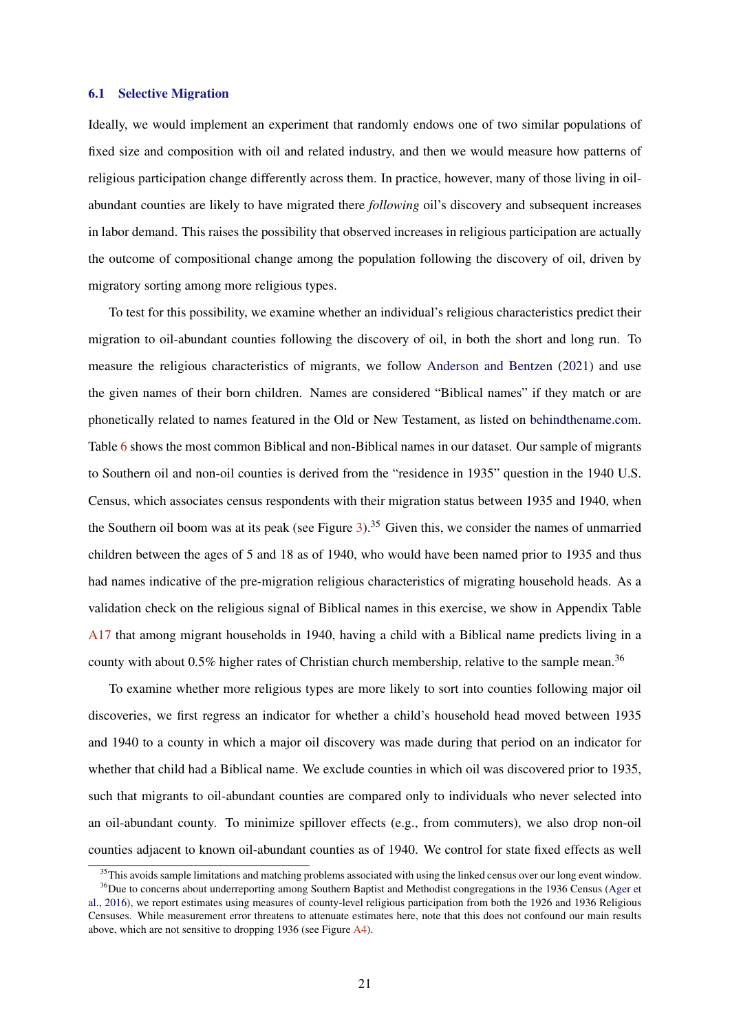#### 6.1 Selective Migration

Ideally, we would implement an experiment that randomly endows one of two similar populations of fixed size and composition with oil and related industry, and then we would measure how patterns of religious participation change differently across them. In practice, however, many of those living in oilabundant counties are likely to have migrated there *following* oil's discovery and subsequent increases in labor demand. This raises the possibility that observed increases in religious participation are actually the outcome of compositional change among the population following the discovery of oil, driven by migratory sorting among more religious types.

To test for this possibility, we examine whether an individual's religious characteristics predict their migration to oil-abundant counties following the discovery of oil, in both the short and long run. To measure the religious characteristics of migrants, we follow [Anderson and Bentzen](#page-27-0) [\(2021\)](#page-27-0) and use the given names of their born children. Names are considered "Biblical names" if they match or are phonetically related to names featured in the Old or New Testament, as listed on [behindthename.com.](https://www.behindthename.com/namesakes/list/biblical/alpha) Table [6](#page-35-0) shows the most common Biblical and non-Biblical names in our dataset. Our sample of migrants to Southern oil and non-oil counties is derived from the "residence in 1935" question in the 1940 U.S. Census, which associates census respondents with their migration status between 1935 and 1940, when the Southern oil boom was at its peak (see Figure [3\)](#page-38-0).<sup>35</sup> Given this, we consider the names of unmarried children between the ages of 5 and 18 as of 1940, who would have been named prior to 1935 and thus had names indicative of the pre-migration religious characteristics of migrating household heads. As a validation check on the religious signal of Biblical names in this exercise, we show in Appendix Table [A17](#page-0-0) that among migrant households in 1940, having a child with a Biblical name predicts living in a county with about 0.5% higher rates of Christian church membership, relative to the sample mean.<sup>36</sup>

To examine whether more religious types are more likely to sort into counties following major oil discoveries, we first regress an indicator for whether a child's household head moved between 1935 and 1940 to a county in which a major oil discovery was made during that period on an indicator for whether that child had a Biblical name. We exclude counties in which oil was discovered prior to 1935, such that migrants to oil-abundant counties are compared only to individuals who never selected into an oil-abundant county. To minimize spillover effects (e.g., from commuters), we also drop non-oil counties adjacent to known oil-abundant counties as of 1940. We control for state fixed effects as well

<sup>&</sup>lt;sup>35</sup>This avoids sample limitations and matching problems associated with using the linked census over our long event window. <sup>36</sup>Due to concerns about underreporting among Southern Baptist and Methodist congregations in the 1936 Census [\(Ager et](#page-27-0)

[al.,](#page-27-0) [2016\)](#page-27-0), we report estimates using measures of county-level religious participation from both the 1926 and 1936 Religious Censuses. While measurement error threatens to attenuate estimates here, note that this does not confound our main results above, which are not sensitive to dropping 1936 (see Figure [A4\)](#page-39-0).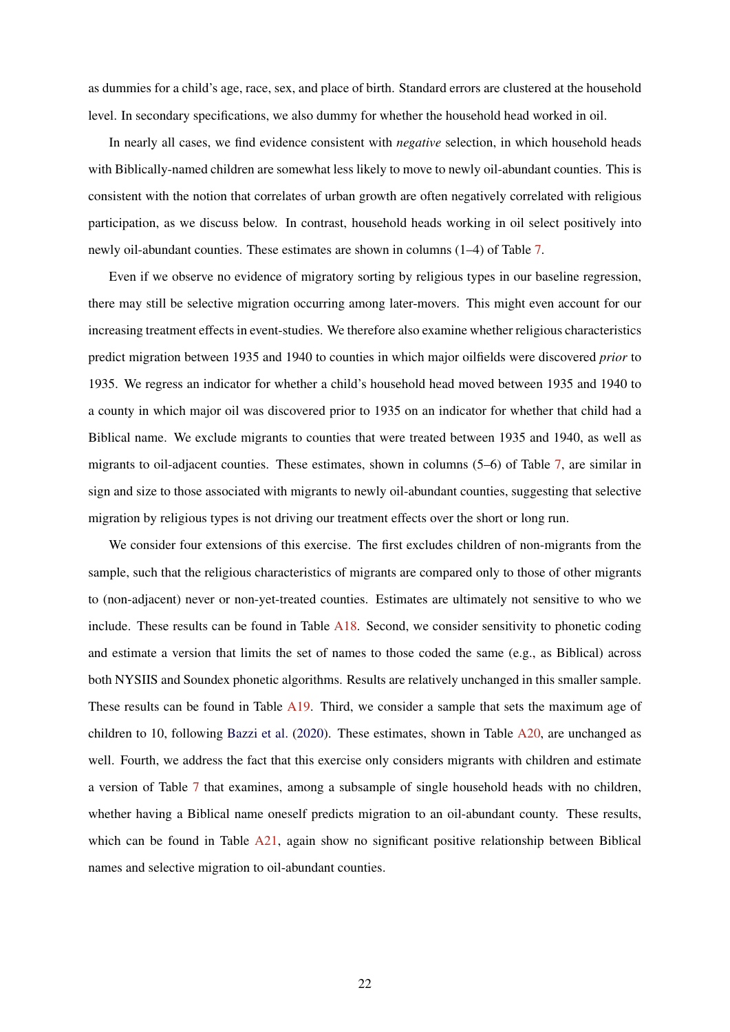as dummies for a child's age, race, sex, and place of birth. Standard errors are clustered at the household level. In secondary specifications, we also dummy for whether the household head worked in oil.

In nearly all cases, we find evidence consistent with *negative* selection, in which household heads with Biblically-named children are somewhat less likely to move to newly oil-abundant counties. This is consistent with the notion that correlates of urban growth are often negatively correlated with religious participation, as we discuss below. In contrast, household heads working in oil select positively into newly oil-abundant counties. These estimates are shown in columns (1–4) of Table [7.](#page-35-0)

Even if we observe no evidence of migratory sorting by religious types in our baseline regression, there may still be selective migration occurring among later-movers. This might even account for our increasing treatment effects in event-studies. We therefore also examine whether religious characteristics predict migration between 1935 and 1940 to counties in which major oilfields were discovered *prior* to 1935. We regress an indicator for whether a child's household head moved between 1935 and 1940 to a county in which major oil was discovered prior to 1935 on an indicator for whether that child had a Biblical name. We exclude migrants to counties that were treated between 1935 and 1940, as well as migrants to oil-adjacent counties. These estimates, shown in columns (5–6) of Table [7,](#page-35-0) are similar in sign and size to those associated with migrants to newly oil-abundant counties, suggesting that selective migration by religious types is not driving our treatment effects over the short or long run.

We consider four extensions of this exercise. The first excludes children of non-migrants from the sample, such that the religious characteristics of migrants are compared only to those of other migrants to (non-adjacent) never or non-yet-treated counties. Estimates are ultimately not sensitive to who we include. These results can be found in Table [A18.](#page-0-0) Second, we consider sensitivity to phonetic coding and estimate a version that limits the set of names to those coded the same (e.g., as Biblical) across both NYSIIS and Soundex phonetic algorithms. Results are relatively unchanged in this smaller sample. These results can be found in Table [A19.](#page-0-0) Third, we consider a sample that sets the maximum age of children to 10, following [Bazzi et al.](#page-27-0) [\(2020\)](#page-27-0). These estimates, shown in Table [A20,](#page-0-0) are unchanged as well. Fourth, we address the fact that this exercise only considers migrants with children and estimate a version of Table [7](#page-35-0) that examines, among a subsample of single household heads with no children, whether having a Biblical name oneself predicts migration to an oil-abundant county. These results, which can be found in Table [A21,](#page-0-0) again show no significant positive relationship between Biblical names and selective migration to oil-abundant counties.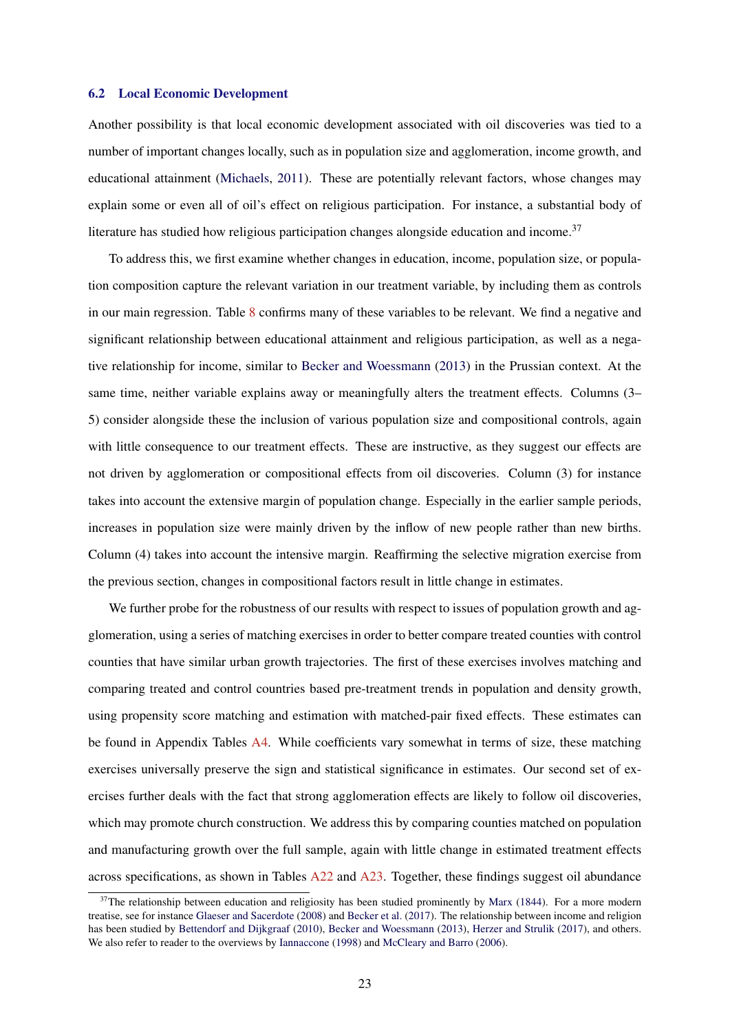#### 6.2 Local Economic Development

Another possibility is that local economic development associated with oil discoveries was tied to a number of important changes locally, such as in population size and agglomeration, income growth, and educational attainment [\(Michaels,](#page-28-0) [2011\)](#page-28-0). These are potentially relevant factors, whose changes may explain some or even all of oil's effect on religious participation. For instance, a substantial body of literature has studied how religious participation changes alongside education and income.<sup>37</sup>

To address this, we first examine whether changes in education, income, population size, or population composition capture the relevant variation in our treatment variable, by including them as controls in our main regression. Table [8](#page-36-0) confirms many of these variables to be relevant. We find a negative and significant relationship between educational attainment and religious participation, as well as a negative relationship for income, similar to [Becker and Woessmann](#page-27-0) [\(2013\)](#page-27-0) in the Prussian context. At the same time, neither variable explains away or meaningfully alters the treatment effects. Columns (3– 5) consider alongside these the inclusion of various population size and compositional controls, again with little consequence to our treatment effects. These are instructive, as they suggest our effects are not driven by agglomeration or compositional effects from oil discoveries. Column (3) for instance takes into account the extensive margin of population change. Especially in the earlier sample periods, increases in population size were mainly driven by the inflow of new people rather than new births. Column (4) takes into account the intensive margin. Reaffirming the selective migration exercise from the previous section, changes in compositional factors result in little change in estimates.

We further probe for the robustness of our results with respect to issues of population growth and agglomeration, using a series of matching exercises in order to better compare treated counties with control counties that have similar urban growth trajectories. The first of these exercises involves matching and comparing treated and control countries based pre-treatment trends in population and density growth, using propensity score matching and estimation with matched-pair fixed effects. These estimates can be found in Appendix Tables [A4.](#page-33-0) While coefficients vary somewhat in terms of size, these matching exercises universally preserve the sign and statistical significance in estimates. Our second set of exercises further deals with the fact that strong agglomeration effects are likely to follow oil discoveries, which may promote church construction. We address this by comparing counties matched on population and manufacturing growth over the full sample, again with little change in estimated treatment effects across specifications, as shown in Tables  $A22$  and  $A23$ . Together, these findings suggest oil abundance

 $37$ The relationship between education and religiosity has been studied prominently by [Marx](#page-28-0) [\(1844\)](#page-28-0). For a more modern treatise, see for instance [Glaeser and Sacerdote](#page-28-0) [\(2008\)](#page-28-0) and [Becker et al.](#page-27-0) [\(2017\)](#page-27-0). The relationship between income and religion has been studied by [Bettendorf and Dijkgraaf](#page-27-0) [\(2010\)](#page-27-0), [Becker and Woessmann](#page-27-0) [\(2013\)](#page-27-0), [Herzer and Strulik](#page-28-0) [\(2017\)](#page-28-0), and others. We also refer to reader to the overviews by [Iannaccone](#page-28-0) [\(1998\)](#page-28-0) and [McCleary and Barro](#page-28-0) [\(2006\)](#page-28-0).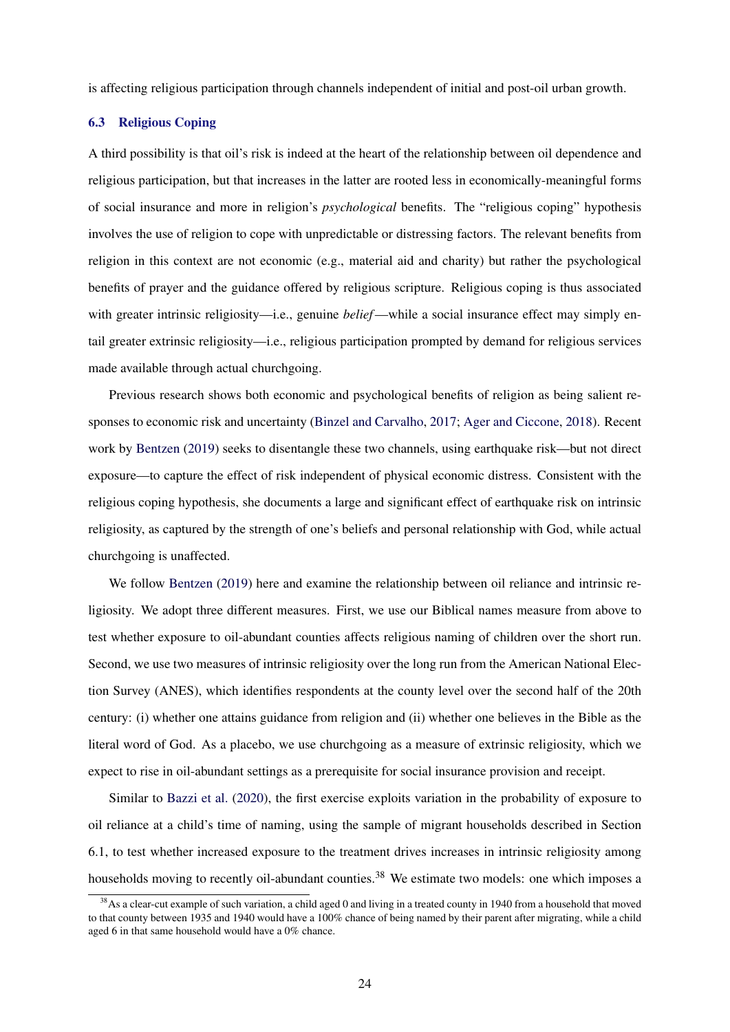is affecting religious participation through channels independent of initial and post-oil urban growth.

## 6.3 Religious Coping

A third possibility is that oil's risk is indeed at the heart of the relationship between oil dependence and religious participation, but that increases in the latter are rooted less in economically-meaningful forms of social insurance and more in religion's *psychological* benefits. The "religious coping" hypothesis involves the use of religion to cope with unpredictable or distressing factors. The relevant benefits from religion in this context are not economic (e.g., material aid and charity) but rather the psychological benefits of prayer and the guidance offered by religious scripture. Religious coping is thus associated with greater intrinsic religiosity—i.e., genuine *belief*—while a social insurance effect may simply entail greater extrinsic religiosity—i.e., religious participation prompted by demand for religious services made available through actual churchgoing.

Previous research shows both economic and psychological benefits of religion as being salient responses to economic risk and uncertainty [\(Binzel and Carvalho,](#page-27-0) [2017;](#page-27-0) [Ager and Ciccone,](#page-27-0) [2018\)](#page-27-0). Recent work by [Bentzen](#page-27-0) [\(2019\)](#page-27-0) seeks to disentangle these two channels, using earthquake risk—but not direct exposure—to capture the effect of risk independent of physical economic distress. Consistent with the religious coping hypothesis, she documents a large and significant effect of earthquake risk on intrinsic religiosity, as captured by the strength of one's beliefs and personal relationship with God, while actual churchgoing is unaffected.

We follow [Bentzen](#page-27-0) [\(2019\)](#page-27-0) here and examine the relationship between oil reliance and intrinsic religiosity. We adopt three different measures. First, we use our Biblical names measure from above to test whether exposure to oil-abundant counties affects religious naming of children over the short run. Second, we use two measures of intrinsic religiosity over the long run from the American National Election Survey (ANES), which identifies respondents at the county level over the second half of the 20th century: (i) whether one attains guidance from religion and (ii) whether one believes in the Bible as the literal word of God. As a placebo, we use churchgoing as a measure of extrinsic religiosity, which we expect to rise in oil-abundant settings as a prerequisite for social insurance provision and receipt.

Similar to [Bazzi et al.](#page-27-0) [\(2020\)](#page-27-0), the first exercise exploits variation in the probability of exposure to oil reliance at a child's time of naming, using the sample of migrant households described in Section 6.1, to test whether increased exposure to the treatment drives increases in intrinsic religiosity among households moving to recently oil-abundant counties.<sup>38</sup> We estimate two models: one which imposes a

<sup>&</sup>lt;sup>38</sup>As a clear-cut example of such variation, a child aged 0 and living in a treated county in 1940 from a household that moved to that county between 1935 and 1940 would have a 100% chance of being named by their parent after migrating, while a child aged 6 in that same household would have a 0% chance.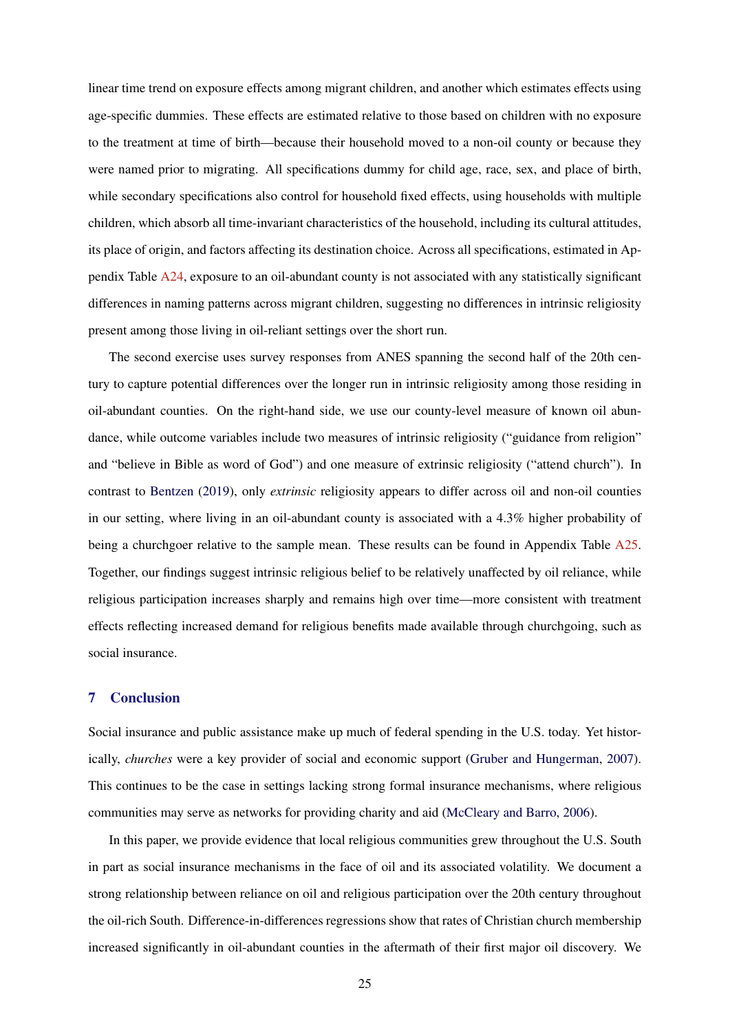linear time trend on exposure effects among migrant children, and another which estimates effects using age-specific dummies. These effects are estimated relative to those based on children with no exposure to the treatment at time of birth—because their household moved to a non-oil county or because they were named prior to migrating. All specifications dummy for child age, race, sex, and place of birth, while secondary specifications also control for household fixed effects, using households with multiple children, which absorb all time-invariant characteristics of the household, including its cultural attitudes, its place of origin, and factors affecting its destination choice. Across all specifications, estimated in Appendix Table [A24,](#page-0-0) exposure to an oil-abundant county is not associated with any statistically significant differences in naming patterns across migrant children, suggesting no differences in intrinsic religiosity present among those living in oil-reliant settings over the short run.

The second exercise uses survey responses from ANES spanning the second half of the 20th century to capture potential differences over the longer run in intrinsic religiosity among those residing in oil-abundant counties. On the right-hand side, we use our county-level measure of known oil abundance, while outcome variables include two measures of intrinsic religiosity ("guidance from religion" and "believe in Bible as word of God") and one measure of extrinsic religiosity ("attend church"). In contrast to [Bentzen](#page-27-0) [\(2019\)](#page-27-0), only *extrinsic* religiosity appears to differ across oil and non-oil counties in our setting, where living in an oil-abundant county is associated with a 4.3% higher probability of being a churchgoer relative to the sample mean. These results can be found in Appendix Table [A25.](#page-0-0) Together, our findings suggest intrinsic religious belief to be relatively unaffected by oil reliance, while religious participation increases sharply and remains high over time—more consistent with treatment effects reflecting increased demand for religious benefits made available through churchgoing, such as social insurance.

## 7 Conclusion

Social insurance and public assistance make up much of federal spending in the U.S. today. Yet historically, *churches* were a key provider of social and economic support [\(Gruber and Hungerman,](#page-28-0) [2007\)](#page-28-0). This continues to be the case in settings lacking strong formal insurance mechanisms, where religious communities may serve as networks for providing charity and aid [\(McCleary and Barro,](#page-28-0) [2006\)](#page-28-0).

In this paper, we provide evidence that local religious communities grew throughout the U.S. South in part as social insurance mechanisms in the face of oil and its associated volatility. We document a strong relationship between reliance on oil and religious participation over the 20th century throughout the oil-rich South. Difference-in-differences regressions show that rates of Christian church membership increased significantly in oil-abundant counties in the aftermath of their first major oil discovery. We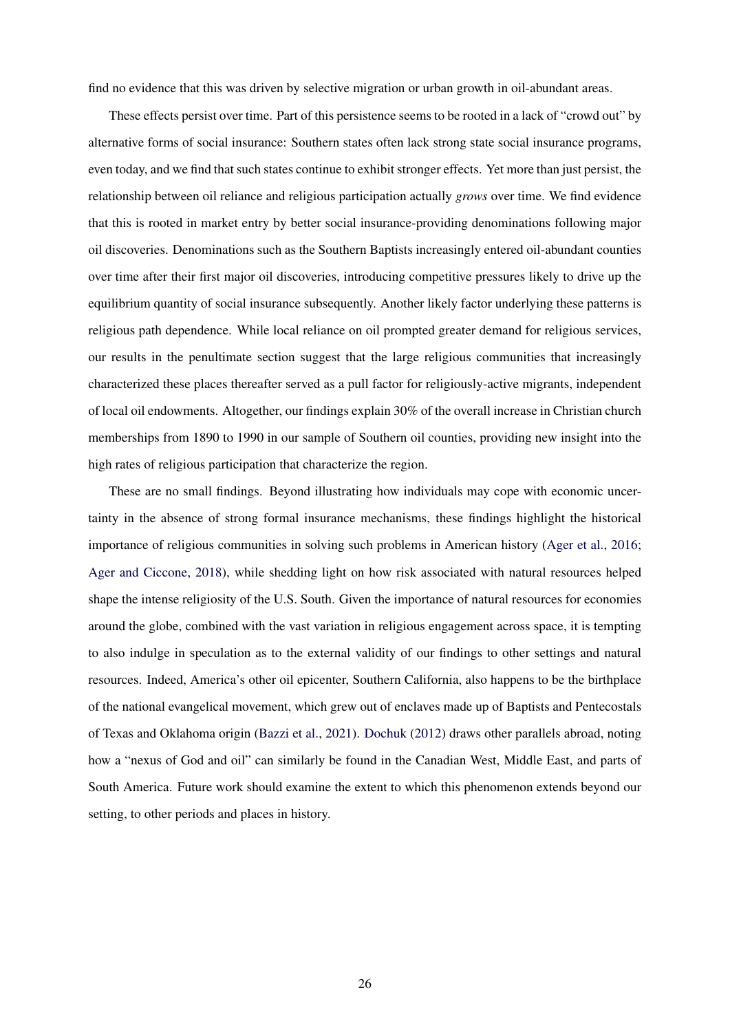find no evidence that this was driven by selective migration or urban growth in oil-abundant areas.

These effects persist over time. Part of this persistence seems to be rooted in a lack of "crowd out" by alternative forms of social insurance: Southern states often lack strong state social insurance programs, even today, and we find that such states continue to exhibit stronger effects. Yet more than just persist, the relationship between oil reliance and religious participation actually *grows* over time. We find evidence that this is rooted in market entry by better social insurance-providing denominations following major oil discoveries. Denominations such as the Southern Baptists increasingly entered oil-abundant counties over time after their first major oil discoveries, introducing competitive pressures likely to drive up the equilibrium quantity of social insurance subsequently. Another likely factor underlying these patterns is religious path dependence. While local reliance on oil prompted greater demand for religious services, our results in the penultimate section suggest that the large religious communities that increasingly characterized these places thereafter served as a pull factor for religiously-active migrants, independent of local oil endowments. Altogether, our findings explain 30% of the overall increase in Christian church memberships from 1890 to 1990 in our sample of Southern oil counties, providing new insight into the high rates of religious participation that characterize the region.

These are no small findings. Beyond illustrating how individuals may cope with economic uncertainty in the absence of strong formal insurance mechanisms, these findings highlight the historical importance of religious communities in solving such problems in American history [\(Ager et al.,](#page-27-0) [2016;](#page-27-0) [Ager and Ciccone,](#page-27-0) [2018\)](#page-27-0), while shedding light on how risk associated with natural resources helped shape the intense religiosity of the U.S. South. Given the importance of natural resources for economies around the globe, combined with the vast variation in religious engagement across space, it is tempting to also indulge in speculation as to the external validity of our findings to other settings and natural resources. Indeed, America's other oil epicenter, Southern California, also happens to be the birthplace of the national evangelical movement, which grew out of enclaves made up of Baptists and Pentecostals of Texas and Oklahoma origin [\(Bazzi et al.,](#page-27-0) [2021\)](#page-27-0). [Dochuk](#page-27-0) [\(2012\)](#page-27-0) draws other parallels abroad, noting how a "nexus of God and oil" can similarly be found in the Canadian West, Middle East, and parts of South America. Future work should examine the extent to which this phenomenon extends beyond our setting, to other periods and places in history.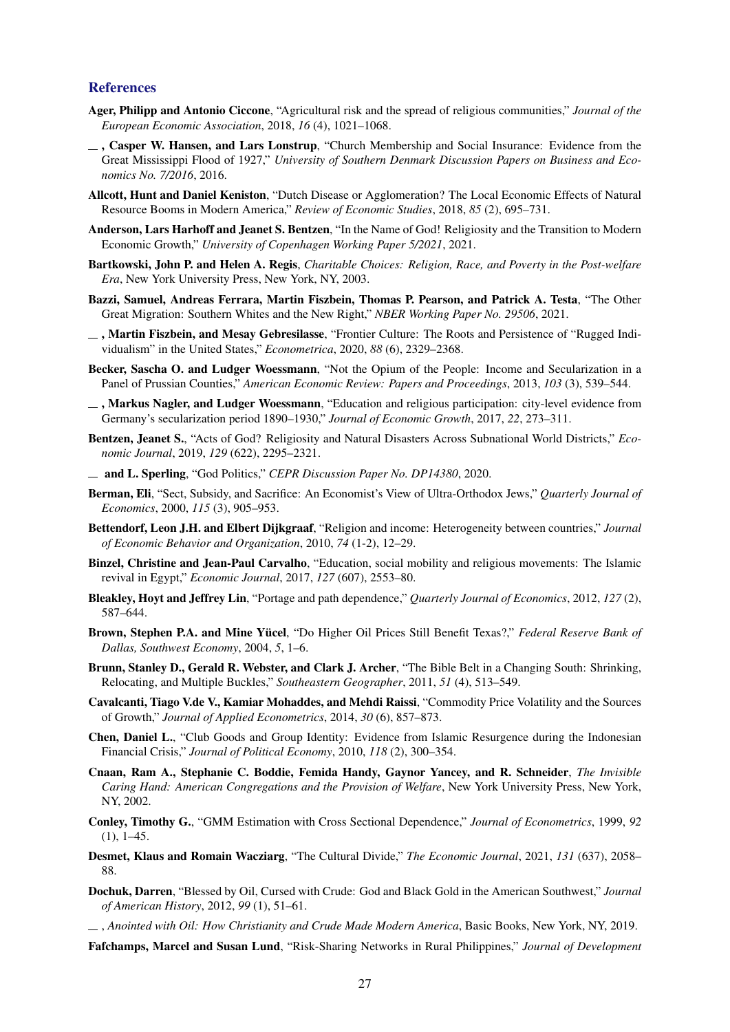#### <span id="page-27-0"></span>References

- Ager, Philipp and Antonio Ciccone, "Agricultural risk and the spread of religious communities," *Journal of the European Economic Association*, 2018, *16* (4), 1021–1068.
- $\overline{\phantom{a}}$ , Casper W. Hansen, and Lars Lonstrup, "Church Membership and Social Insurance: Evidence from the Great Mississippi Flood of 1927," *University of Southern Denmark Discussion Papers on Business and Economics No. 7/2016*, 2016.
- Allcott, Hunt and Daniel Keniston, "Dutch Disease or Agglomeration? The Local Economic Effects of Natural Resource Booms in Modern America," *Review of Economic Studies*, 2018, *85* (2), 695–731.
- Anderson, Lars Harhoff and Jeanet S. Bentzen, "In the Name of God! Religiosity and the Transition to Modern Economic Growth," *University of Copenhagen Working Paper 5/2021*, 2021.
- Bartkowski, John P. and Helen A. Regis, *Charitable Choices: Religion, Race, and Poverty in the Post-welfare Era*, New York University Press, New York, NY, 2003.
- Bazzi, Samuel, Andreas Ferrara, Martin Fiszbein, Thomas P. Pearson, and Patrick A. Testa, "The Other Great Migration: Southern Whites and the New Right," *NBER Working Paper No. 29506*, 2021.
- $\Box$ , Martin Fiszbein, and Mesay Gebresilasse, "Frontier Culture: The Roots and Persistence of "Rugged Individualism" in the United States," *Econometrica*, 2020, *88* (6), 2329–2368.
- Becker, Sascha O. and Ludger Woessmann, "Not the Opium of the People: Income and Secularization in a Panel of Prussian Counties," *American Economic Review: Papers and Proceedings*, 2013, *103* (3), 539–544.
- $\overline{\phantom{a}}$ , Markus Nagler, and Ludger Woessmann, "Education and religious participation: city-level evidence from Germany's secularization period 1890–1930," *Journal of Economic Growth*, 2017, *22*, 273–311.
- Bentzen, Jeanet S., "Acts of God? Religiosity and Natural Disasters Across Subnational World Districts," *Economic Journal*, 2019, *129* (622), 2295–2321.
- and L. Sperling, "God Politics," *CEPR Discussion Paper No. DP14380*, 2020.
- Berman, Eli, "Sect, Subsidy, and Sacrifice: An Economist's View of Ultra-Orthodox Jews," *Quarterly Journal of Economics*, 2000, *115* (3), 905–953.
- Bettendorf, Leon J.H. and Elbert Dijkgraaf, "Religion and income: Heterogeneity between countries," *Journal of Economic Behavior and Organization*, 2010, *74* (1-2), 12–29.
- Binzel, Christine and Jean-Paul Carvalho, "Education, social mobility and religious movements: The Islamic revival in Egypt," *Economic Journal*, 2017, *127* (607), 2553–80.
- Bleakley, Hoyt and Jeffrey Lin, "Portage and path dependence," *Quarterly Journal of Economics*, 2012, *127* (2), 587–644.
- Brown, Stephen P.A. and Mine Yücel, "Do Higher Oil Prices Still Benefit Texas?," *Federal Reserve Bank of Dallas, Southwest Economy*, 2004, *5*, 1–6.
- Brunn, Stanley D., Gerald R. Webster, and Clark J. Archer, "The Bible Belt in a Changing South: Shrinking, Relocating, and Multiple Buckles," *Southeastern Geographer*, 2011, *51* (4), 513–549.
- Cavalcanti, Tiago V.de V., Kamiar Mohaddes, and Mehdi Raissi, "Commodity Price Volatility and the Sources of Growth," *Journal of Applied Econometrics*, 2014, *30* (6), 857–873.
- Chen, Daniel L., "Club Goods and Group Identity: Evidence from Islamic Resurgence during the Indonesian Financial Crisis," *Journal of Political Economy*, 2010, *118* (2), 300–354.
- Cnaan, Ram A., Stephanie C. Boddie, Femida Handy, Gaynor Yancey, and R. Schneider, *The Invisible Caring Hand: American Congregations and the Provision of Welfare*, New York University Press, New York, NY, 2002.
- Conley, Timothy G., "GMM Estimation with Cross Sectional Dependence," *Journal of Econometrics*, 1999, *92*  $(1), 1-45.$
- Desmet, Klaus and Romain Wacziarg, "The Cultural Divide," *The Economic Journal*, 2021, *131* (637), 2058– 88.
- Dochuk, Darren, "Blessed by Oil, Cursed with Crude: God and Black Gold in the American Southwest," *Journal of American History*, 2012, *99* (1), 51–61.
- , *Anointed with Oil: How Christianity and Crude Made Modern America*, Basic Books, New York, NY, 2019.

Fafchamps, Marcel and Susan Lund, "Risk-Sharing Networks in Rural Philippines," *Journal of Development*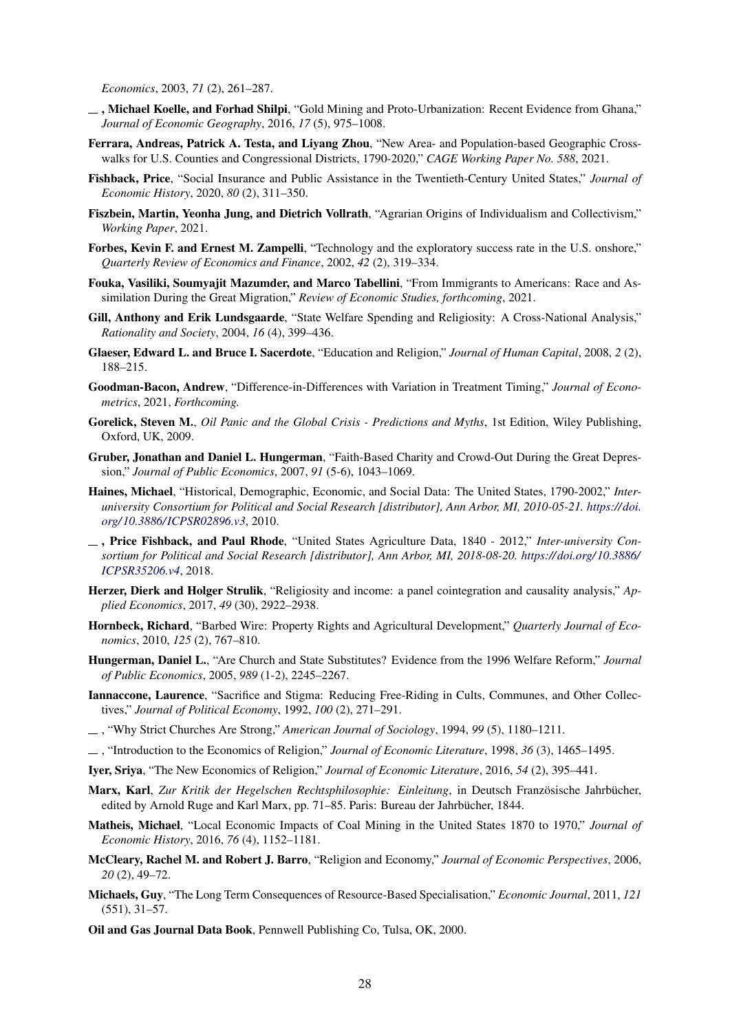<span id="page-28-0"></span>*Economics*, 2003, *71* (2), 261–287.

- $\Box$ , Michael Koelle, and Forhad Shilpi, "Gold Mining and Proto-Urbanization: Recent Evidence from Ghana," *Journal of Economic Geography*, 2016, *17* (5), 975–1008.
- Ferrara, Andreas, Patrick A. Testa, and Liyang Zhou, "New Area- and Population-based Geographic Crosswalks for U.S. Counties and Congressional Districts, 1790-2020," *CAGE Working Paper No. 588*, 2021.
- Fishback, Price, "Social Insurance and Public Assistance in the Twentieth-Century United States," *Journal of Economic History*, 2020, *80* (2), 311–350.
- Fiszbein, Martin, Yeonha Jung, and Dietrich Vollrath, "Agrarian Origins of Individualism and Collectivism," *Working Paper*, 2021.
- Forbes, Kevin F. and Ernest M. Zampelli, "Technology and the exploratory success rate in the U.S. onshore," *Quarterly Review of Economics and Finance*, 2002, *42* (2), 319–334.
- Fouka, Vasiliki, Soumyajit Mazumder, and Marco Tabellini, "From Immigrants to Americans: Race and Assimilation During the Great Migration," *Review of Economic Studies, forthcoming*, 2021.
- Gill, Anthony and Erik Lundsgaarde, "State Welfare Spending and Religiosity: A Cross-National Analysis," *Rationality and Society*, 2004, *16* (4), 399–436.
- Glaeser, Edward L. and Bruce I. Sacerdote, "Education and Religion," *Journal of Human Capital*, 2008, *2* (2), 188–215.
- Goodman-Bacon, Andrew, "Difference-in-Differences with Variation in Treatment Timing," *Journal of Econometrics*, 2021, *Forthcoming.*
- Gorelick, Steven M., *Oil Panic and the Global Crisis Predictions and Myths*, 1st Edition, Wiley Publishing, Oxford, UK, 2009.
- Gruber, Jonathan and Daniel L. Hungerman, "Faith-Based Charity and Crowd-Out During the Great Depression," *Journal of Public Economics*, 2007, *91* (5-6), 1043–1069.
- Haines, Michael, "Historical, Demographic, Economic, and Social Data: The United States, 1790-2002," *Interuniversity Consortium for Political and Social Research [distributor], Ann Arbor, MI, 2010-05-21. [https:// doi.](https://doi.org/10.3886/ICPSR02896.v3) [org/ 10.3886/ ICPSR02896.v3](https://doi.org/10.3886/ICPSR02896.v3)*, 2010.
- , Price Fishback, and Paul Rhode, "United States Agriculture Data, 1840 2012," *Inter-university Consortium for Political and Social Research [distributor], Ann Arbor, MI, 2018-08-20. [https:// doi.org/ 10.3886/](https://doi.org/10.3886/ICPSR35206.v4) [ICPSR35206.v4](https://doi.org/10.3886/ICPSR35206.v4)*, 2018.
- Herzer, Dierk and Holger Strulik, "Religiosity and income: a panel cointegration and causality analysis," *Applied Economics*, 2017, *49* (30), 2922–2938.
- Hornbeck, Richard, "Barbed Wire: Property Rights and Agricultural Development," *Quarterly Journal of Economics*, 2010, *125* (2), 767–810.
- Hungerman, Daniel L., "Are Church and State Substitutes? Evidence from the 1996 Welfare Reform," *Journal of Public Economics*, 2005, *989* (1-2), 2245–2267.
- Iannaccone, Laurence, "Sacrifice and Stigma: Reducing Free-Riding in Cults, Communes, and Other Collectives," *Journal of Political Economy*, 1992, *100* (2), 271–291.
- , "Why Strict Churches Are Strong," *American Journal of Sociology*, 1994, *99* (5), 1180–1211.
- , "Introduction to the Economics of Religion," *Journal of Economic Literature*, 1998, *36* (3), 1465–1495.
- Iyer, Sriya, "The New Economics of Religion," *Journal of Economic Literature*, 2016, *54* (2), 395–441.
- Marx, Karl, *Zur Kritik der Hegelschen Rechtsphilosophie: Einleitung*, in Deutsch Französische Jahrbücher, edited by Arnold Ruge and Karl Marx, pp. 71–85. Paris: Bureau der Jahrbücher, 1844.
- Matheis, Michael, "Local Economic Impacts of Coal Mining in the United States 1870 to 1970," *Journal of Economic History*, 2016, *76* (4), 1152–1181.
- McCleary, Rachel M. and Robert J. Barro, "Religion and Economy," *Journal of Economic Perspectives*, 2006, *20* (2), 49–72.
- Michaels, Guy, "The Long Term Consequences of Resource-Based Specialisation," *Economic Journal*, 2011, *121* (551), 31–57.
- Oil and Gas Journal Data Book, Pennwell Publishing Co, Tulsa, OK, 2000.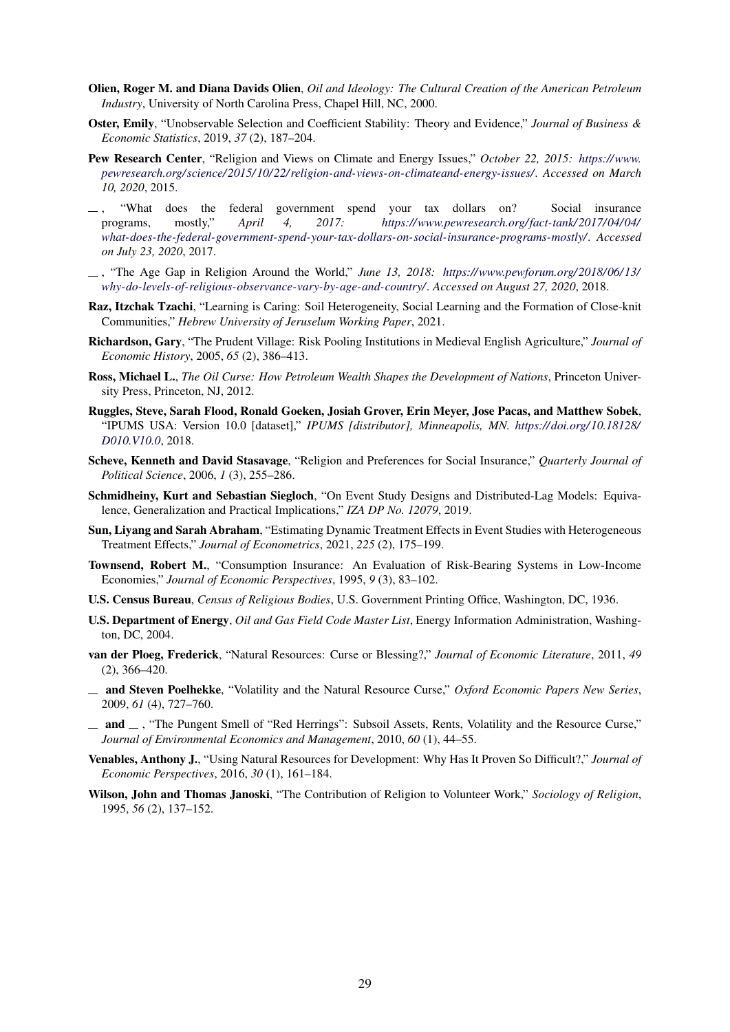- <span id="page-29-0"></span>Olien, Roger M. and Diana Davids Olien, *Oil and Ideology: The Cultural Creation of the American Petroleum Industry*, University of North Carolina Press, Chapel Hill, NC, 2000.
- Oster, Emily, "Unobservable Selection and Coefficient Stability: Theory and Evidence," *Journal of Business & Economic Statistics*, 2019, *37* (2), 187–204.
- Pew Research Center, "Religion and Views on Climate and Energy Issues," *October 22, 2015: [https://www.](https://www.pewresearch.org/science/2015/10/22/religion-and-views-on-climateand- energy-issues/) [pewresearch.org/ science/ 2015/ 10/ 22/ religion-and-views-on-climateand-energy-issues/.](https://www.pewresearch.org/science/2015/10/22/religion-and-views-on-climateand- energy-issues/) Accessed on March 10, 2020*, 2015.
- , "What does the federal government spend your tax dollars on? Social insurance programs, mostly," *April 4, 2017: [https://www.pewresearch.org/fact-tank/ 2017/ 04/ 04/](https://www.pewresearch.org/fact-tank/2017/04/04/what-does-the-federal-government-spend-your-tax-dollars-on-social-insurance-programs-mostly/) [what-does-the-federal-government-spend-your-tax-dollars-on-social-insurance-programs-mostly/.](https://www.pewresearch.org/fact-tank/2017/04/04/what-does-the-federal-government-spend-your-tax-dollars-on-social-insurance-programs-mostly/) Accessed on July 23, 2020*, 2017.
- , "The Age Gap in Religion Around the World," *June 13, 2018: [https://www.pewforum.org/ 2018/ 06/ 13/](https://www.pewforum.org/2018/06/13/why-do-levels-of-religious-observance-vary-by-age-and-country/) [why-do-levels-of-religious-observance-vary-by-age-and-country/.](https://www.pewforum.org/2018/06/13/why-do-levels-of-religious-observance-vary-by-age-and-country/) Accessed on August 27, 2020*, 2018.
- Raz, Itzchak Tzachi, "Learning is Caring: Soil Heterogeneity, Social Learning and the Formation of Close-knit Communities," *Hebrew University of Jeruselum Working Paper*, 2021.
- Richardson, Gary, "The Prudent Village: Risk Pooling Institutions in Medieval English Agriculture," *Journal of Economic History*, 2005, *65* (2), 386–413.
- Ross, Michael L., *The Oil Curse: How Petroleum Wealth Shapes the Development of Nations*, Princeton University Press, Princeton, NJ, 2012.
- Ruggles, Steve, Sarah Flood, Ronald Goeken, Josiah Grover, Erin Meyer, Jose Pacas, and Matthew Sobek, "IPUMS USA: Version 10.0 [dataset]," *IPUMS [distributor], Minneapolis, MN. [https:// doi.org/ 10.18128/](https://doi.org/10.18128/D010.V10.0) [D010.V10.0](https://doi.org/10.18128/D010.V10.0)*, 2018.
- Scheve, Kenneth and David Stasavage, "Religion and Preferences for Social Insurance," *Quarterly Journal of Political Science*, 2006, *1* (3), 255–286.
- Schmidheiny, Kurt and Sebastian Siegloch, "On Event Study Designs and Distributed-Lag Models: Equivalence, Generalization and Practical Implications," *IZA DP No. 12079*, 2019.
- Sun, Liyang and Sarah Abraham, "Estimating Dynamic Treatment Effects in Event Studies with Heterogeneous Treatment Effects," *Journal of Econometrics*, 2021, *225* (2), 175–199.
- Townsend, Robert M., "Consumption Insurance: An Evaluation of Risk-Bearing Systems in Low-Income Economies," *Journal of Economic Perspectives*, 1995, *9* (3), 83–102.
- U.S. Census Bureau, *Census of Religious Bodies*, U.S. Government Printing Office, Washington, DC, 1936.
- U.S. Department of Energy, *Oil and Gas Field Code Master List*, Energy Information Administration, Washington, DC, 2004.
- van der Ploeg, Frederick, "Natural Resources: Curse or Blessing?," *Journal of Economic Literature*, 2011, *49* (2), 366–420.
- and Steven Poelhekke, "Volatility and the Natural Resource Curse," *Oxford Economic Papers New Series*, 2009, *61* (4), 727–760.
- $-$  and  $-$ , "The Pungent Smell of "Red Herrings": Subsoil Assets, Rents, Volatility and the Resource Curse," *Journal of Environmental Economics and Management*, 2010, *60* (1), 44–55.
- Venables, Anthony J., "Using Natural Resources for Development: Why Has It Proven So Difficult?," *Journal of Economic Perspectives*, 2016, *30* (1), 161–184.
- Wilson, John and Thomas Janoski, "The Contribution of Religion to Volunteer Work," *Sociology of Religion*, 1995, *56* (2), 137–152.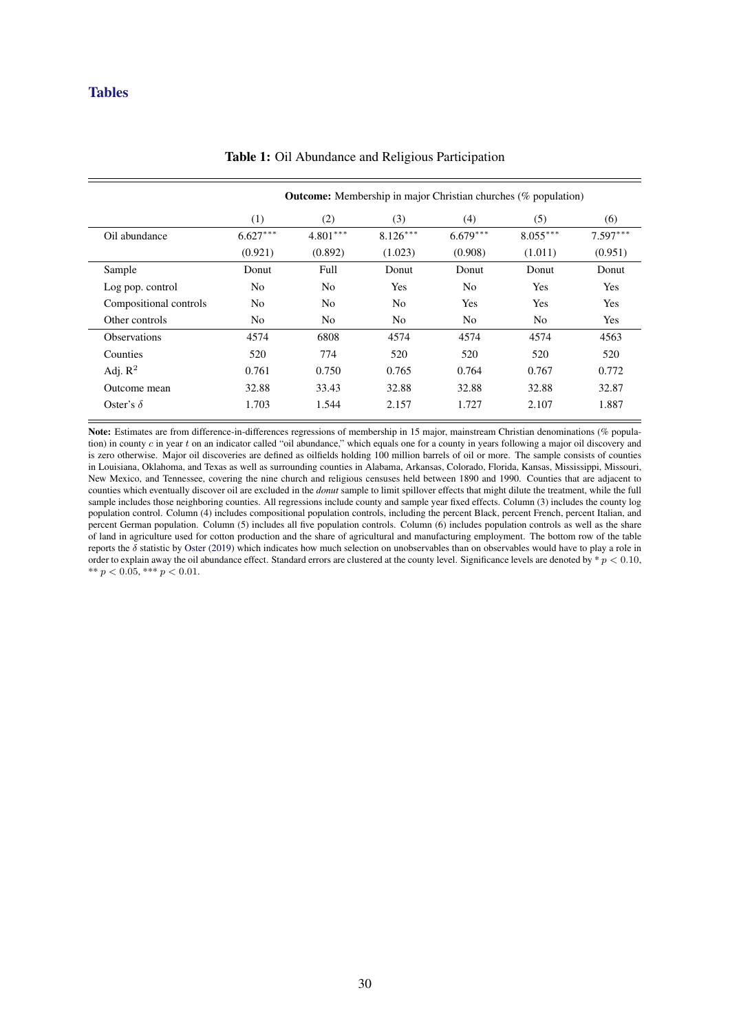## <span id="page-30-0"></span>**Tables**

|                        | <b>Outcome:</b> Membership in major Christian churches (% population) |                |                |                |                |            |  |  |
|------------------------|-----------------------------------------------------------------------|----------------|----------------|----------------|----------------|------------|--|--|
|                        | (1)                                                                   | (2)            | (3)            | (4)            | (5)            | (6)        |  |  |
| Oil abundance          | $6.627***$                                                            | $4.801***$     | $8.126***$     | $6.679***$     | $8.055***$     | $7.597***$ |  |  |
|                        | (0.921)                                                               | (0.892)        | (1.023)        | (0.908)        | (1.011)        | (0.951)    |  |  |
| Sample                 | Donut                                                                 | Full           | Donut          | Donut          | Donut          | Donut      |  |  |
| Log pop. control       | N <sub>0</sub>                                                        | No             | Yes            | N <sub>o</sub> | Yes            | Yes        |  |  |
| Compositional controls | N <sub>o</sub>                                                        | N <sub>0</sub> | N <sub>o</sub> | Yes            | Yes            | Yes        |  |  |
| Other controls         | N <sub>0</sub>                                                        | No             | N <sub>o</sub> | N <sub>0</sub> | N <sub>0</sub> | Yes        |  |  |
| <b>Observations</b>    | 4574                                                                  | 6808           | 4574           | 4574           | 4574           | 4563       |  |  |
| Counties               | 520                                                                   | 774            | 520            | 520            | 520            | 520        |  |  |
| Adj. $R^2$             | 0.761                                                                 | 0.750          | 0.765          | 0.764          | 0.767          | 0.772      |  |  |
| Outcome mean           | 32.88                                                                 | 33.43          | 32.88          | 32.88          | 32.88          | 32.87      |  |  |
| Oster's $\delta$       | 1.703                                                                 | 1.544          | 2.157          | 1.727          | 2.107          | 1.887      |  |  |
|                        |                                                                       |                |                |                |                |            |  |  |

#### Table 1: Oil Abundance and Religious Participation

Note: Estimates are from difference-in-differences regressions of membership in 15 major, mainstream Christian denominations (% population) in county  $c$  in year  $t$  on an indicator called "oil abundance," which equals one for a county in years following a major oil discovery and is zero otherwise. Major oil discoveries are defined as oilfields holding 100 million barrels of oil or more. The sample consists of counties in Louisiana, Oklahoma, and Texas as well as surrounding counties in Alabama, Arkansas, Colorado, Florida, Kansas, Mississippi, Missouri, New Mexico, and Tennessee, covering the nine church and religious censuses held between 1890 and 1990. Counties that are adjacent to counties which eventually discover oil are excluded in the *donut* sample to limit spillover effects that might dilute the treatment, while the full sample includes those neighboring counties. All regressions include county and sample year fixed effects. Column (3) includes the county log population control. Column (4) includes compositional population controls, including the percent Black, percent French, percent Italian, and percent German population. Column (5) includes all five population controls. Column (6) includes population controls as well as the share of land in agriculture used for cotton production and the share of agricultural and manufacturing employment. The bottom row of the table reports the  $\delta$  statistic by [Oster](#page-29-0) [\(2019\)](#page-29-0) which indicates how much selection on unobservables than on observables would have to play a role in order to explain away the oil abundance effect. Standard errors are clustered at the county level. Significance levels are denoted by  $* p < 0.10$ , \*\*  $p < 0.05$ , \*\*\*  $p < 0.01$ .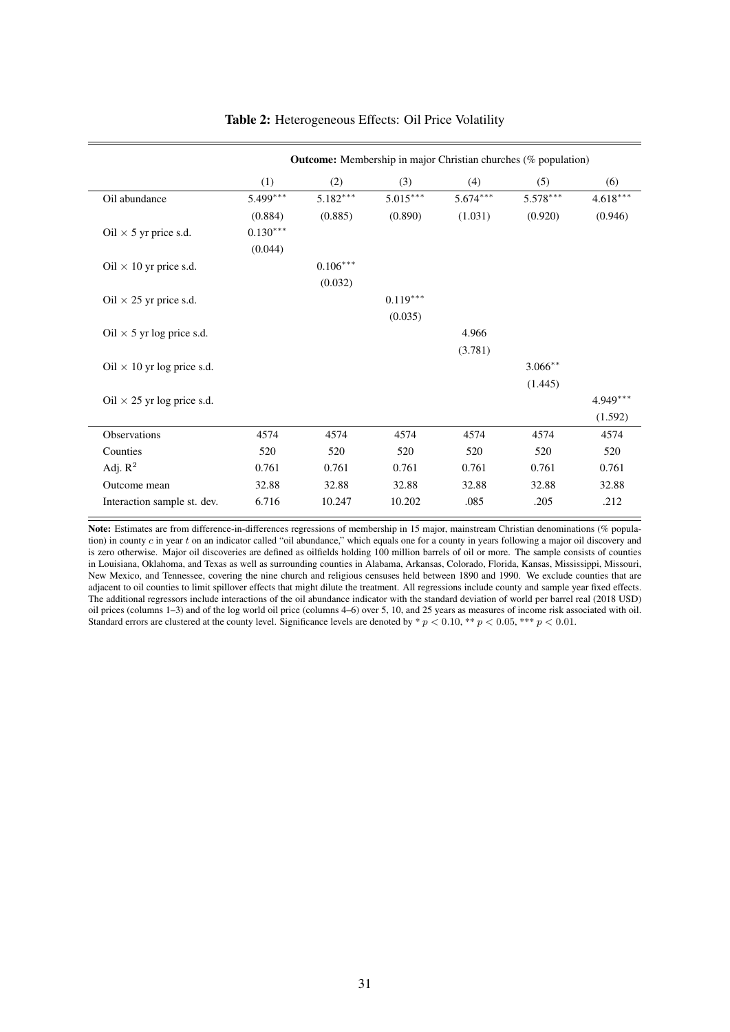<span id="page-31-0"></span>

|                                   | <b>Outcome:</b> Membership in major Christian churches (% population) |            |            |            |            |            |  |  |
|-----------------------------------|-----------------------------------------------------------------------|------------|------------|------------|------------|------------|--|--|
|                                   | (1)                                                                   | (2)        | (3)        | (4)        | (5)        | (6)        |  |  |
| Oil abundance                     | 5.499***                                                              | $5.182***$ | $5.015***$ | $5.674***$ | $5.578***$ | $4.618***$ |  |  |
|                                   | (0.884)                                                               | (0.885)    | (0.890)    | (1.031)    | (0.920)    | (0.946)    |  |  |
| Oil $\times$ 5 yr price s.d.      | $0.130***$                                                            |            |            |            |            |            |  |  |
|                                   | (0.044)                                                               |            |            |            |            |            |  |  |
| Oil $\times$ 10 yr price s.d.     |                                                                       | $0.106***$ |            |            |            |            |  |  |
|                                   |                                                                       | (0.032)    |            |            |            |            |  |  |
| Oil $\times$ 25 yr price s.d.     |                                                                       |            | $0.119***$ |            |            |            |  |  |
|                                   |                                                                       |            | (0.035)    |            |            |            |  |  |
| Oil $\times$ 5 yr log price s.d.  |                                                                       |            |            | 4.966      |            |            |  |  |
|                                   |                                                                       |            |            | (3.781)    |            |            |  |  |
| Oil $\times$ 10 yr log price s.d. |                                                                       |            |            |            | $3.066**$  |            |  |  |
|                                   |                                                                       |            |            |            | (1.445)    |            |  |  |
| Oil $\times$ 25 yr log price s.d. |                                                                       |            |            |            |            | 4.949***   |  |  |
|                                   |                                                                       |            |            |            |            | (1.592)    |  |  |
| Observations                      | 4574                                                                  | 4574       | 4574       | 4574       | 4574       | 4574       |  |  |
| Counties                          | 520                                                                   | 520        | 520        | 520        | 520        | 520        |  |  |
| Adj. $R^2$                        | 0.761                                                                 | 0.761      | 0.761      | 0.761      | 0.761      | 0.761      |  |  |
| Outcome mean                      | 32.88                                                                 | 32.88      | 32.88      | 32.88      | 32.88      | 32.88      |  |  |
| Interaction sample st. dev.       | 6.716                                                                 | 10.247     | 10.202     | .085       | .205       | .212       |  |  |

## Table 2: Heterogeneous Effects: Oil Price Volatility

Note: Estimates are from difference-in-differences regressions of membership in 15 major, mainstream Christian denominations (% population) in county  $c$  in year  $t$  on an indicator called "oil abundance," which equals one for a county in years following a major oil discovery and is zero otherwise. Major oil discoveries are defined as oilfields holding 100 million barrels of oil or more. The sample consists of counties in Louisiana, Oklahoma, and Texas as well as surrounding counties in Alabama, Arkansas, Colorado, Florida, Kansas, Mississippi, Missouri, New Mexico, and Tennessee, covering the nine church and religious censuses held between 1890 and 1990. We exclude counties that are adjacent to oil counties to limit spillover effects that might dilute the treatment. All regressions include county and sample year fixed effects. The additional regressors include interactions of the oil abundance indicator with the standard deviation of world per barrel real (2018 USD) oil prices (columns 1–3) and of the log world oil price (columns 4–6) over 5, 10, and 25 years as measures of income risk associated with oil. Standard errors are clustered at the county level. Significance levels are denoted by  $\hat{\phi}$   $\hat{p}$  < 0.10, \*\*  $p$  < 0.05, \*\*\*  $p$  < 0.01.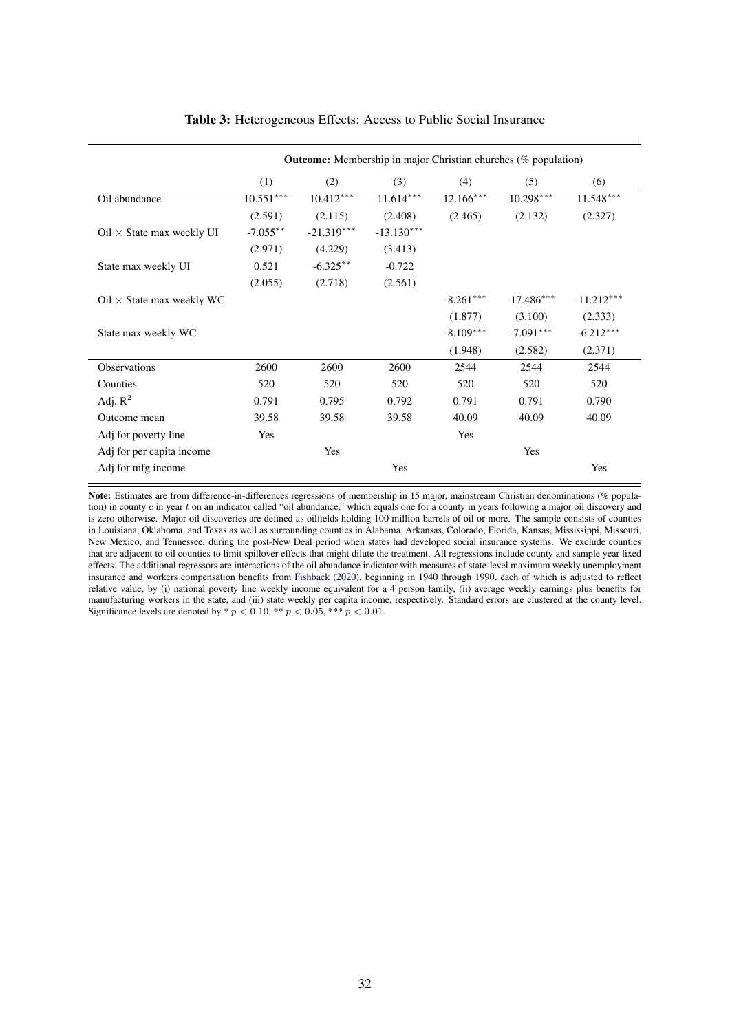<span id="page-32-0"></span>

|                                                | <b>Outcome:</b> Membership in major Christian churches (% population) |              |              |             |              |              |
|------------------------------------------------|-----------------------------------------------------------------------|--------------|--------------|-------------|--------------|--------------|
|                                                | (1)                                                                   | (2)          | (3)          | (4)         | (5)          | (6)          |
| Oil abundance                                  | $10.551***$                                                           | $10.412***$  | $11.614***$  | $12.166***$ | $10.298***$  | $11.548***$  |
|                                                | (2.591)                                                               | (2.115)      | (2.408)      | (2.465)     | (2.132)      | (2.327)      |
| $Oil \times$ State max weekly UI               | $-7.055**$                                                            | $-21.319***$ | $-13.130***$ |             |              |              |
|                                                | (2.971)                                                               | (4.229)      | (3.413)      |             |              |              |
| State max weekly UI                            | 0.521                                                                 | $-6.325**$   | $-0.722$     |             |              |              |
|                                                | (2.055)                                                               | (2.718)      | (2.561)      |             |              |              |
| $\text{Oil} \times \text{State}$ max weekly WC |                                                                       |              |              | $-8.261***$ | $-17.486***$ | $-11.212***$ |
|                                                |                                                                       |              |              | (1.877)     | (3.100)      | (2.333)      |
| State max weekly WC                            |                                                                       |              |              | $-8.109***$ | $-7.091***$  | $-6.212***$  |
|                                                |                                                                       |              |              | (1.948)     | (2.582)      | (2.371)      |
| <b>Observations</b>                            | 2600                                                                  | 2600         | 2600         | 2544        | 2544         | 2544         |
| Counties                                       | 520                                                                   | 520          | 520          | 520         | 520          | 520          |
| Adj. $R^2$                                     | 0.791                                                                 | 0.795        | 0.792        | 0.791       | 0.791        | 0.790        |
| Outcome mean                                   | 39.58                                                                 | 39.58        | 39.58        | 40.09       | 40.09        | 40.09        |
| Adj for poverty line                           | Yes                                                                   |              |              | Yes         |              |              |
| Adj for per capita income                      |                                                                       | Yes          |              |             | Yes          |              |
| Adj for mfg income                             |                                                                       |              | Yes          |             |              | Yes          |

### Table 3: Heterogeneous Effects: Access to Public Social Insurance

Note: Estimates are from difference-in-differences regressions of membership in 15 major, mainstream Christian denominations (% population) in county c in year t on an indicator called "oil abundance," which equals one for a county in years following a major oil discovery and is zero otherwise. Major oil discoveries are defined as oilfields holding 100 million barrels of oil or more. The sample consists of counties in Louisiana, Oklahoma, and Texas as well as surrounding counties in Alabama, Arkansas, Colorado, Florida, Kansas, Mississippi, Missouri, New Mexico, and Tennessee, during the post-New Deal period when states had developed social insurance systems. We exclude counties that are adjacent to oil counties to limit spillover effects that might dilute the treatment. All regressions include county and sample year fixed effects. The additional regressors are interactions of the oil abundance indicator with measures of state-level maximum weekly unemployment insurance and workers compensation benefits from [Fishback](#page-28-0) [\(2020\)](#page-28-0), beginning in 1940 through 1990, each of which is adjusted to reflect relative value, by (i) national poverty line weekly income equivalent for a 4 person family, (ii) average weekly earnings plus benefits for manufacturing workers in the state, and (iii) state weekly per capita income, respectively. Standard errors are clustered at the county level. Significance levels are denoted by \*  $p < 0.10$ , \*\*  $p < 0.05$ , \*\*\*  $p < 0.01$ .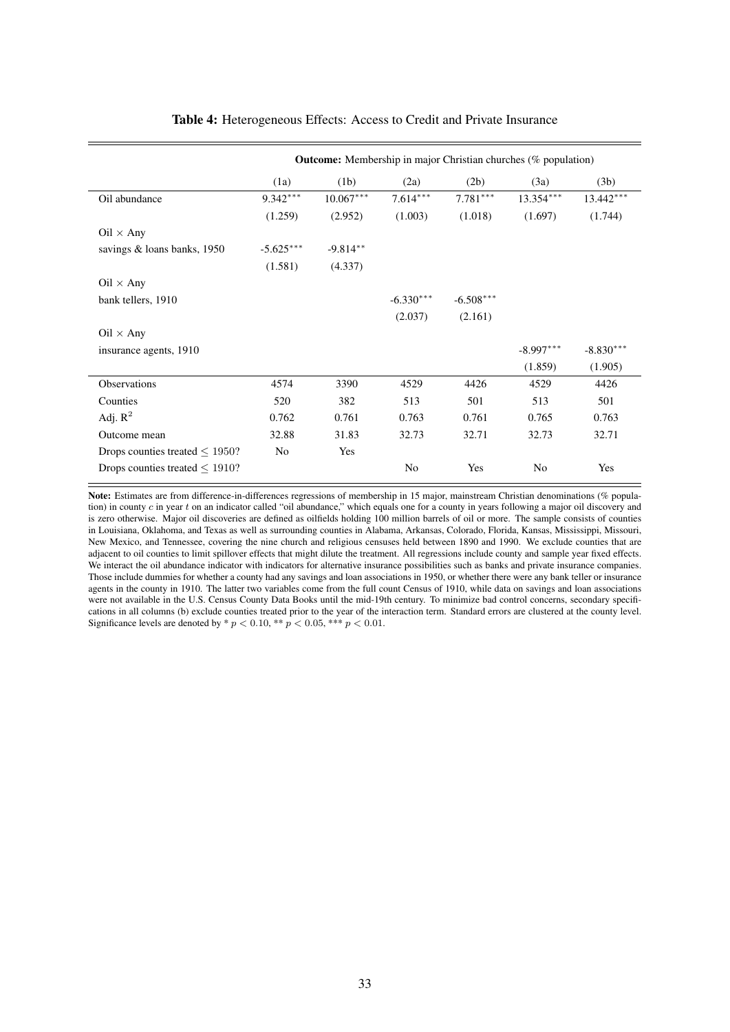<span id="page-33-0"></span>

|                                      |             | <b>Outcome:</b> Membership in major Christian churches (% population) |             |             |                |             |
|--------------------------------------|-------------|-----------------------------------------------------------------------|-------------|-------------|----------------|-------------|
|                                      | (1a)        | (1b)                                                                  | (2a)        | (2b)        | (3a)           | (3b)        |
| Oil abundance                        | $9.342***$  | $10.067***$                                                           | $7.614***$  | $7.781***$  | $13.354***$    | $13.442***$ |
|                                      | (1.259)     | (2.952)                                                               | (1.003)     | (1.018)     | (1.697)        | (1.744)     |
| $Oil \times Any$                     |             |                                                                       |             |             |                |             |
| savings & loans banks, 1950          | $-5.625***$ | $-9.814**$                                                            |             |             |                |             |
|                                      | (1.581)     | (4.337)                                                               |             |             |                |             |
| $Oil \times Any$                     |             |                                                                       |             |             |                |             |
| bank tellers, 1910                   |             |                                                                       | $-6.330***$ | $-6.508***$ |                |             |
|                                      |             |                                                                       | (2.037)     | (2.161)     |                |             |
| $Oil \times Any$                     |             |                                                                       |             |             |                |             |
| insurance agents, 1910               |             |                                                                       |             |             | $-8.997***$    | $-8.830***$ |
|                                      |             |                                                                       |             |             | (1.859)        | (1.905)     |
| <b>Observations</b>                  | 4574        | 3390                                                                  | 4529        | 4426        | 4529           | 4426        |
| Counties                             | 520         | 382                                                                   | 513         | 501         | 513            | 501         |
| Adj. $R^2$                           | 0.762       | 0.761                                                                 | 0.763       | 0.761       | 0.765          | 0.763       |
| Outcome mean                         | 32.88       | 31.83                                                                 | 32.73       | 32.71       | 32.73          | 32.71       |
| Drops counties treated $\leq$ 1950?  | No          | Yes                                                                   |             |             |                |             |
| Drops counties treated $\leq 1910$ ? |             |                                                                       | No          | Yes         | N <sub>0</sub> | Yes         |

## Table 4: Heterogeneous Effects: Access to Credit and Private Insurance

Note: Estimates are from difference-in-differences regressions of membership in 15 major, mainstream Christian denominations (% population) in county  $c$  in year  $t$  on an indicator called "oil abundance," which equals one for a county in years following a major oil discovery and is zero otherwise. Major oil discoveries are defined as oilfields holding 100 million barrels of oil or more. The sample consists of counties in Louisiana, Oklahoma, and Texas as well as surrounding counties in Alabama, Arkansas, Colorado, Florida, Kansas, Mississippi, Missouri, New Mexico, and Tennessee, covering the nine church and religious censuses held between 1890 and 1990. We exclude counties that are adjacent to oil counties to limit spillover effects that might dilute the treatment. All regressions include county and sample year fixed effects. We interact the oil abundance indicator with indicators for alternative insurance possibilities such as banks and private insurance companies. Those include dummies for whether a county had any savings and loan associations in 1950, or whether there were any bank teller or insurance agents in the county in 1910. The latter two variables come from the full count Census of 1910, while data on savings and loan associations were not available in the U.S. Census County Data Books until the mid-19th century. To minimize bad control concerns, secondary specifications in all columns (b) exclude counties treated prior to the year of the interaction term. Standard errors are clustered at the county level. Significance levels are denoted by \*  $p < 0.10$ , \*\*  $p < 0.05$ , \*\*\*  $p < 0.01$ .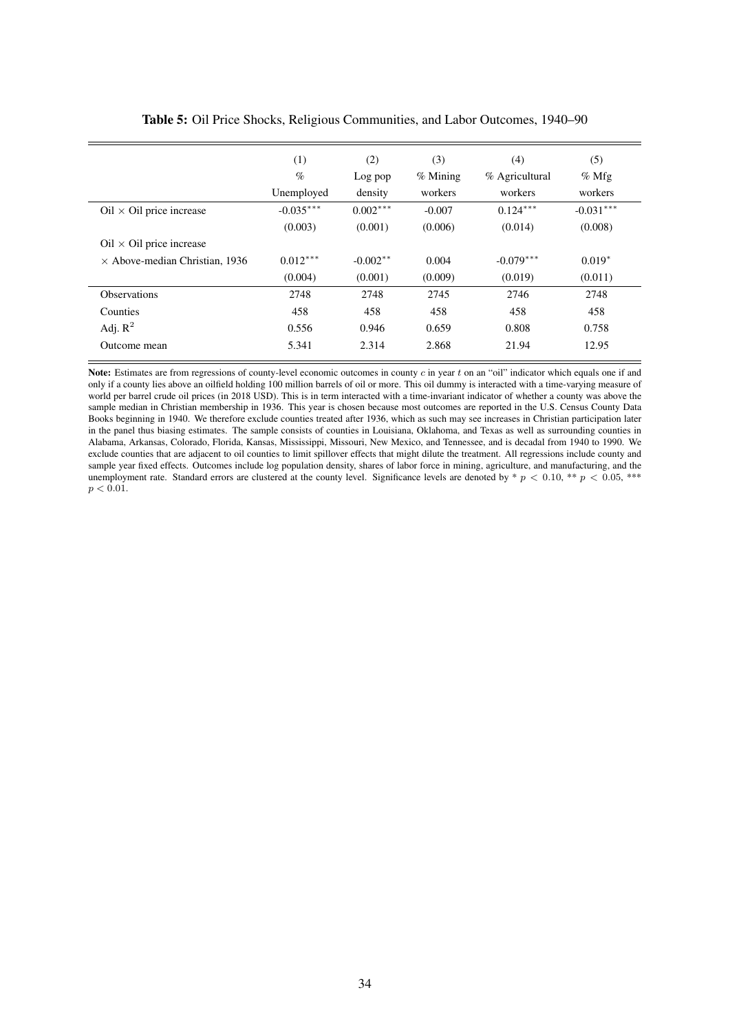<span id="page-34-0"></span>

|                                       | (1)         | (2)        | (3)        | (4)            | (5)         |
|---------------------------------------|-------------|------------|------------|----------------|-------------|
|                                       | $\%$        | Log pop    | $%$ Mining | % Agricultural | $%$ Mfg     |
|                                       | Unemployed  | density    | workers    | workers        | workers     |
| $Oil \times Oil$ price increase       | $-0.035***$ | $0.002***$ | $-0.007$   | $0.124***$     | $-0.031***$ |
|                                       | (0.003)     | (0.001)    | (0.006)    | (0.014)        | (0.008)     |
| $Oil \times Oil$ price increase       |             |            |            |                |             |
| $\times$ Above-median Christian, 1936 | $0.012***$  | $-0.002**$ | 0.004      | $-0.079***$    | $0.019*$    |
|                                       | (0.004)     | (0.001)    | (0.009)    | (0.019)        | (0.011)     |
| <b>Observations</b>                   | 2748        | 2748       | 2745       | 2746           | 2748        |
| Counties                              | 458         | 458        | 458        | 458            | 458         |
| Adj. $R^2$                            | 0.556       | 0.946      | 0.659      | 0.808          | 0.758       |
| Outcome mean                          | 5.341       | 2.314      | 2.868      | 21.94          | 12.95       |
|                                       |             |            |            |                |             |

| Table 5: Oil Price Shocks, Religious Communities, and Labor Outcomes, 1940–90 |  |
|-------------------------------------------------------------------------------|--|
|-------------------------------------------------------------------------------|--|

Note: Estimates are from regressions of county-level economic outcomes in county  $c$  in year  $t$  on an "oil" indicator which equals one if and only if a county lies above an oilfield holding 100 million barrels of oil or more. This oil dummy is interacted with a time-varying measure of world per barrel crude oil prices (in 2018 USD). This is in term interacted with a time-invariant indicator of whether a county was above the sample median in Christian membership in 1936. This year is chosen because most outcomes are reported in the U.S. Census County Data Books beginning in 1940. We therefore exclude counties treated after 1936, which as such may see increases in Christian participation later in the panel thus biasing estimates. The sample consists of counties in Louisiana, Oklahoma, and Texas as well as surrounding counties in Alabama, Arkansas, Colorado, Florida, Kansas, Mississippi, Missouri, New Mexico, and Tennessee, and is decadal from 1940 to 1990. We exclude counties that are adjacent to oil counties to limit spillover effects that might dilute the treatment. All regressions include county and sample year fixed effects. Outcomes include log population density, shares of labor force in mining, agriculture, and manufacturing, and the unemployment rate. Standard errors are clustered at the county level. Significance levels are denoted by \*  $p < 0.10$ , \*\*  $p < 0.05$ , \*\*\*  $p < 0.01$ .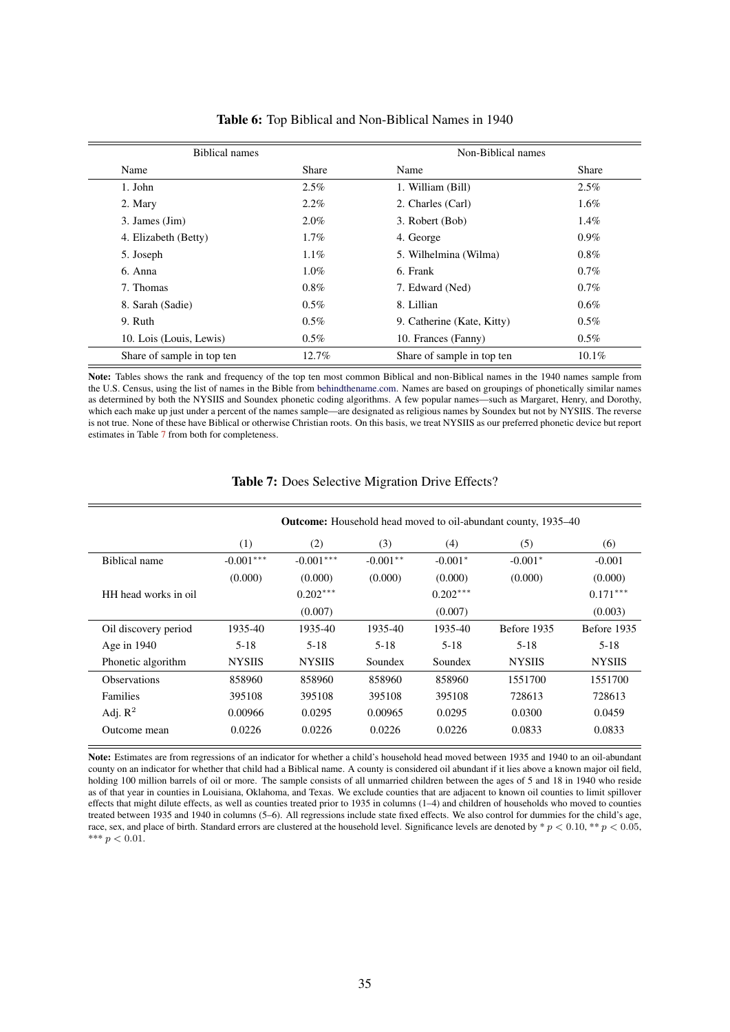<span id="page-35-0"></span>

| <b>Biblical names</b>      |         | Non-Biblical names         |          |
|----------------------------|---------|----------------------------|----------|
| Name                       | Share   | Name                       | Share    |
| 1. John                    | $2.5\%$ | 1. William (Bill)          | $2.5\%$  |
| 2. Mary                    | $2.2\%$ | 2. Charles (Carl)          | $1.6\%$  |
| 3. James (Jim)             | $2.0\%$ | 3. Robert (Bob)            | $1.4\%$  |
| 4. Elizabeth (Betty)       | $1.7\%$ | 4. George                  | $0.9\%$  |
| 5. Joseph                  | $1.1\%$ | 5. Wilhelmina (Wilma)      | $0.8\%$  |
| 6. Anna                    | $1.0\%$ | 6. Frank                   | $0.7\%$  |
| 7. Thomas                  | $0.8\%$ | 7. Edward (Ned)            | $0.7\%$  |
| 8. Sarah (Sadie)           | $0.5\%$ | 8. Lillian                 | 0.6%     |
| 9. Ruth                    | $0.5\%$ | 9. Catherine (Kate, Kitty) | $0.5\%$  |
| 10. Lois (Louis, Lewis)    | $0.5\%$ | 10. Frances (Fanny)        | $0.5\%$  |
| Share of sample in top ten | 12.7%   | Share of sample in top ten | $10.1\%$ |

#### Table 6: Top Biblical and Non-Biblical Names in 1940

Note: Tables shows the rank and frequency of the top ten most common Biblical and non-Biblical names in the 1940 names sample from the U.S. Census, using the list of names in the Bible from [behindthename.com.](https://www.behindthename.com/namesakes/list/biblical/alpha) Names are based on groupings of phonetically similar names as determined by both the NYSIIS and Soundex phonetic coding algorithms. A few popular names—such as Margaret, Henry, and Dorothy, which each make up just under a percent of the names sample—are designated as religious names by Soundex but not by NYSIIS. The reverse is not true. None of these have Biblical or otherwise Christian roots. On this basis, we treat NYSIIS as our preferred phonetic device but report estimates in Table 7 from both for completeness.

|                      |               | <b>Outcome:</b> Household head moved to oil-abundant county, 1935–40 |            |            |               |               |  |
|----------------------|---------------|----------------------------------------------------------------------|------------|------------|---------------|---------------|--|
|                      | (1)           | (2)                                                                  | (3)        | (4)        | (5)           | (6)           |  |
| Biblical name        | $-0.001***$   | $-0.001***$                                                          | $-0.001**$ | $-0.001*$  | $-0.001*$     | $-0.001$      |  |
|                      | (0.000)       | (0.000)                                                              | (0.000)    | (0.000)    | (0.000)       | (0.000)       |  |
| HH head works in oil |               | $0.202***$                                                           |            | $0.202***$ |               | $0.171***$    |  |
|                      |               | (0.007)                                                              |            | (0.007)    |               | (0.003)       |  |
| Oil discovery period | 1935-40       | 1935-40                                                              | 1935-40    | 1935-40    | Before 1935   | Before 1935   |  |
| Age in $1940$        | $5-18$        | $5 - 18$                                                             | $5 - 18$   | $5 - 18$   | $5-18$        | $5-18$        |  |
| Phonetic algorithm   | <b>NYSIIS</b> | <b>NYSIIS</b>                                                        | Soundex    | Soundex    | <b>NYSIIS</b> | <b>NYSIIS</b> |  |
| <b>Observations</b>  | 858960        | 858960                                                               | 858960     | 858960     | 1551700       | 1551700       |  |
| <b>Families</b>      | 395108        | 395108                                                               | 395108     | 395108     | 728613        | 728613        |  |
| Adj. $R^2$           | 0.00966       | 0.0295                                                               | 0.00965    | 0.0295     | 0.0300        | 0.0459        |  |
| Outcome mean         | 0.0226        | 0.0226                                                               | 0.0226     | 0.0226     | 0.0833        | 0.0833        |  |

## Table 7: Does Selective Migration Drive Effects?

Note: Estimates are from regressions of an indicator for whether a child's household head moved between 1935 and 1940 to an oil-abundant county on an indicator for whether that child had a Biblical name. A county is considered oil abundant if it lies above a known major oil field, holding 100 million barrels of oil or more. The sample consists of all unmarried children between the ages of 5 and 18 in 1940 who reside as of that year in counties in Louisiana, Oklahoma, and Texas. We exclude counties that are adjacent to known oil counties to limit spillover effects that might dilute effects, as well as counties treated prior to 1935 in columns (1–4) and children of households who moved to counties treated between 1935 and 1940 in columns (5–6). All regressions include state fixed effects. We also control for dummies for the child's age, race, sex, and place of birth. Standard errors are clustered at the household level. Significance levels are denoted by  $p < 0.10$ ,  $* p < 0.05$ , \*\*\*  $p < 0.01$ .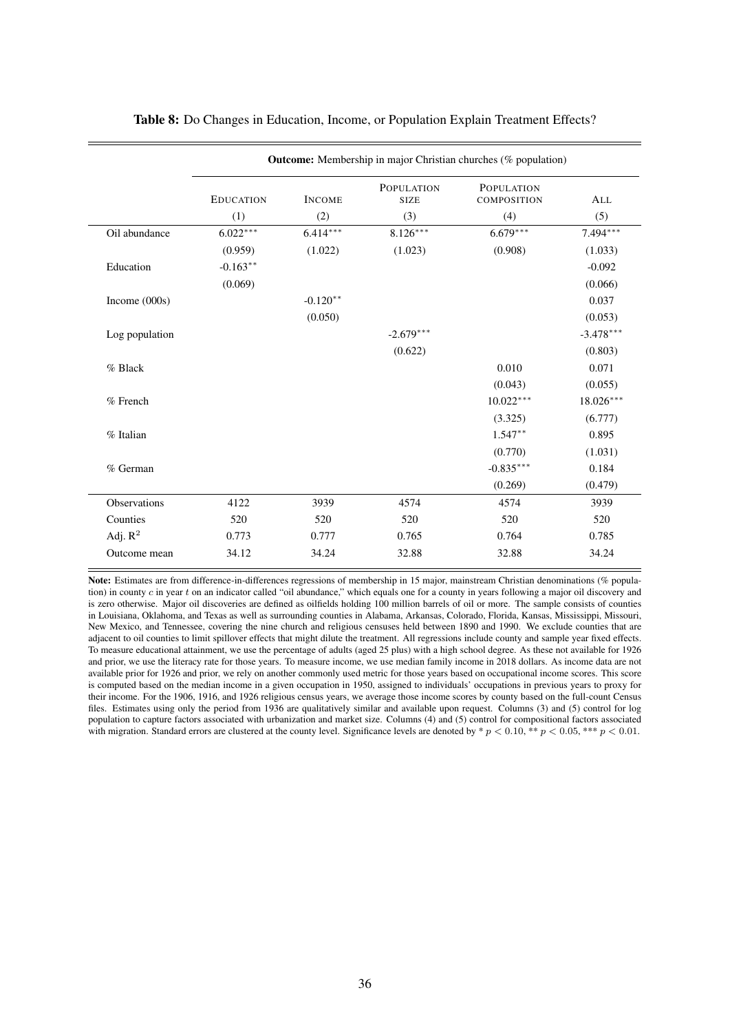<span id="page-36-0"></span>

|                 | <b>Outcome:</b> Membership in major Christian churches (% population) |               |                                  |                                  |             |  |  |  |
|-----------------|-----------------------------------------------------------------------|---------------|----------------------------------|----------------------------------|-------------|--|--|--|
|                 | <b>EDUCATION</b>                                                      | <b>INCOME</b> | <b>POPULATION</b><br><b>SIZE</b> | <b>POPULATION</b><br>COMPOSITION | ALL         |  |  |  |
|                 | (1)                                                                   | (2)           | (3)                              | (4)                              | (5)         |  |  |  |
| Oil abundance   | $6.022***$                                                            | $6.414***$    | $8.126***$                       | $6.679***$                       | $7.494***$  |  |  |  |
|                 | (0.959)                                                               | (1.022)       | (1.023)                          | (0.908)                          | (1.033)     |  |  |  |
| Education       | $-0.163**$                                                            |               |                                  |                                  | $-0.092$    |  |  |  |
|                 | (0.069)                                                               |               |                                  |                                  | (0.066)     |  |  |  |
| Income $(000s)$ |                                                                       | $-0.120**$    |                                  |                                  | 0.037       |  |  |  |
|                 |                                                                       | (0.050)       |                                  |                                  | (0.053)     |  |  |  |
| Log population  |                                                                       |               | $-2.679***$                      |                                  | $-3.478***$ |  |  |  |
|                 |                                                                       |               | (0.622)                          |                                  | (0.803)     |  |  |  |
| % Black         |                                                                       |               |                                  | 0.010                            | 0.071       |  |  |  |
|                 |                                                                       |               |                                  | (0.043)                          | (0.055)     |  |  |  |
| % French        |                                                                       |               |                                  | $10.022***$                      | $18.026***$ |  |  |  |
|                 |                                                                       |               |                                  | (3.325)                          | (6.777)     |  |  |  |
| % Italian       |                                                                       |               |                                  | $1.547**$                        | 0.895       |  |  |  |
|                 |                                                                       |               |                                  | (0.770)                          | (1.031)     |  |  |  |
| % German        |                                                                       |               |                                  | $-0.835***$                      | 0.184       |  |  |  |
|                 |                                                                       |               |                                  | (0.269)                          | (0.479)     |  |  |  |
| Observations    | 4122                                                                  | 3939          | 4574                             | 4574                             | 3939        |  |  |  |
| Counties        | 520                                                                   | 520           | 520                              | 520                              | 520         |  |  |  |
| Adj. $R^2$      | 0.773                                                                 | 0.777         | 0.765                            | 0.764                            | 0.785       |  |  |  |
| Outcome mean    | 34.12                                                                 | 34.24         | 32.88                            | 32.88                            | 34.24       |  |  |  |
|                 |                                                                       |               |                                  |                                  |             |  |  |  |

#### Table 8: Do Changes in Education, Income, or Population Explain Treatment Effects?

Note: Estimates are from difference-in-differences regressions of membership in 15 major, mainstream Christian denominations (% population) in county  $c$  in year  $t$  on an indicator called "oil abundance," which equals one for a county in years following a major oil discovery and is zero otherwise. Major oil discoveries are defined as oilfields holding 100 million barrels of oil or more. The sample consists of counties in Louisiana, Oklahoma, and Texas as well as surrounding counties in Alabama, Arkansas, Colorado, Florida, Kansas, Mississippi, Missouri, New Mexico, and Tennessee, covering the nine church and religious censuses held between 1890 and 1990. We exclude counties that are adjacent to oil counties to limit spillover effects that might dilute the treatment. All regressions include county and sample year fixed effects. To measure educational attainment, we use the percentage of adults (aged 25 plus) with a high school degree. As these not available for 1926 and prior, we use the literacy rate for those years. To measure income, we use median family income in 2018 dollars. As income data are not available prior for 1926 and prior, we rely on another commonly used metric for those years based on occupational income scores. This score is computed based on the median income in a given occupation in 1950, assigned to individuals' occupations in previous years to proxy for their income. For the 1906, 1916, and 1926 religious census years, we average those income scores by county based on the full-count Census files. Estimates using only the period from 1936 are qualitatively similar and available upon request. Columns (3) and (5) control for log population to capture factors associated with urbanization and market size. Columns (4) and (5) control for compositional factors associated with migration. Standard errors are clustered at the county level. Significance levels are denoted by  $\ast p < 0.10$ ,  $\ast \ast p < 0.05$ ,  $\ast \ast p < 0.01$ .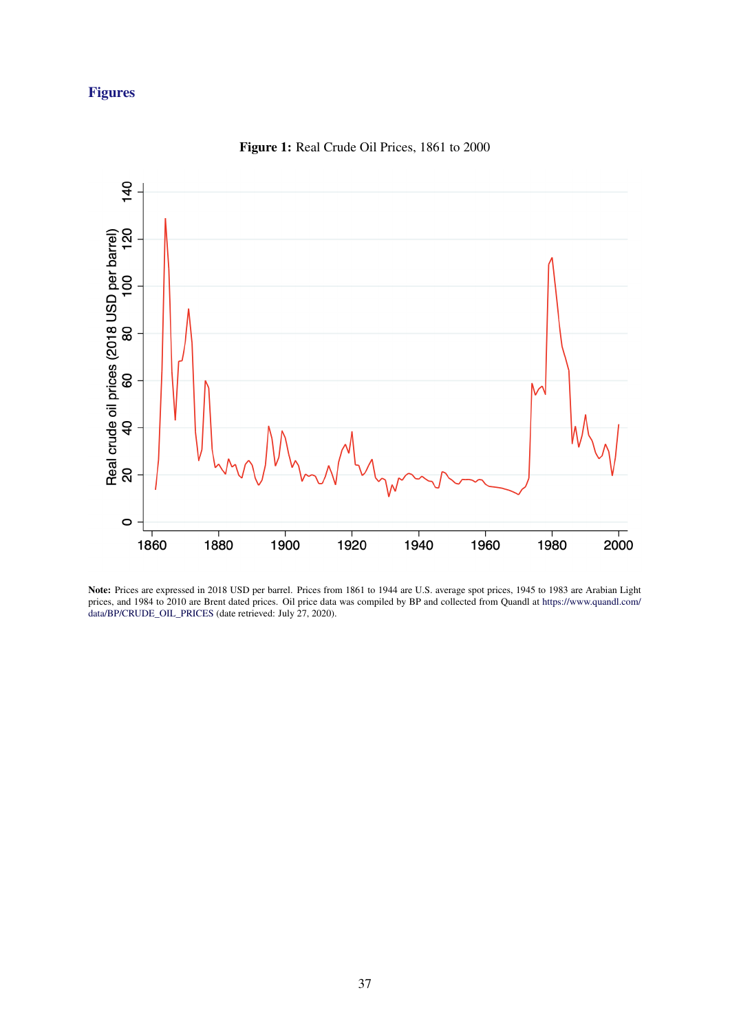## <span id="page-37-0"></span>Figures



Figure 1: Real Crude Oil Prices, 1861 to 2000

Note: Prices are expressed in 2018 USD per barrel. Prices from 1861 to 1944 are U.S. average spot prices, 1945 to 1983 are Arabian Light prices, and 1984 to 2010 are Brent dated prices. Oil price data was compiled by BP and collected from Quandl at [https://www.quandl.com/](https://www.quandl.com/data/BP/CRUDE_OIL_PRICES) [data/BP/CRUDE\\_OIL\\_PRICES](https://www.quandl.com/data/BP/CRUDE_OIL_PRICES) (date retrieved: July 27, 2020).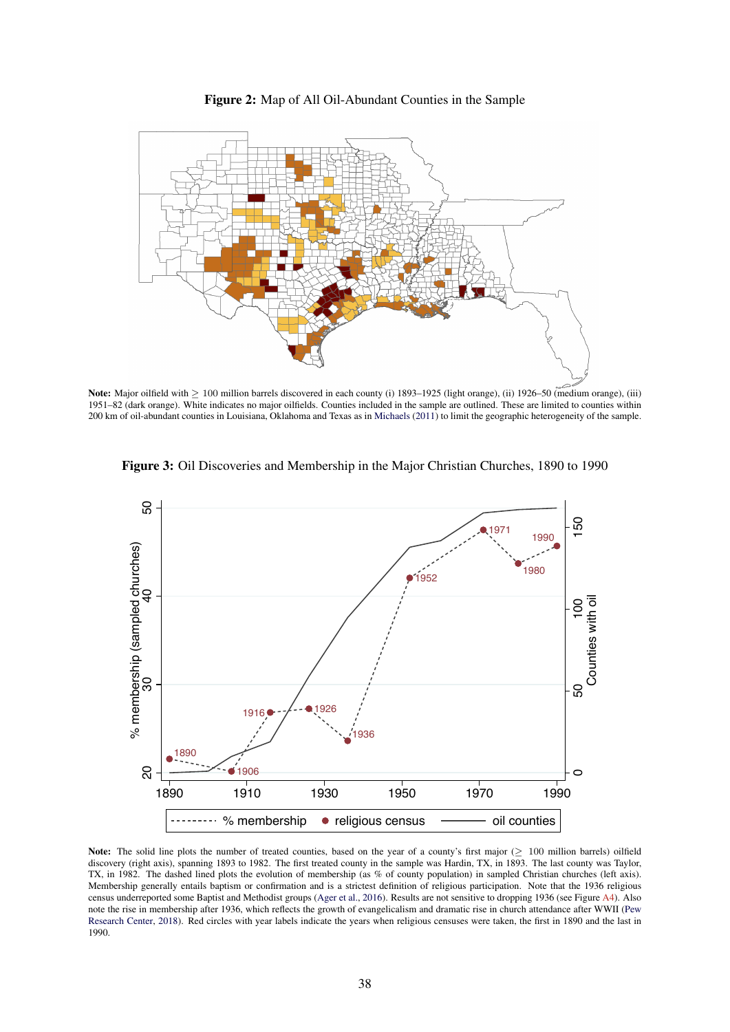<span id="page-38-0"></span>

Figure 2: Map of All Oil-Abundant Counties in the Sample

Note: Major oilfield with > 100 million barrels discovered in each county (i) 1893–1925 (light orange), (ii) 1926–50 (medium orange), (iii) 1951–82 (dark orange). White indicates no major oilfields. Counties included in the sample are outlined. These are limited to counties within 200 km of oil-abundant counties in Louisiana, Oklahoma and Texas as in [Michaels](#page-28-0) [\(2011\)](#page-28-0) to limit the geographic heterogeneity of the sample.

Figure 3: Oil Discoveries and Membership in the Major Christian Churches, 1890 to 1990



Note: The solid line plots the number of treated counties, based on the year of a county's first major (≥ 100 million barrels) oilfield discovery (right axis), spanning 1893 to 1982. The first treated county in the sample was Hardin, TX, in 1893. The last county was Taylor, TX, in 1982. The dashed lined plots the evolution of membership (as % of county population) in sampled Christian churches (left axis). Membership generally entails baptism or confirmation and is a strictest definition of religious participation. Note that the 1936 religious census underreported some Baptist and Methodist groups [\(Ager et al.,](#page-27-0) [2016\)](#page-27-0). Results are not sensitive to dropping 1936 (see Figure [A4\)](#page-39-0). Also note the rise in membership after 1936, which reflects the growth of evangelicalism and dramatic rise in church attendance after WWII [\(Pew](#page-29-0) [Research Center,](#page-29-0) [2018\)](#page-29-0). Red circles with year labels indicate the years when religious censuses were taken, the first in 1890 and the last in 1990.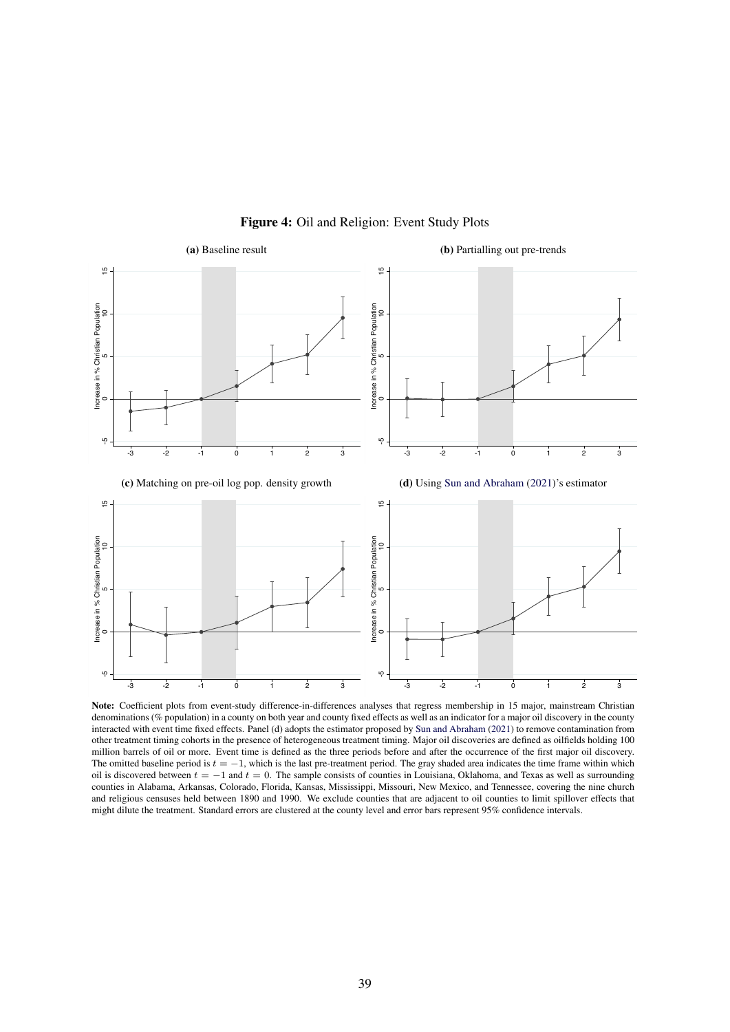<span id="page-39-0"></span>

Figure 4: Oil and Religion: Event Study Plots

Note: Coefficient plots from event-study difference-in-differences analyses that regress membership in 15 major, mainstream Christian denominations (% population) in a county on both year and county fixed effects as well as an indicator for a major oil discovery in the county interacted with event time fixed effects. Panel (d) adopts the estimator proposed by [Sun and Abraham](#page-29-0) [\(2021\)](#page-29-0) to remove contamination from other treatment timing cohorts in the presence of heterogeneous treatment timing. Major oil discoveries are defined as oilfields holding 100 million barrels of oil or more. Event time is defined as the three periods before and after the occurrence of the first major oil discovery. The omitted baseline period is  $t = -1$ , which is the last pre-treatment period. The gray shaded area indicates the time frame within which oil is discovered between  $t = -1$  and  $t = 0$ . The sample consists of counties in Louisiana, Oklahoma, and Texas as well as surrounding counties in Alabama, Arkansas, Colorado, Florida, Kansas, Mississippi, Missouri, New Mexico, and Tennessee, covering the nine church and religious censuses held between 1890 and 1990. We exclude counties that are adjacent to oil counties to limit spillover effects that might dilute the treatment. Standard errors are clustered at the county level and error bars represent 95% confidence intervals.